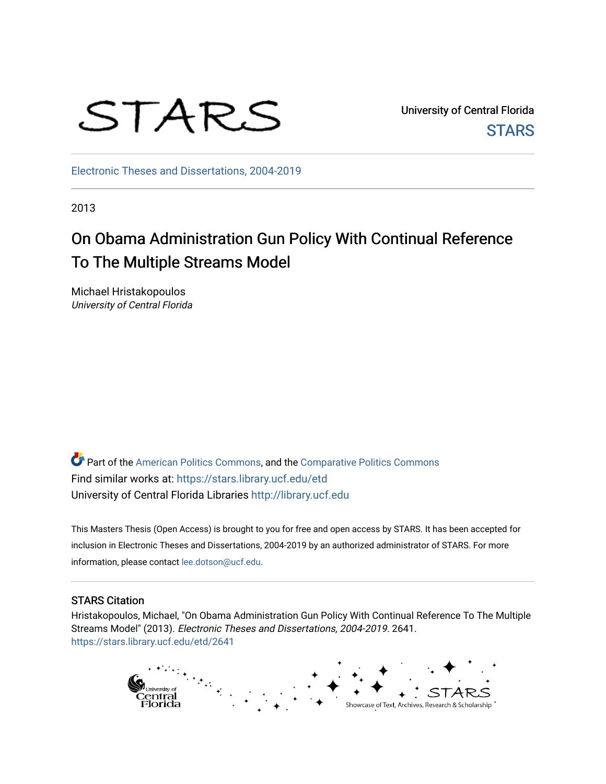

University of Central Florida **STARS** 

[Electronic Theses and Dissertations, 2004-2019](https://stars.library.ucf.edu/etd) 

2013

# On Obama Administration Gun Policy With Continual Reference To The Multiple Streams Model

Michael Hristakopoulos University of Central Florida

Part of the [American Politics Commons,](http://network.bepress.com/hgg/discipline/387?utm_source=stars.library.ucf.edu%2Fetd%2F2641&utm_medium=PDF&utm_campaign=PDFCoverPages) and the [Comparative Politics Commons](http://network.bepress.com/hgg/discipline/388?utm_source=stars.library.ucf.edu%2Fetd%2F2641&utm_medium=PDF&utm_campaign=PDFCoverPages) Find similar works at: <https://stars.library.ucf.edu/etd> University of Central Florida Libraries [http://library.ucf.edu](http://library.ucf.edu/) 

This Masters Thesis (Open Access) is brought to you for free and open access by STARS. It has been accepted for inclusion in Electronic Theses and Dissertations, 2004-2019 by an authorized administrator of STARS. For more information, please contact [lee.dotson@ucf.edu.](mailto:lee.dotson@ucf.edu)

# STARS Citation

Hristakopoulos, Michael, "On Obama Administration Gun Policy With Continual Reference To The Multiple Streams Model" (2013). Electronic Theses and Dissertations, 2004-2019. 2641. [https://stars.library.ucf.edu/etd/2641](https://stars.library.ucf.edu/etd/2641?utm_source=stars.library.ucf.edu%2Fetd%2F2641&utm_medium=PDF&utm_campaign=PDFCoverPages) 

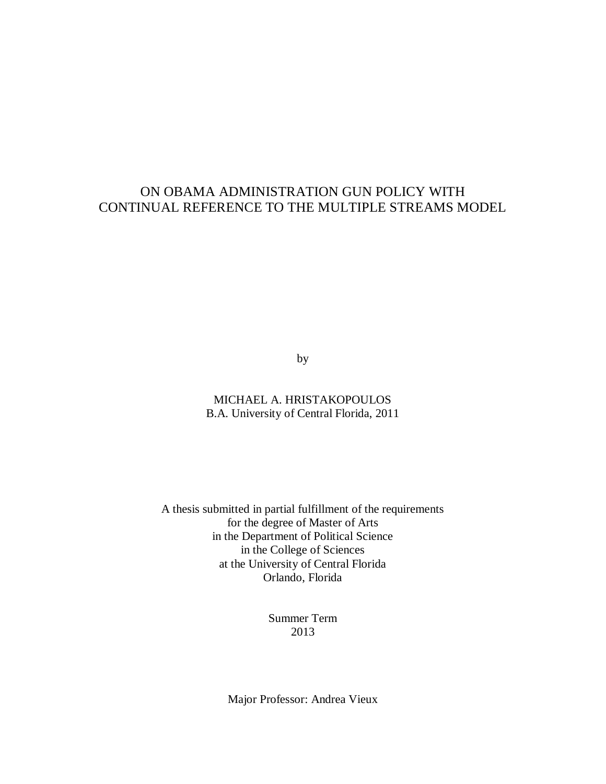# ON OBAMA ADMINISTRATION GUN POLICY WITH CONTINUAL REFERENCE TO THE MULTIPLE STREAMS MODEL

by

MICHAEL A. HRISTAKOPOULOS B.A. University of Central Florida, 2011

A thesis submitted in partial fulfillment of the requirements for the degree of Master of Arts in the Department of Political Science in the College of Sciences at the University of Central Florida Orlando, Florida

> Summer Term 2013

Major Professor: Andrea Vieux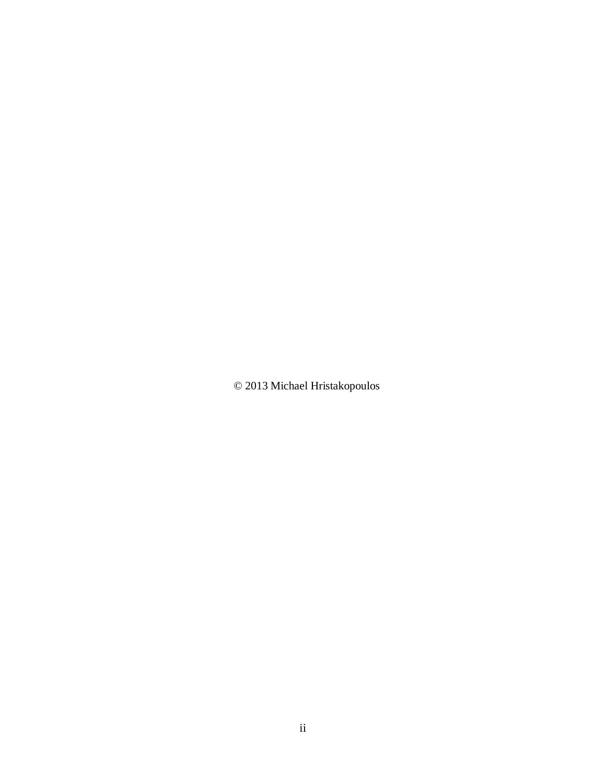© 2013 Michael Hristakopoulos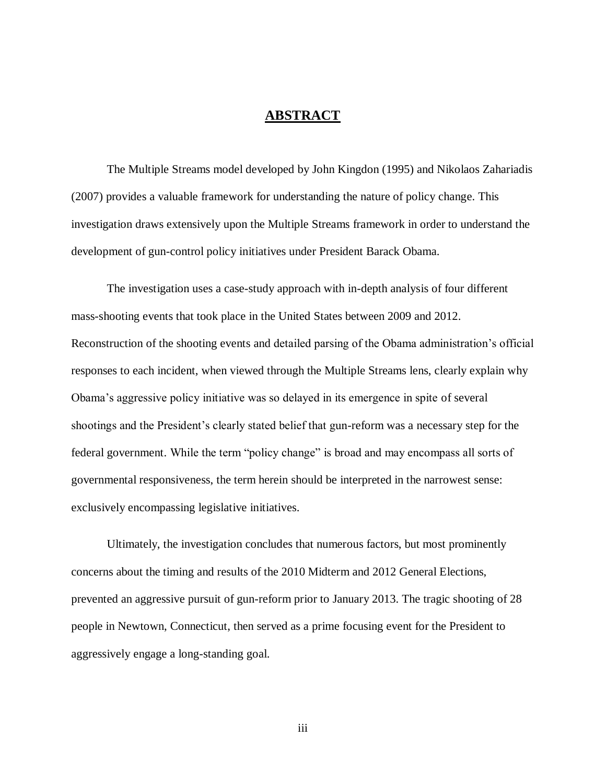# **ABSTRACT**

The Multiple Streams model developed by John Kingdon (1995) and Nikolaos Zahariadis (2007) provides a valuable framework for understanding the nature of policy change. This investigation draws extensively upon the Multiple Streams framework in order to understand the development of gun-control policy initiatives under President Barack Obama.

The investigation uses a case-study approach with in-depth analysis of four different mass-shooting events that took place in the United States between 2009 and 2012. Reconstruction of the shooting events and detailed parsing of the Obama administration's official responses to each incident, when viewed through the Multiple Streams lens, clearly explain why Obama's aggressive policy initiative was so delayed in its emergence in spite of several shootings and the President's clearly stated belief that gun-reform was a necessary step for the federal government. While the term "policy change" is broad and may encompass all sorts of governmental responsiveness, the term herein should be interpreted in the narrowest sense: exclusively encompassing legislative initiatives.

Ultimately, the investigation concludes that numerous factors, but most prominently concerns about the timing and results of the 2010 Midterm and 2012 General Elections, prevented an aggressive pursuit of gun-reform prior to January 2013. The tragic shooting of 28 people in Newtown, Connecticut, then served as a prime focusing event for the President to aggressively engage a long-standing goal.

iii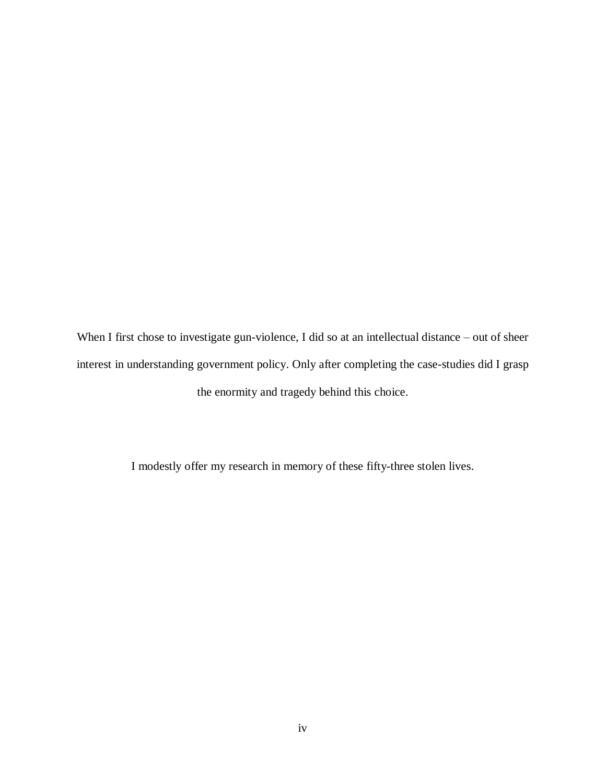When I first chose to investigate gun-violence, I did so at an intellectual distance – out of sheer interest in understanding government policy. Only after completing the case-studies did I grasp the enormity and tragedy behind this choice.

I modestly offer my research in memory of these fifty-three stolen lives.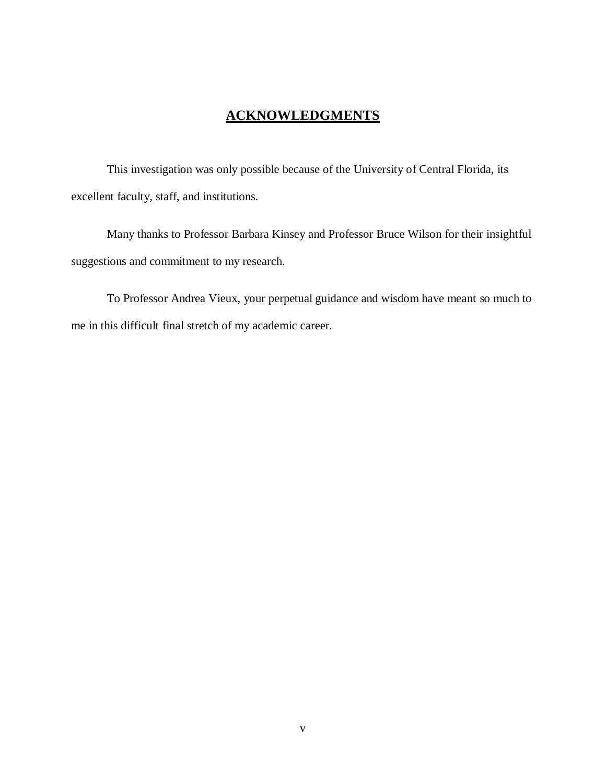# **ACKNOWLEDGMENTS**

This investigation was only possible because of the University of Central Florida, its excellent faculty, staff, and institutions.

Many thanks to Professor Barbara Kinsey and Professor Bruce Wilson for their insightful suggestions and commitment to my research.

To Professor Andrea Vieux, your perpetual guidance and wisdom have meant so much to me in this difficult final stretch of my academic career.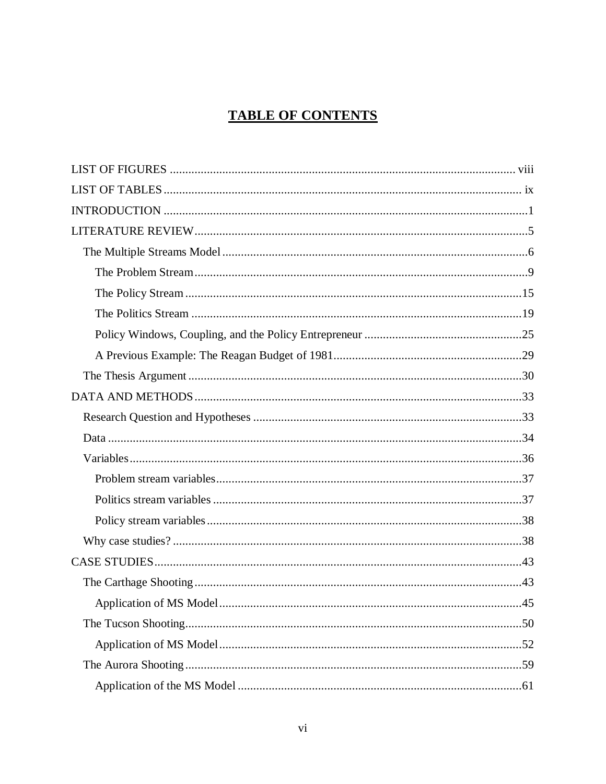# **TABLE OF CONTENTS**

| .45 |
|-----|
|     |
|     |
|     |
|     |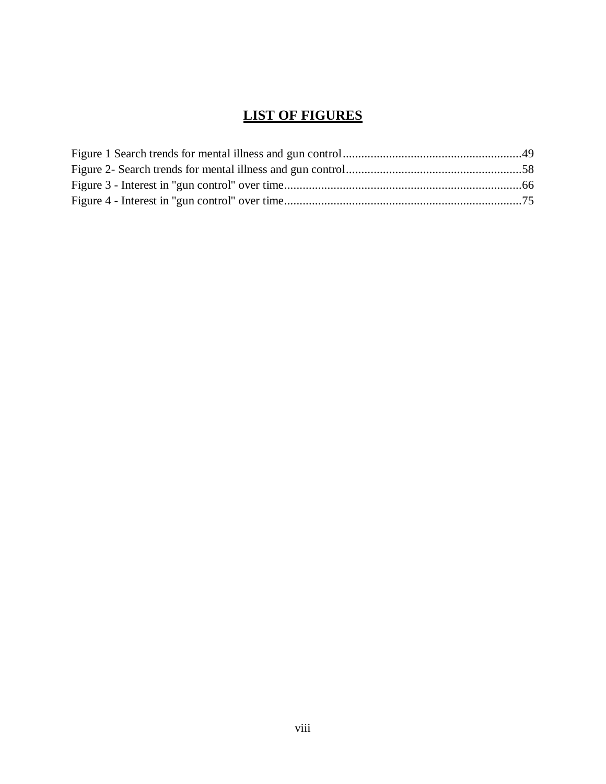# **LIST OF FIGURES**

<span id="page-8-0"></span>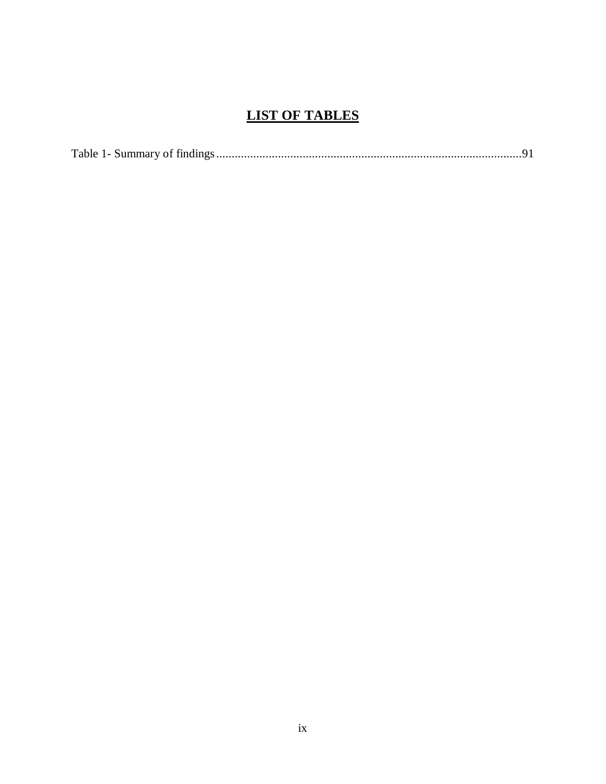# **LIST OF TABLES**

<span id="page-9-0"></span>

|--|--|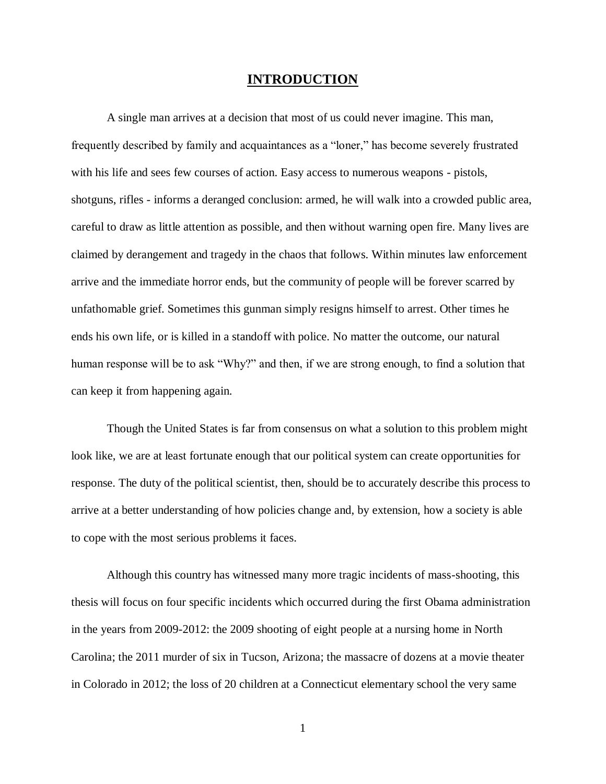# **INTRODUCTION**

<span id="page-10-0"></span>A single man arrives at a decision that most of us could never imagine. This man, frequently described by family and acquaintances as a "loner," has become severely frustrated with his life and sees few courses of action. Easy access to numerous weapons - pistols, shotguns, rifles - informs a deranged conclusion: armed, he will walk into a crowded public area, careful to draw as little attention as possible, and then without warning open fire. Many lives are claimed by derangement and tragedy in the chaos that follows. Within minutes law enforcement arrive and the immediate horror ends, but the community of people will be forever scarred by unfathomable grief. Sometimes this gunman simply resigns himself to arrest. Other times he ends his own life, or is killed in a standoff with police. No matter the outcome, our natural human response will be to ask "Why?" and then, if we are strong enough, to find a solution that can keep it from happening again.

Though the United States is far from consensus on what a solution to this problem might look like, we are at least fortunate enough that our political system can create opportunities for response. The duty of the political scientist, then, should be to accurately describe this process to arrive at a better understanding of how policies change and, by extension, how a society is able to cope with the most serious problems it faces.

Although this country has witnessed many more tragic incidents of mass-shooting, this thesis will focus on four specific incidents which occurred during the first Obama administration in the years from 2009-2012: the 2009 shooting of eight people at a nursing home in North Carolina; the 2011 murder of six in Tucson, Arizona; the massacre of dozens at a movie theater in Colorado in 2012; the loss of 20 children at a Connecticut elementary school the very same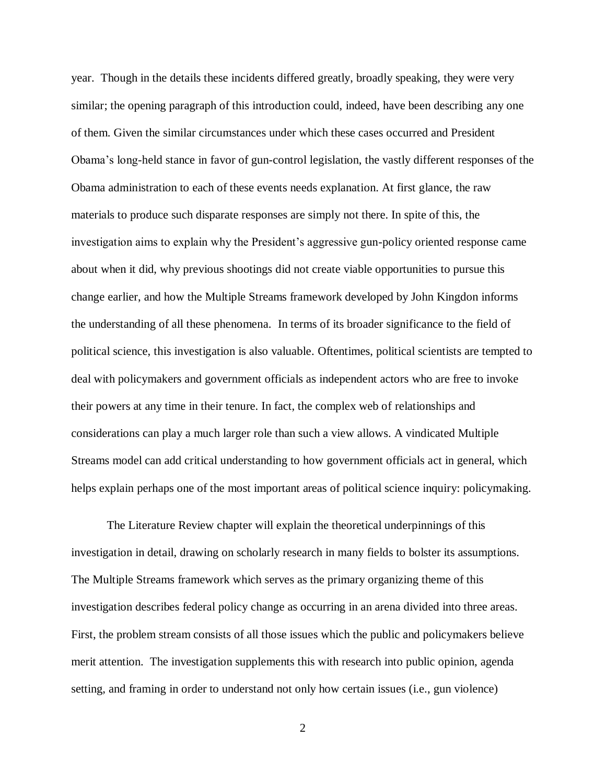year. Though in the details these incidents differed greatly, broadly speaking, they were very similar; the opening paragraph of this introduction could, indeed, have been describing any one of them. Given the similar circumstances under which these cases occurred and President Obama's long-held stance in favor of gun-control legislation, the vastly different responses of the Obama administration to each of these events needs explanation. At first glance, the raw materials to produce such disparate responses are simply not there. In spite of this, the investigation aims to explain why the President's aggressive gun-policy oriented response came about when it did, why previous shootings did not create viable opportunities to pursue this change earlier, and how the Multiple Streams framework developed by John Kingdon informs the understanding of all these phenomena. In terms of its broader significance to the field of political science, this investigation is also valuable. Oftentimes, political scientists are tempted to deal with policymakers and government officials as independent actors who are free to invoke their powers at any time in their tenure. In fact, the complex web of relationships and considerations can play a much larger role than such a view allows. A vindicated Multiple Streams model can add critical understanding to how government officials act in general, which helps explain perhaps one of the most important areas of political science inquiry: policymaking.

The Literature Review chapter will explain the theoretical underpinnings of this investigation in detail, drawing on scholarly research in many fields to bolster its assumptions. The Multiple Streams framework which serves as the primary organizing theme of this investigation describes federal policy change as occurring in an arena divided into three areas. First, the problem stream consists of all those issues which the public and policymakers believe merit attention. The investigation supplements this with research into public opinion, agenda setting, and framing in order to understand not only how certain issues (i.e., gun violence)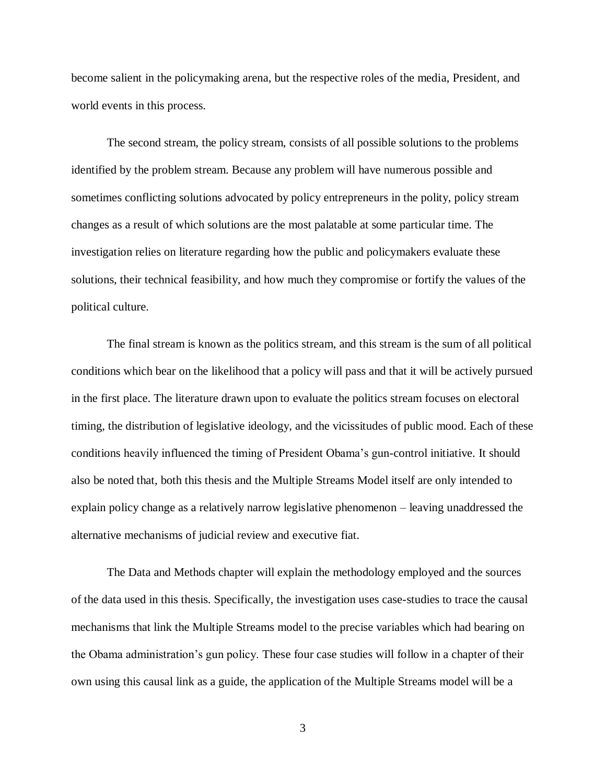become salient in the policymaking arena, but the respective roles of the media, President, and world events in this process.

The second stream, the policy stream, consists of all possible solutions to the problems identified by the problem stream. Because any problem will have numerous possible and sometimes conflicting solutions advocated by policy entrepreneurs in the polity, policy stream changes as a result of which solutions are the most palatable at some particular time. The investigation relies on literature regarding how the public and policymakers evaluate these solutions, their technical feasibility, and how much they compromise or fortify the values of the political culture.

The final stream is known as the politics stream, and this stream is the sum of all political conditions which bear on the likelihood that a policy will pass and that it will be actively pursued in the first place. The literature drawn upon to evaluate the politics stream focuses on electoral timing, the distribution of legislative ideology, and the vicissitudes of public mood. Each of these conditions heavily influenced the timing of President Obama's gun-control initiative. It should also be noted that, both this thesis and the Multiple Streams Model itself are only intended to explain policy change as a relatively narrow legislative phenomenon – leaving unaddressed the alternative mechanisms of judicial review and executive fiat.

The Data and Methods chapter will explain the methodology employed and the sources of the data used in this thesis. Specifically, the investigation uses case-studies to trace the causal mechanisms that link the Multiple Streams model to the precise variables which had bearing on the Obama administration's gun policy. These four case studies will follow in a chapter of their own using this causal link as a guide, the application of the Multiple Streams model will be a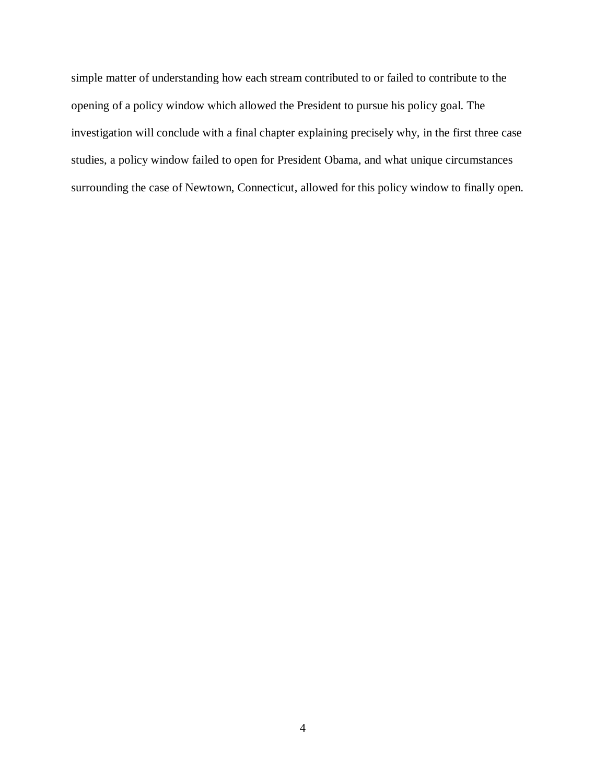simple matter of understanding how each stream contributed to or failed to contribute to the opening of a policy window which allowed the President to pursue his policy goal. The investigation will conclude with a final chapter explaining precisely why, in the first three case studies, a policy window failed to open for President Obama, and what unique circumstances surrounding the case of Newtown, Connecticut, allowed for this policy window to finally open.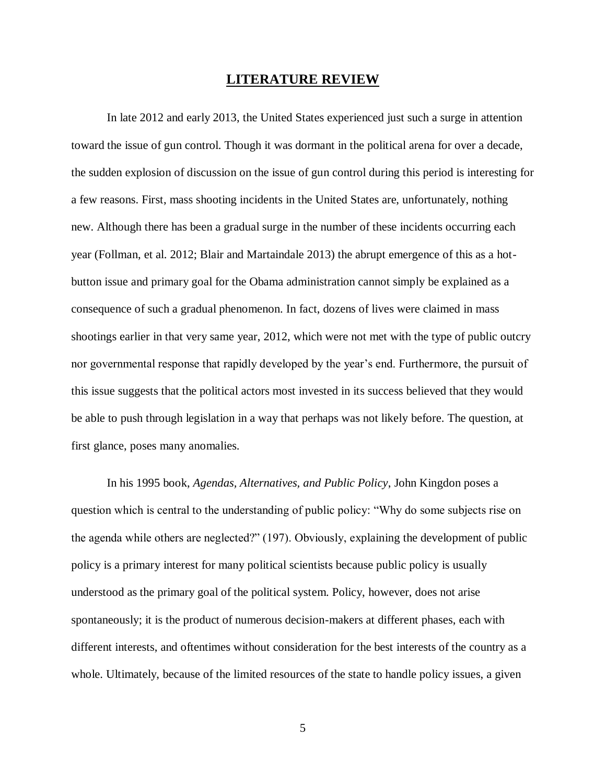# **LITERATURE REVIEW**

<span id="page-14-0"></span>In late 2012 and early 2013, the United States experienced just such a surge in attention toward the issue of gun control. Though it was dormant in the political arena for over a decade, the sudden explosion of discussion on the issue of gun control during this period is interesting for a few reasons. First, mass shooting incidents in the United States are, unfortunately, nothing new. Although there has been a gradual surge in the number of these incidents occurring each year (Follman, et al. 2012; Blair and Martaindale 2013) the abrupt emergence of this as a hotbutton issue and primary goal for the Obama administration cannot simply be explained as a consequence of such a gradual phenomenon. In fact, dozens of lives were claimed in mass shootings earlier in that very same year, 2012, which were not met with the type of public outcry nor governmental response that rapidly developed by the year's end. Furthermore, the pursuit of this issue suggests that the political actors most invested in its success believed that they would be able to push through legislation in a way that perhaps was not likely before. The question, at first glance, poses many anomalies.

In his 1995 book, *Agendas, Alternatives, and Public Policy*, John Kingdon poses a question which is central to the understanding of public policy: "Why do some subjects rise on the agenda while others are neglected?" (197). Obviously, explaining the development of public policy is a primary interest for many political scientists because public policy is usually understood as the primary goal of the political system. Policy, however, does not arise spontaneously; it is the product of numerous decision-makers at different phases, each with different interests, and oftentimes without consideration for the best interests of the country as a whole. Ultimately, because of the limited resources of the state to handle policy issues, a given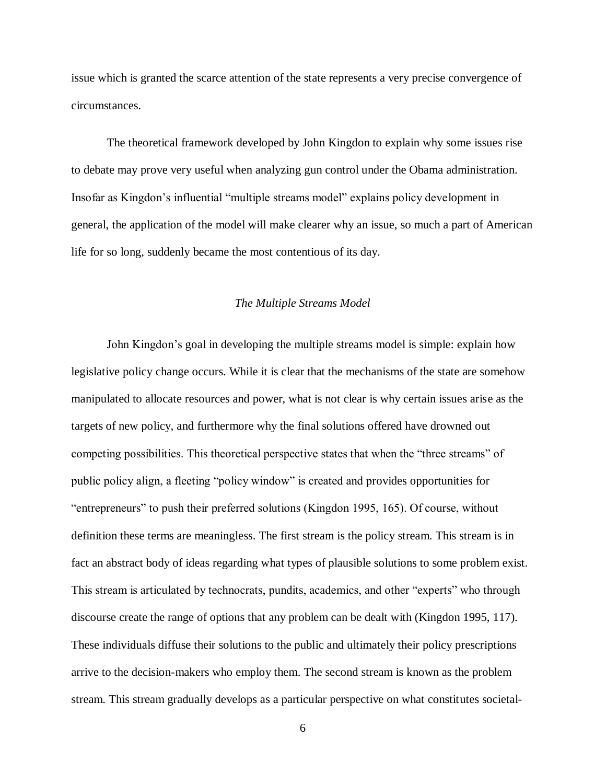issue which is granted the scarce attention of the state represents a very precise convergence of circumstances.

The theoretical framework developed by John Kingdon to explain why some issues rise to debate may prove very useful when analyzing gun control under the Obama administration. Insofar as Kingdon's influential "multiple streams model" explains policy development in general, the application of the model will make clearer why an issue, so much a part of American life for so long, suddenly became the most contentious of its day.

#### *The Multiple Streams Model*

<span id="page-15-0"></span>John Kingdon's goal in developing the multiple streams model is simple: explain how legislative policy change occurs. While it is clear that the mechanisms of the state are somehow manipulated to allocate resources and power, what is not clear is why certain issues arise as the targets of new policy, and furthermore why the final solutions offered have drowned out competing possibilities. This theoretical perspective states that when the "three streams" of public policy align, a fleeting "policy window" is created and provides opportunities for "entrepreneurs" to push their preferred solutions (Kingdon 1995, 165). Of course, without definition these terms are meaningless. The first stream is the policy stream. This stream is in fact an abstract body of ideas regarding what types of plausible solutions to some problem exist. This stream is articulated by technocrats, pundits, academics, and other "experts" who through discourse create the range of options that any problem can be dealt with (Kingdon 1995, 117). These individuals diffuse their solutions to the public and ultimately their policy prescriptions arrive to the decision-makers who employ them. The second stream is known as the problem stream. This stream gradually develops as a particular perspective on what constitutes societal-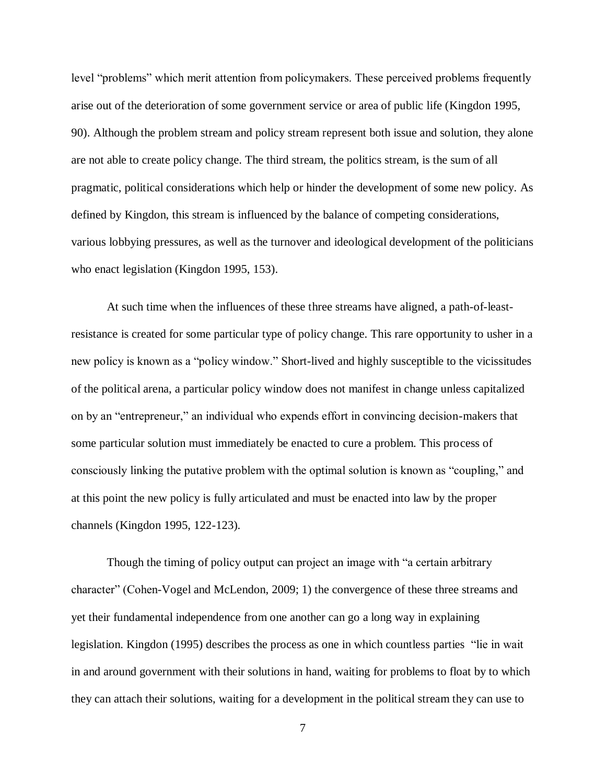level "problems" which merit attention from policymakers. These perceived problems frequently arise out of the deterioration of some government service or area of public life (Kingdon 1995, 90). Although the problem stream and policy stream represent both issue and solution, they alone are not able to create policy change. The third stream, the politics stream, is the sum of all pragmatic, political considerations which help or hinder the development of some new policy. As defined by Kingdon, this stream is influenced by the balance of competing considerations, various lobbying pressures, as well as the turnover and ideological development of the politicians who enact legislation (Kingdon 1995, 153).

At such time when the influences of these three streams have aligned, a path-of-leastresistance is created for some particular type of policy change. This rare opportunity to usher in a new policy is known as a "policy window." Short-lived and highly susceptible to the vicissitudes of the political arena, a particular policy window does not manifest in change unless capitalized on by an "entrepreneur," an individual who expends effort in convincing decision-makers that some particular solution must immediately be enacted to cure a problem. This process of consciously linking the putative problem with the optimal solution is known as "coupling," and at this point the new policy is fully articulated and must be enacted into law by the proper channels (Kingdon 1995, 122-123).

Though the timing of policy output can project an image with "a certain arbitrary character" (Cohen-Vogel and McLendon, 2009; 1) the convergence of these three streams and yet their fundamental independence from one another can go a long way in explaining legislation. Kingdon (1995) describes the process as one in which countless parties "lie in wait in and around government with their solutions in hand, waiting for problems to float by to which they can attach their solutions, waiting for a development in the political stream they can use to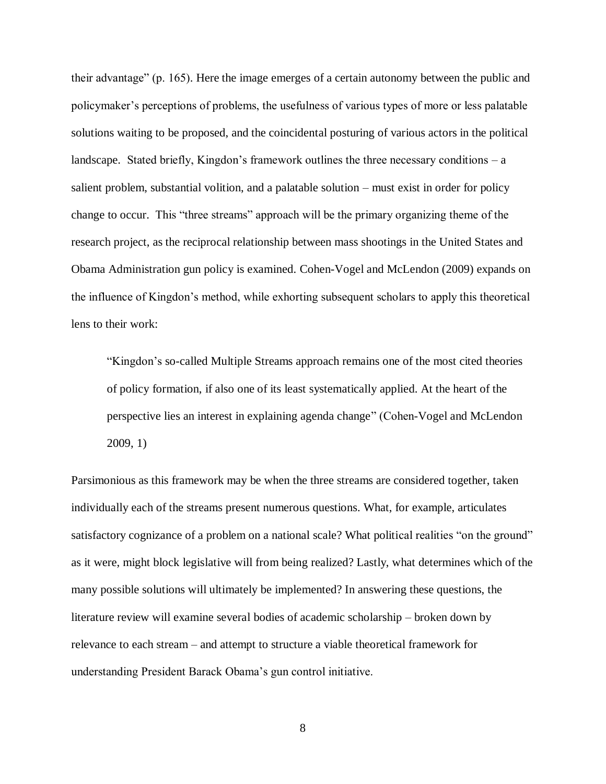their advantage" (p. 165). Here the image emerges of a certain autonomy between the public and policymaker's perceptions of problems, the usefulness of various types of more or less palatable solutions waiting to be proposed, and the coincidental posturing of various actors in the political landscape. Stated briefly, Kingdon's framework outlines the three necessary conditions  $-a$ salient problem, substantial volition, and a palatable solution – must exist in order for policy change to occur. This "three streams" approach will be the primary organizing theme of the research project, as the reciprocal relationship between mass shootings in the United States and Obama Administration gun policy is examined. Cohen-Vogel and McLendon (2009) expands on the influence of Kingdon's method, while exhorting subsequent scholars to apply this theoretical lens to their work:

"Kingdon's so-called Multiple Streams approach remains one of the most cited theories of policy formation, if also one of its least systematically applied. At the heart of the perspective lies an interest in explaining agenda change" (Cohen-Vogel and McLendon 2009, 1)

Parsimonious as this framework may be when the three streams are considered together, taken individually each of the streams present numerous questions. What, for example, articulates satisfactory cognizance of a problem on a national scale? What political realities "on the ground" as it were, might block legislative will from being realized? Lastly, what determines which of the many possible solutions will ultimately be implemented? In answering these questions, the literature review will examine several bodies of academic scholarship – broken down by relevance to each stream – and attempt to structure a viable theoretical framework for understanding President Barack Obama's gun control initiative.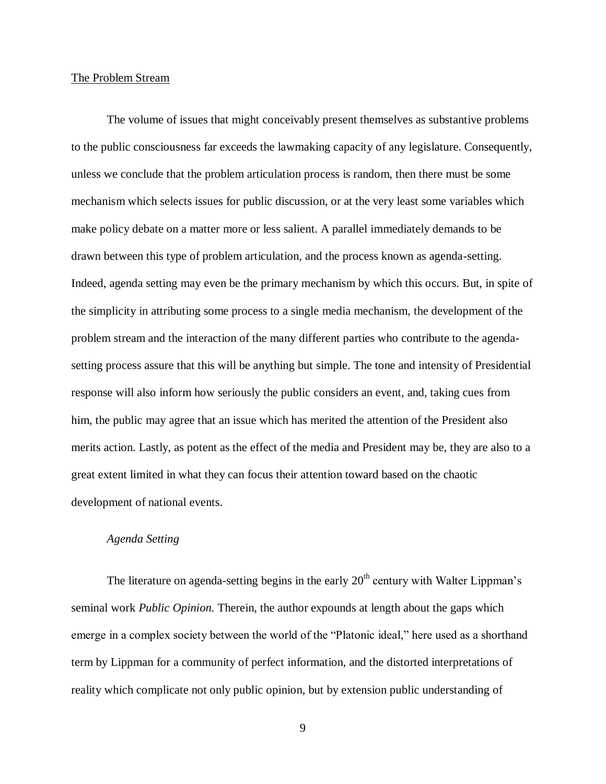### <span id="page-18-0"></span>The Problem Stream

The volume of issues that might conceivably present themselves as substantive problems to the public consciousness far exceeds the lawmaking capacity of any legislature. Consequently, unless we conclude that the problem articulation process is random, then there must be some mechanism which selects issues for public discussion, or at the very least some variables which make policy debate on a matter more or less salient. A parallel immediately demands to be drawn between this type of problem articulation, and the process known as agenda-setting. Indeed, agenda setting may even be the primary mechanism by which this occurs. But, in spite of the simplicity in attributing some process to a single media mechanism, the development of the problem stream and the interaction of the many different parties who contribute to the agendasetting process assure that this will be anything but simple. The tone and intensity of Presidential response will also inform how seriously the public considers an event, and, taking cues from him, the public may agree that an issue which has merited the attention of the President also merits action. Lastly, as potent as the effect of the media and President may be, they are also to a great extent limited in what they can focus their attention toward based on the chaotic development of national events.

# *Agenda Setting*

The literature on agenda-setting begins in the early  $20<sup>th</sup>$  century with Walter Lippman's seminal work *Public Opinion.* Therein, the author expounds at length about the gaps which emerge in a complex society between the world of the "Platonic ideal," here used as a shorthand term by Lippman for a community of perfect information, and the distorted interpretations of reality which complicate not only public opinion, but by extension public understanding of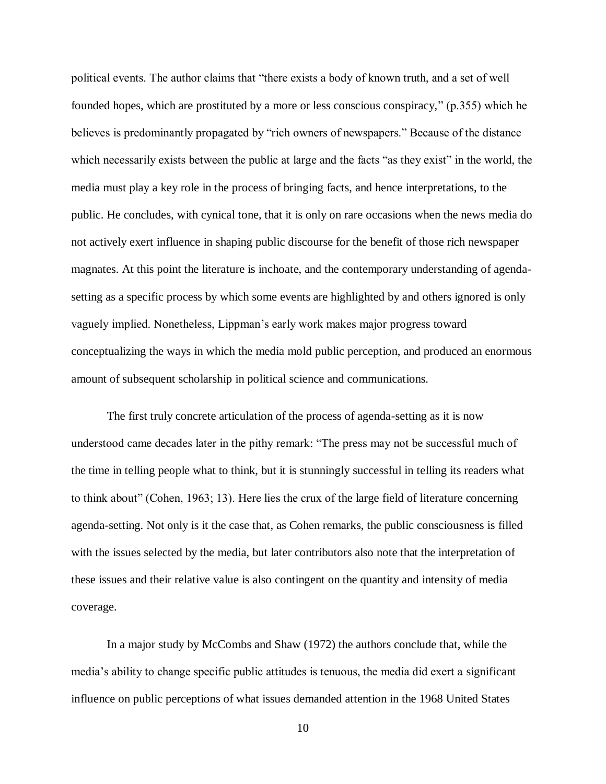political events. The author claims that "there exists a body of known truth, and a set of well founded hopes, which are prostituted by a more or less conscious conspiracy," (p.355) which he believes is predominantly propagated by "rich owners of newspapers." Because of the distance which necessarily exists between the public at large and the facts "as they exist" in the world, the media must play a key role in the process of bringing facts, and hence interpretations, to the public. He concludes, with cynical tone, that it is only on rare occasions when the news media do not actively exert influence in shaping public discourse for the benefit of those rich newspaper magnates. At this point the literature is inchoate, and the contemporary understanding of agendasetting as a specific process by which some events are highlighted by and others ignored is only vaguely implied. Nonetheless, Lippman's early work makes major progress toward conceptualizing the ways in which the media mold public perception, and produced an enormous amount of subsequent scholarship in political science and communications.

The first truly concrete articulation of the process of agenda-setting as it is now understood came decades later in the pithy remark: "The press may not be successful much of the time in telling people what to think, but it is stunningly successful in telling its readers what to think about" (Cohen, 1963; 13). Here lies the crux of the large field of literature concerning agenda-setting. Not only is it the case that, as Cohen remarks, the public consciousness is filled with the issues selected by the media, but later contributors also note that the interpretation of these issues and their relative value is also contingent on the quantity and intensity of media coverage.

In a major study by McCombs and Shaw (1972) the authors conclude that, while the media's ability to change specific public attitudes is tenuous, the media did exert a significant influence on public perceptions of what issues demanded attention in the 1968 United States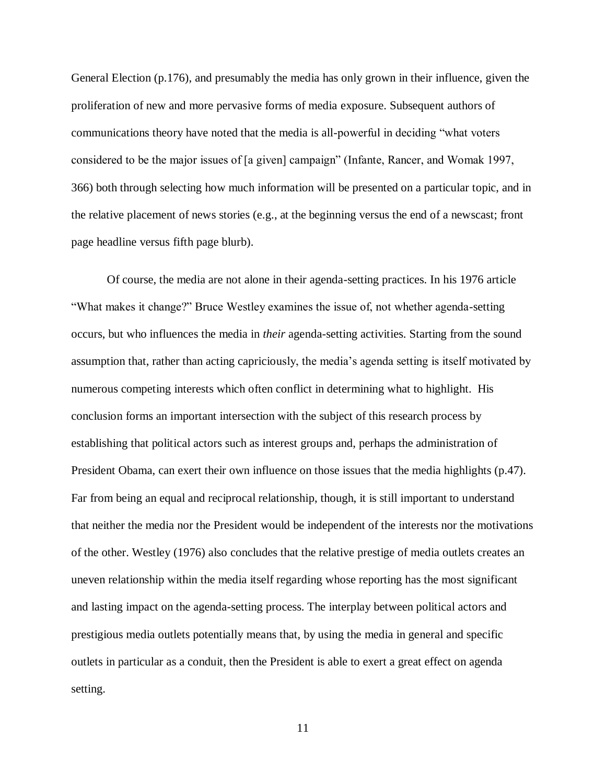General Election (p.176), and presumably the media has only grown in their influence, given the proliferation of new and more pervasive forms of media exposure. Subsequent authors of communications theory have noted that the media is all-powerful in deciding "what voters considered to be the major issues of [a given] campaign" (Infante, Rancer, and Womak 1997, 366) both through selecting how much information will be presented on a particular topic, and in the relative placement of news stories (e.g., at the beginning versus the end of a newscast; front page headline versus fifth page blurb).

Of course, the media are not alone in their agenda-setting practices. In his 1976 article "What makes it change?" Bruce Westley examines the issue of, not whether agenda-setting occurs, but who influences the media in *their* agenda-setting activities. Starting from the sound assumption that, rather than acting capriciously, the media's agenda setting is itself motivated by numerous competing interests which often conflict in determining what to highlight. His conclusion forms an important intersection with the subject of this research process by establishing that political actors such as interest groups and, perhaps the administration of President Obama, can exert their own influence on those issues that the media highlights (p.47). Far from being an equal and reciprocal relationship, though, it is still important to understand that neither the media nor the President would be independent of the interests nor the motivations of the other. Westley (1976) also concludes that the relative prestige of media outlets creates an uneven relationship within the media itself regarding whose reporting has the most significant and lasting impact on the agenda-setting process. The interplay between political actors and prestigious media outlets potentially means that, by using the media in general and specific outlets in particular as a conduit, then the President is able to exert a great effect on agenda setting.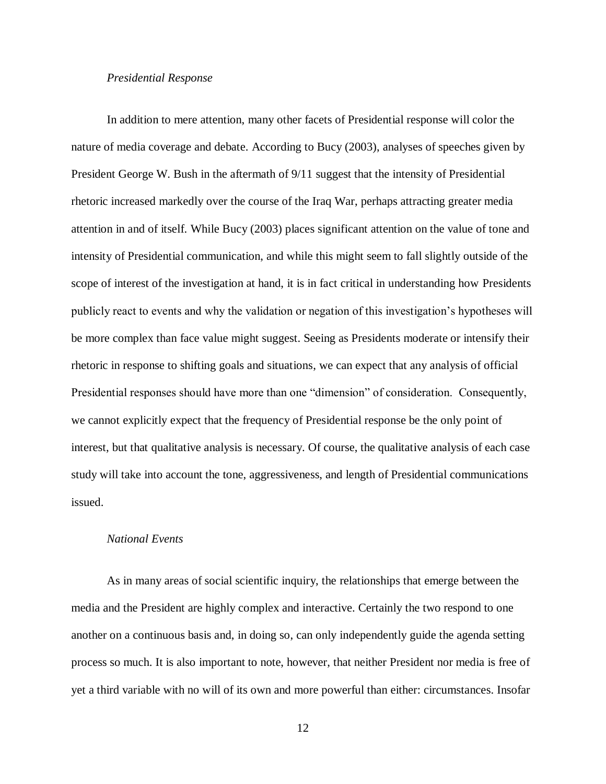## *Presidential Response*

In addition to mere attention, many other facets of Presidential response will color the nature of media coverage and debate. According to Bucy (2003), analyses of speeches given by President George W. Bush in the aftermath of 9/11 suggest that the intensity of Presidential rhetoric increased markedly over the course of the Iraq War, perhaps attracting greater media attention in and of itself. While Bucy (2003) places significant attention on the value of tone and intensity of Presidential communication, and while this might seem to fall slightly outside of the scope of interest of the investigation at hand, it is in fact critical in understanding how Presidents publicly react to events and why the validation or negation of this investigation's hypotheses will be more complex than face value might suggest. Seeing as Presidents moderate or intensify their rhetoric in response to shifting goals and situations, we can expect that any analysis of official Presidential responses should have more than one "dimension" of consideration. Consequently, we cannot explicitly expect that the frequency of Presidential response be the only point of interest, but that qualitative analysis is necessary. Of course, the qualitative analysis of each case study will take into account the tone, aggressiveness, and length of Presidential communications issued.

# *National Events*

As in many areas of social scientific inquiry, the relationships that emerge between the media and the President are highly complex and interactive. Certainly the two respond to one another on a continuous basis and, in doing so, can only independently guide the agenda setting process so much. It is also important to note, however, that neither President nor media is free of yet a third variable with no will of its own and more powerful than either: circumstances. Insofar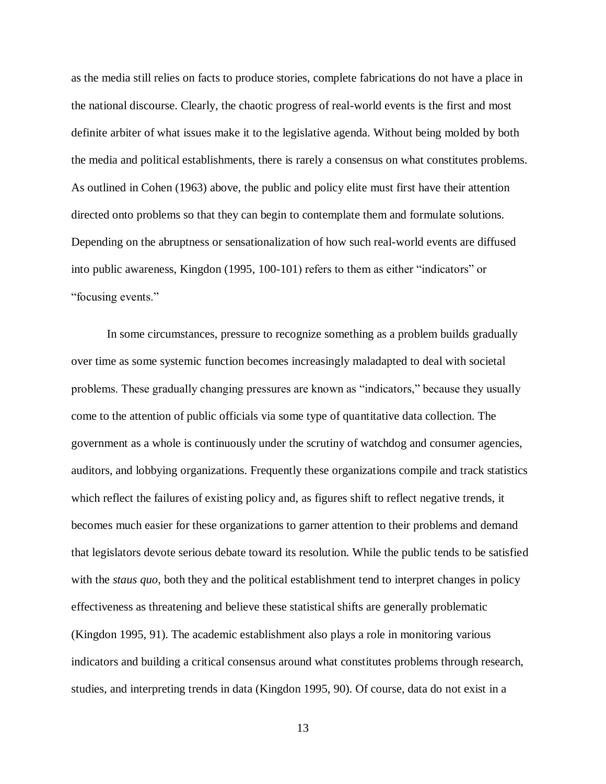as the media still relies on facts to produce stories, complete fabrications do not have a place in the national discourse. Clearly, the chaotic progress of real-world events is the first and most definite arbiter of what issues make it to the legislative agenda. Without being molded by both the media and political establishments, there is rarely a consensus on what constitutes problems. As outlined in Cohen (1963) above, the public and policy elite must first have their attention directed onto problems so that they can begin to contemplate them and formulate solutions. Depending on the abruptness or sensationalization of how such real-world events are diffused into public awareness, Kingdon (1995, 100-101) refers to them as either "indicators" or "focusing events."

In some circumstances, pressure to recognize something as a problem builds gradually over time as some systemic function becomes increasingly maladapted to deal with societal problems. These gradually changing pressures are known as "indicators," because they usually come to the attention of public officials via some type of quantitative data collection. The government as a whole is continuously under the scrutiny of watchdog and consumer agencies, auditors, and lobbying organizations. Frequently these organizations compile and track statistics which reflect the failures of existing policy and, as figures shift to reflect negative trends, it becomes much easier for these organizations to garner attention to their problems and demand that legislators devote serious debate toward its resolution. While the public tends to be satisfied with the *staus quo*, both they and the political establishment tend to interpret changes in policy effectiveness as threatening and believe these statistical shifts are generally problematic (Kingdon 1995, 91). The academic establishment also plays a role in monitoring various indicators and building a critical consensus around what constitutes problems through research, studies, and interpreting trends in data (Kingdon 1995, 90). Of course, data do not exist in a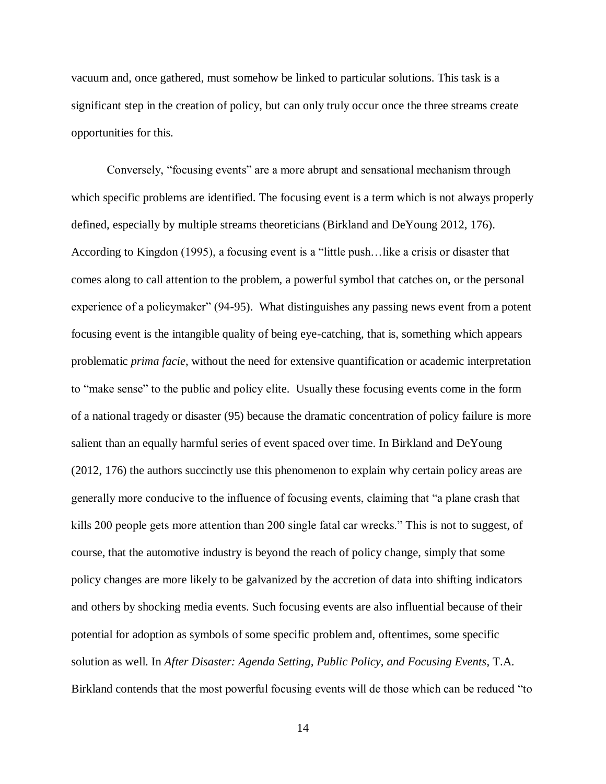vacuum and, once gathered, must somehow be linked to particular solutions. This task is a significant step in the creation of policy, but can only truly occur once the three streams create opportunities for this.

Conversely, "focusing events" are a more abrupt and sensational mechanism through which specific problems are identified. The focusing event is a term which is not always properly defined, especially by multiple streams theoreticians (Birkland and DeYoung 2012, 176). According to Kingdon (1995), a focusing event is a "little push…like a crisis or disaster that comes along to call attention to the problem, a powerful symbol that catches on, or the personal experience of a policymaker" (94-95). What distinguishes any passing news event from a potent focusing event is the intangible quality of being eye-catching, that is, something which appears problematic *prima facie*, without the need for extensive quantification or academic interpretation to "make sense" to the public and policy elite. Usually these focusing events come in the form of a national tragedy or disaster (95) because the dramatic concentration of policy failure is more salient than an equally harmful series of event spaced over time. In Birkland and DeYoung (2012, 176) the authors succinctly use this phenomenon to explain why certain policy areas are generally more conducive to the influence of focusing events, claiming that "a plane crash that kills 200 people gets more attention than 200 single fatal car wrecks." This is not to suggest, of course, that the automotive industry is beyond the reach of policy change, simply that some policy changes are more likely to be galvanized by the accretion of data into shifting indicators and others by shocking media events. Such focusing events are also influential because of their potential for adoption as symbols of some specific problem and, oftentimes, some specific solution as well. In *After Disaster: Agenda Setting, Public Policy, and Focusing Events*, T.A. Birkland contends that the most powerful focusing events will de those which can be reduced "to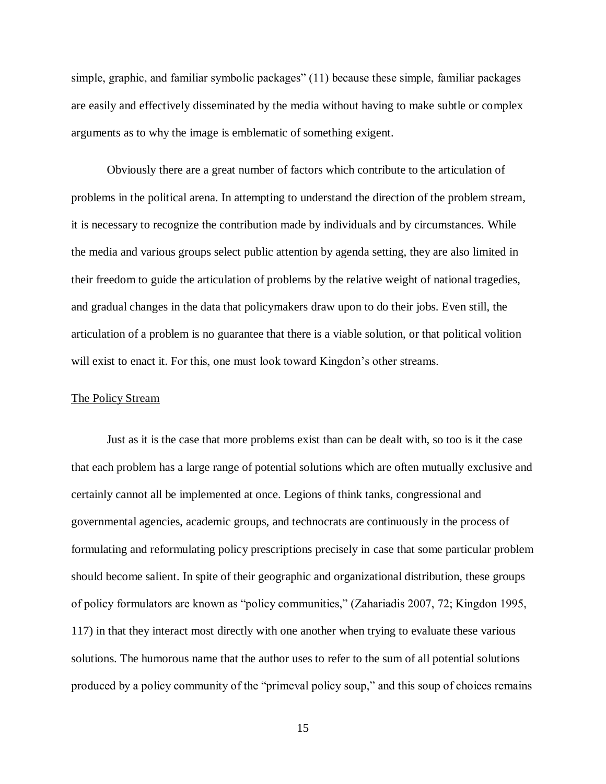simple, graphic, and familiar symbolic packages" (11) because these simple, familiar packages are easily and effectively disseminated by the media without having to make subtle or complex arguments as to why the image is emblematic of something exigent.

Obviously there are a great number of factors which contribute to the articulation of problems in the political arena. In attempting to understand the direction of the problem stream, it is necessary to recognize the contribution made by individuals and by circumstances. While the media and various groups select public attention by agenda setting, they are also limited in their freedom to guide the articulation of problems by the relative weight of national tragedies, and gradual changes in the data that policymakers draw upon to do their jobs. Even still, the articulation of a problem is no guarantee that there is a viable solution, or that political volition will exist to enact it. For this, one must look toward Kingdon's other streams.

### <span id="page-24-0"></span>The Policy Stream

Just as it is the case that more problems exist than can be dealt with, so too is it the case that each problem has a large range of potential solutions which are often mutually exclusive and certainly cannot all be implemented at once. Legions of think tanks, congressional and governmental agencies, academic groups, and technocrats are continuously in the process of formulating and reformulating policy prescriptions precisely in case that some particular problem should become salient. In spite of their geographic and organizational distribution, these groups of policy formulators are known as "policy communities," (Zahariadis 2007, 72; Kingdon 1995, 117) in that they interact most directly with one another when trying to evaluate these various solutions. The humorous name that the author uses to refer to the sum of all potential solutions produced by a policy community of the "primeval policy soup," and this soup of choices remains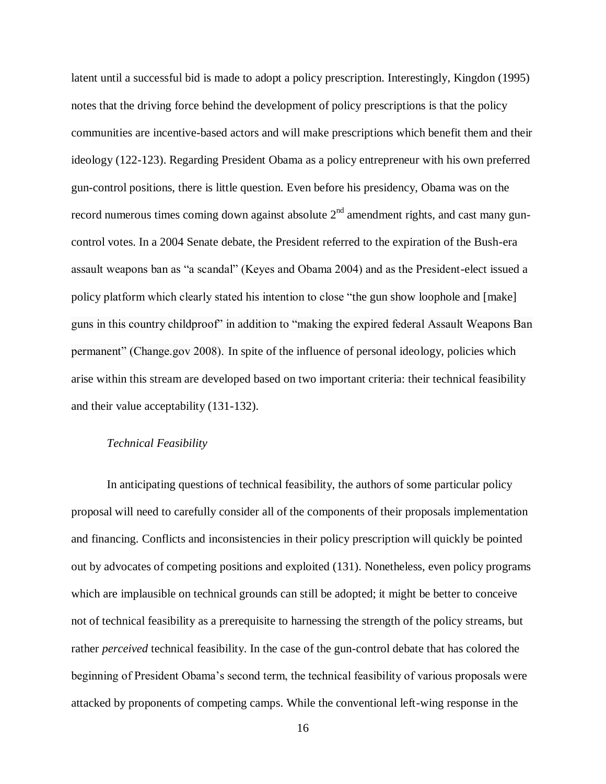latent until a successful bid is made to adopt a policy prescription. Interestingly, Kingdon (1995) notes that the driving force behind the development of policy prescriptions is that the policy communities are incentive-based actors and will make prescriptions which benefit them and their ideology (122-123). Regarding President Obama as a policy entrepreneur with his own preferred gun-control positions, there is little question. Even before his presidency, Obama was on the record numerous times coming down against absolute  $2<sup>nd</sup>$  amendment rights, and cast many guncontrol votes. In a 2004 Senate debate, the President referred to the expiration of the Bush-era assault weapons ban as "a scandal" (Keyes and Obama 2004) and as the President-elect issued a policy platform which clearly stated his intention to close "the gun show loophole and [make] guns in this country childproof" in addition to "making the expired federal Assault Weapons Ban permanent" (Change.gov 2008). In spite of the influence of personal ideology, policies which arise within this stream are developed based on two important criteria: their technical feasibility and their value acceptability (131-132).

# *Technical Feasibility*

In anticipating questions of technical feasibility, the authors of some particular policy proposal will need to carefully consider all of the components of their proposals implementation and financing. Conflicts and inconsistencies in their policy prescription will quickly be pointed out by advocates of competing positions and exploited (131). Nonetheless, even policy programs which are implausible on technical grounds can still be adopted; it might be better to conceive not of technical feasibility as a prerequisite to harnessing the strength of the policy streams, but rather *perceived* technical feasibility. In the case of the gun-control debate that has colored the beginning of President Obama's second term, the technical feasibility of various proposals were attacked by proponents of competing camps. While the conventional left-wing response in the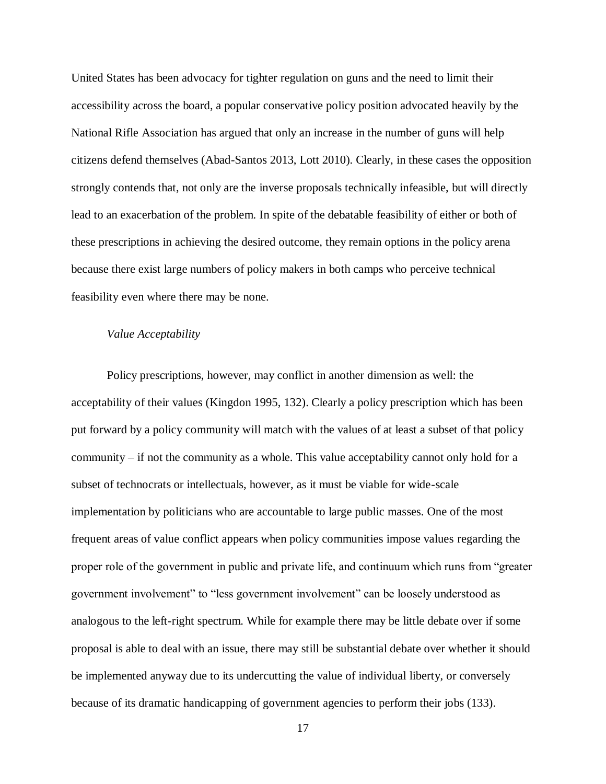United States has been advocacy for tighter regulation on guns and the need to limit their accessibility across the board, a popular conservative policy position advocated heavily by the National Rifle Association has argued that only an increase in the number of guns will help citizens defend themselves (Abad-Santos 2013, Lott 2010). Clearly, in these cases the opposition strongly contends that, not only are the inverse proposals technically infeasible, but will directly lead to an exacerbation of the problem. In spite of the debatable feasibility of either or both of these prescriptions in achieving the desired outcome, they remain options in the policy arena because there exist large numbers of policy makers in both camps who perceive technical feasibility even where there may be none.

## *Value Acceptability*

Policy prescriptions, however, may conflict in another dimension as well: the acceptability of their values (Kingdon 1995, 132). Clearly a policy prescription which has been put forward by a policy community will match with the values of at least a subset of that policy community – if not the community as a whole. This value acceptability cannot only hold for a subset of technocrats or intellectuals, however, as it must be viable for wide-scale implementation by politicians who are accountable to large public masses. One of the most frequent areas of value conflict appears when policy communities impose values regarding the proper role of the government in public and private life, and continuum which runs from "greater government involvement" to "less government involvement" can be loosely understood as analogous to the left-right spectrum. While for example there may be little debate over if some proposal is able to deal with an issue, there may still be substantial debate over whether it should be implemented anyway due to its undercutting the value of individual liberty, or conversely because of its dramatic handicapping of government agencies to perform their jobs (133).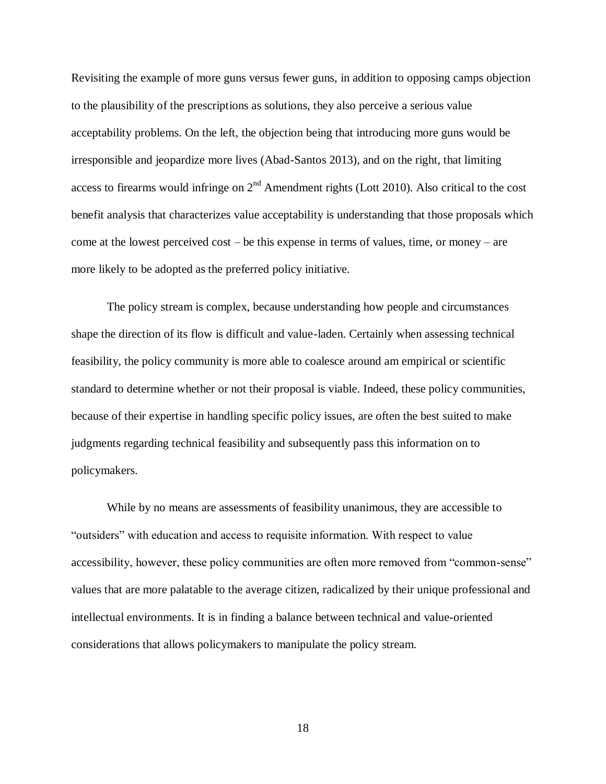Revisiting the example of more guns versus fewer guns, in addition to opposing camps objection to the plausibility of the prescriptions as solutions, they also perceive a serious value acceptability problems. On the left, the objection being that introducing more guns would be irresponsible and jeopardize more lives (Abad-Santos 2013), and on the right, that limiting access to firearms would infringe on  $2<sup>nd</sup>$  Amendment rights (Lott 2010). Also critical to the cost benefit analysis that characterizes value acceptability is understanding that those proposals which come at the lowest perceived cost – be this expense in terms of values, time, or money – are more likely to be adopted as the preferred policy initiative.

The policy stream is complex, because understanding how people and circumstances shape the direction of its flow is difficult and value-laden. Certainly when assessing technical feasibility, the policy community is more able to coalesce around am empirical or scientific standard to determine whether or not their proposal is viable. Indeed, these policy communities, because of their expertise in handling specific policy issues, are often the best suited to make judgments regarding technical feasibility and subsequently pass this information on to policymakers.

While by no means are assessments of feasibility unanimous, they are accessible to "outsiders" with education and access to requisite information. With respect to value accessibility, however, these policy communities are often more removed from "common-sense" values that are more palatable to the average citizen, radicalized by their unique professional and intellectual environments. It is in finding a balance between technical and value-oriented considerations that allows policymakers to manipulate the policy stream.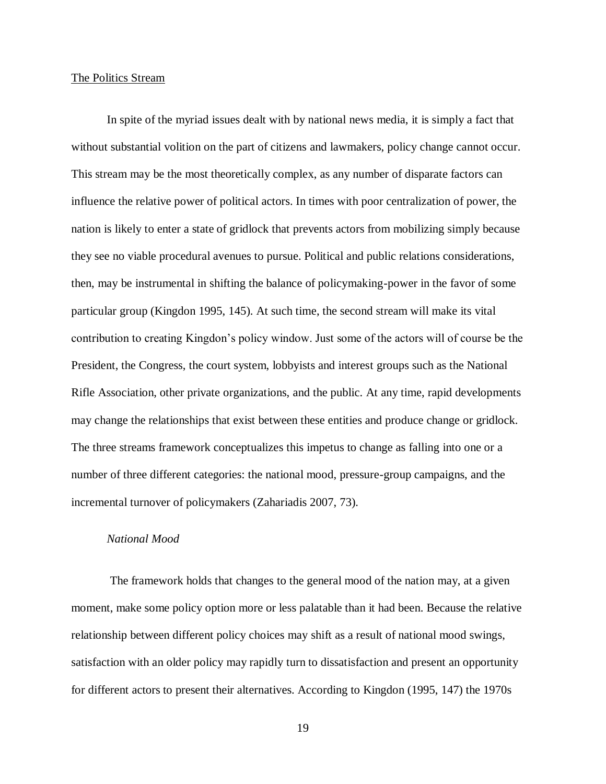### <span id="page-28-0"></span>The Politics Stream

In spite of the myriad issues dealt with by national news media, it is simply a fact that without substantial volition on the part of citizens and lawmakers, policy change cannot occur. This stream may be the most theoretically complex, as any number of disparate factors can influence the relative power of political actors. In times with poor centralization of power, the nation is likely to enter a state of gridlock that prevents actors from mobilizing simply because they see no viable procedural avenues to pursue. Political and public relations considerations, then, may be instrumental in shifting the balance of policymaking-power in the favor of some particular group (Kingdon 1995, 145). At such time, the second stream will make its vital contribution to creating Kingdon's policy window. Just some of the actors will of course be the President, the Congress, the court system, lobbyists and interest groups such as the National Rifle Association, other private organizations, and the public. At any time, rapid developments may change the relationships that exist between these entities and produce change or gridlock. The three streams framework conceptualizes this impetus to change as falling into one or a number of three different categories: the national mood, pressure-group campaigns, and the incremental turnover of policymakers (Zahariadis 2007, 73).

# *National Mood*

The framework holds that changes to the general mood of the nation may, at a given moment, make some policy option more or less palatable than it had been. Because the relative relationship between different policy choices may shift as a result of national mood swings, satisfaction with an older policy may rapidly turn to dissatisfaction and present an opportunity for different actors to present their alternatives. According to Kingdon (1995, 147) the 1970s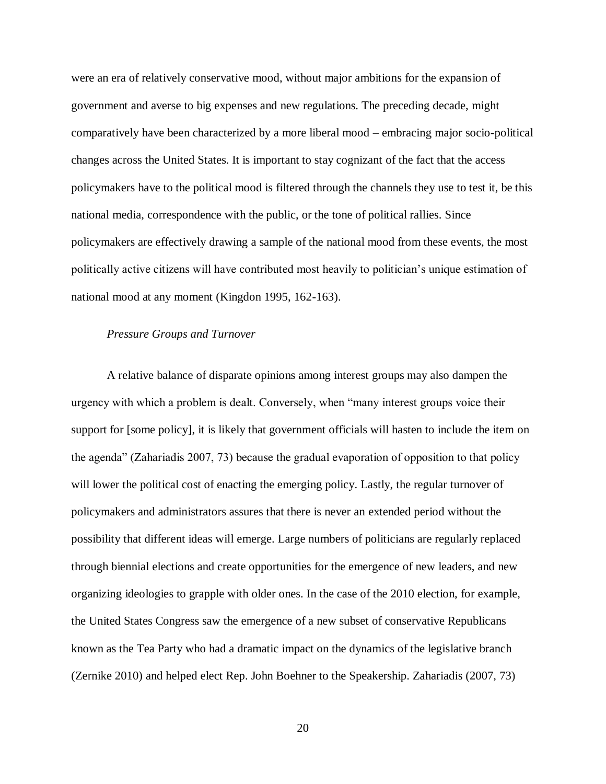were an era of relatively conservative mood, without major ambitions for the expansion of government and averse to big expenses and new regulations. The preceding decade, might comparatively have been characterized by a more liberal mood – embracing major socio-political changes across the United States. It is important to stay cognizant of the fact that the access policymakers have to the political mood is filtered through the channels they use to test it, be this national media, correspondence with the public, or the tone of political rallies. Since policymakers are effectively drawing a sample of the national mood from these events, the most politically active citizens will have contributed most heavily to politician's unique estimation of national mood at any moment (Kingdon 1995, 162-163).

### *Pressure Groups and Turnover*

A relative balance of disparate opinions among interest groups may also dampen the urgency with which a problem is dealt. Conversely, when "many interest groups voice their support for [some policy], it is likely that government officials will hasten to include the item on the agenda" (Zahariadis 2007, 73) because the gradual evaporation of opposition to that policy will lower the political cost of enacting the emerging policy. Lastly, the regular turnover of policymakers and administrators assures that there is never an extended period without the possibility that different ideas will emerge. Large numbers of politicians are regularly replaced through biennial elections and create opportunities for the emergence of new leaders, and new organizing ideologies to grapple with older ones. In the case of the 2010 election, for example, the United States Congress saw the emergence of a new subset of conservative Republicans known as the Tea Party who had a dramatic impact on the dynamics of the legislative branch (Zernike 2010) and helped elect Rep. John Boehner to the Speakership. Zahariadis (2007, 73)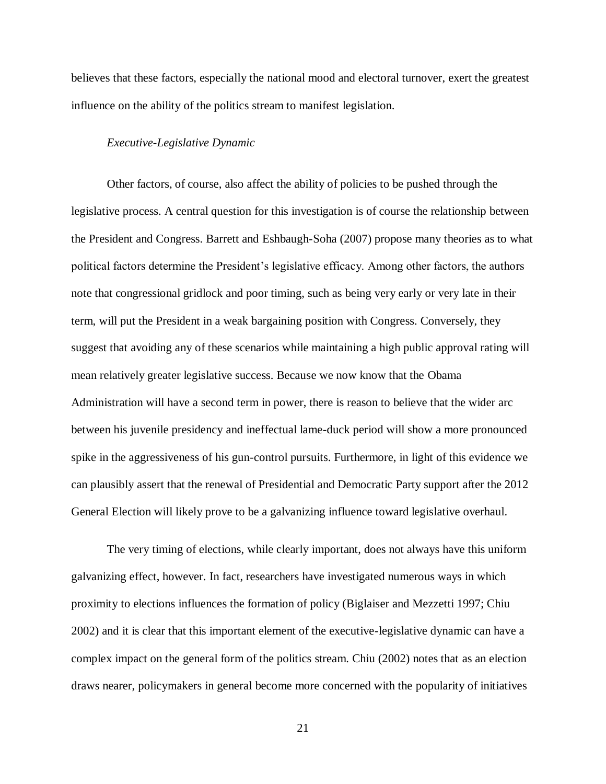believes that these factors, especially the national mood and electoral turnover, exert the greatest influence on the ability of the politics stream to manifest legislation.

#### *Executive-Legislative Dynamic*

Other factors, of course, also affect the ability of policies to be pushed through the legislative process. A central question for this investigation is of course the relationship between the President and Congress. Barrett and Eshbaugh-Soha (2007) propose many theories as to what political factors determine the President's legislative efficacy. Among other factors, the authors note that congressional gridlock and poor timing, such as being very early or very late in their term, will put the President in a weak bargaining position with Congress. Conversely, they suggest that avoiding any of these scenarios while maintaining a high public approval rating will mean relatively greater legislative success. Because we now know that the Obama Administration will have a second term in power, there is reason to believe that the wider arc between his juvenile presidency and ineffectual lame-duck period will show a more pronounced spike in the aggressiveness of his gun-control pursuits. Furthermore, in light of this evidence we can plausibly assert that the renewal of Presidential and Democratic Party support after the 2012 General Election will likely prove to be a galvanizing influence toward legislative overhaul.

The very timing of elections, while clearly important, does not always have this uniform galvanizing effect, however. In fact, researchers have investigated numerous ways in which proximity to elections influences the formation of policy (Biglaiser and Mezzetti 1997; Chiu 2002) and it is clear that this important element of the executive-legislative dynamic can have a complex impact on the general form of the politics stream. Chiu (2002) notes that as an election draws nearer, policymakers in general become more concerned with the popularity of initiatives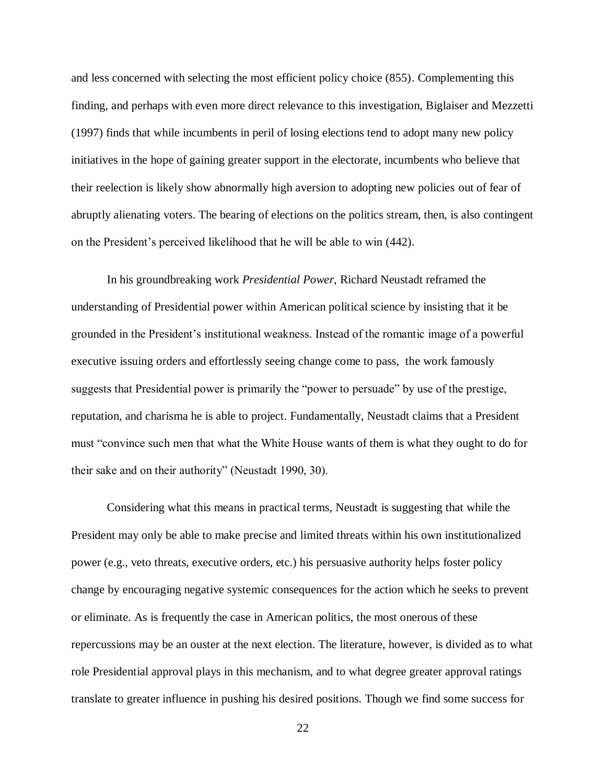and less concerned with selecting the most efficient policy choice (855). Complementing this finding, and perhaps with even more direct relevance to this investigation, Biglaiser and Mezzetti (1997) finds that while incumbents in peril of losing elections tend to adopt many new policy initiatives in the hope of gaining greater support in the electorate, incumbents who believe that their reelection is likely show abnormally high aversion to adopting new policies out of fear of abruptly alienating voters. The bearing of elections on the politics stream, then, is also contingent on the President's perceived likelihood that he will be able to win (442).

In his groundbreaking work *Presidential Power,* Richard Neustadt reframed the understanding of Presidential power within American political science by insisting that it be grounded in the President's institutional weakness. Instead of the romantic image of a powerful executive issuing orders and effortlessly seeing change come to pass, the work famously suggests that Presidential power is primarily the "power to persuade" by use of the prestige, reputation, and charisma he is able to project. Fundamentally, Neustadt claims that a President must "convince such men that what the White House wants of them is what they ought to do for their sake and on their authority" (Neustadt 1990, 30).

Considering what this means in practical terms, Neustadt is suggesting that while the President may only be able to make precise and limited threats within his own institutionalized power (e.g., veto threats, executive orders, etc.) his persuasive authority helps foster policy change by encouraging negative systemic consequences for the action which he seeks to prevent or eliminate. As is frequently the case in American politics, the most onerous of these repercussions may be an ouster at the next election. The literature, however, is divided as to what role Presidential approval plays in this mechanism, and to what degree greater approval ratings translate to greater influence in pushing his desired positions. Though we find some success for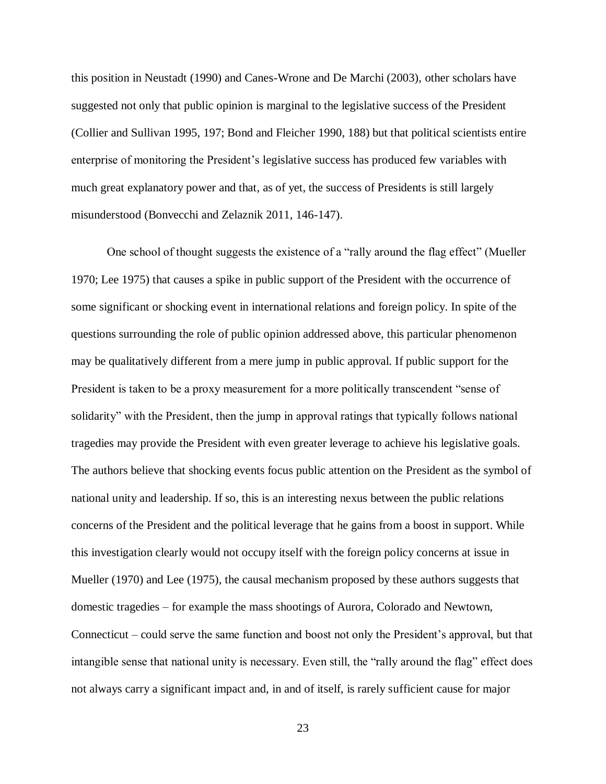this position in Neustadt (1990) and Canes-Wrone and De Marchi (2003), other scholars have suggested not only that public opinion is marginal to the legislative success of the President (Collier and Sullivan 1995, 197; Bond and Fleicher 1990, 188) but that political scientists entire enterprise of monitoring the President's legislative success has produced few variables with much great explanatory power and that, as of yet, the success of Presidents is still largely misunderstood (Bonvecchi and Zelaznik 2011, 146-147).

One school of thought suggests the existence of a "rally around the flag effect" (Mueller 1970; Lee 1975) that causes a spike in public support of the President with the occurrence of some significant or shocking event in international relations and foreign policy. In spite of the questions surrounding the role of public opinion addressed above, this particular phenomenon may be qualitatively different from a mere jump in public approval. If public support for the President is taken to be a proxy measurement for a more politically transcendent "sense of solidarity" with the President, then the jump in approval ratings that typically follows national tragedies may provide the President with even greater leverage to achieve his legislative goals. The authors believe that shocking events focus public attention on the President as the symbol of national unity and leadership. If so, this is an interesting nexus between the public relations concerns of the President and the political leverage that he gains from a boost in support. While this investigation clearly would not occupy itself with the foreign policy concerns at issue in Mueller (1970) and Lee (1975), the causal mechanism proposed by these authors suggests that domestic tragedies – for example the mass shootings of Aurora, Colorado and Newtown, Connecticut – could serve the same function and boost not only the President's approval, but that intangible sense that national unity is necessary. Even still, the "rally around the flag" effect does not always carry a significant impact and, in and of itself, is rarely sufficient cause for major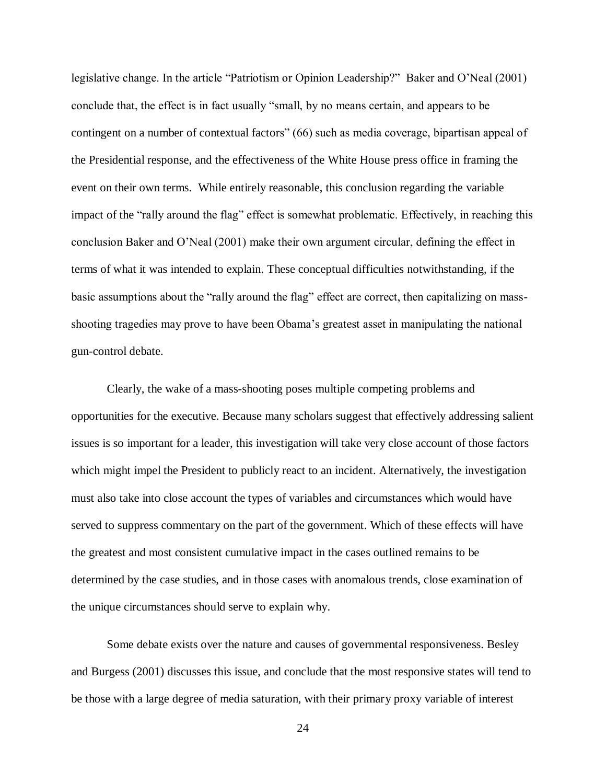legislative change. In the article "Patriotism or Opinion Leadership?" Baker and O'Neal (2001) conclude that, the effect is in fact usually "small, by no means certain, and appears to be contingent on a number of contextual factors" (66) such as media coverage, bipartisan appeal of the Presidential response, and the effectiveness of the White House press office in framing the event on their own terms. While entirely reasonable, this conclusion regarding the variable impact of the "rally around the flag" effect is somewhat problematic. Effectively, in reaching this conclusion Baker and O'Neal (2001) make their own argument circular, defining the effect in terms of what it was intended to explain. These conceptual difficulties notwithstanding, if the basic assumptions about the "rally around the flag" effect are correct, then capitalizing on massshooting tragedies may prove to have been Obama's greatest asset in manipulating the national gun-control debate.

Clearly, the wake of a mass-shooting poses multiple competing problems and opportunities for the executive. Because many scholars suggest that effectively addressing salient issues is so important for a leader, this investigation will take very close account of those factors which might impel the President to publicly react to an incident. Alternatively, the investigation must also take into close account the types of variables and circumstances which would have served to suppress commentary on the part of the government. Which of these effects will have the greatest and most consistent cumulative impact in the cases outlined remains to be determined by the case studies, and in those cases with anomalous trends, close examination of the unique circumstances should serve to explain why.

Some debate exists over the nature and causes of governmental responsiveness. Besley and Burgess (2001) discusses this issue, and conclude that the most responsive states will tend to be those with a large degree of media saturation, with their primary proxy variable of interest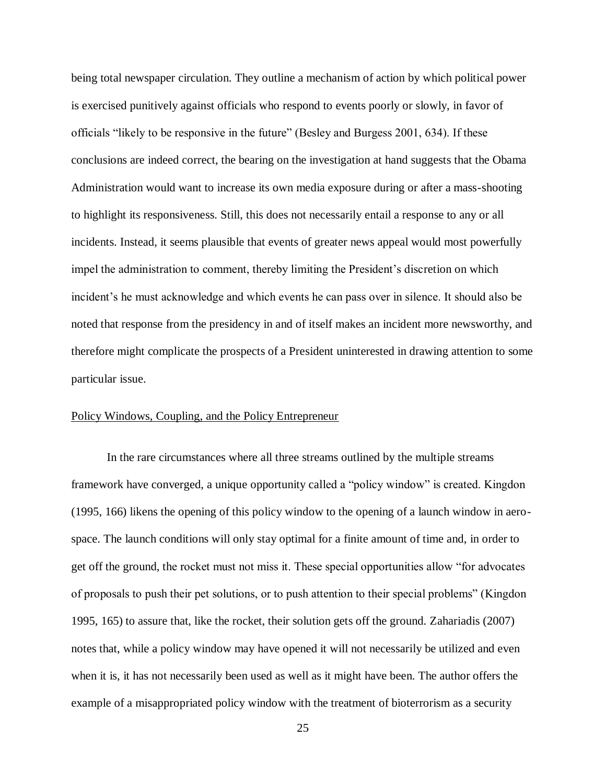being total newspaper circulation. They outline a mechanism of action by which political power is exercised punitively against officials who respond to events poorly or slowly, in favor of officials "likely to be responsive in the future" (Besley and Burgess 2001, 634). If these conclusions are indeed correct, the bearing on the investigation at hand suggests that the Obama Administration would want to increase its own media exposure during or after a mass-shooting to highlight its responsiveness. Still, this does not necessarily entail a response to any or all incidents. Instead, it seems plausible that events of greater news appeal would most powerfully impel the administration to comment, thereby limiting the President's discretion on which incident's he must acknowledge and which events he can pass over in silence. It should also be noted that response from the presidency in and of itself makes an incident more newsworthy, and therefore might complicate the prospects of a President uninterested in drawing attention to some particular issue.

### <span id="page-34-0"></span>Policy Windows, Coupling, and the Policy Entrepreneur

In the rare circumstances where all three streams outlined by the multiple streams framework have converged, a unique opportunity called a "policy window" is created. Kingdon (1995, 166) likens the opening of this policy window to the opening of a launch window in aerospace. The launch conditions will only stay optimal for a finite amount of time and, in order to get off the ground, the rocket must not miss it. These special opportunities allow "for advocates of proposals to push their pet solutions, or to push attention to their special problems" (Kingdon 1995, 165) to assure that, like the rocket, their solution gets off the ground. Zahariadis (2007) notes that, while a policy window may have opened it will not necessarily be utilized and even when it is, it has not necessarily been used as well as it might have been. The author offers the example of a misappropriated policy window with the treatment of bioterrorism as a security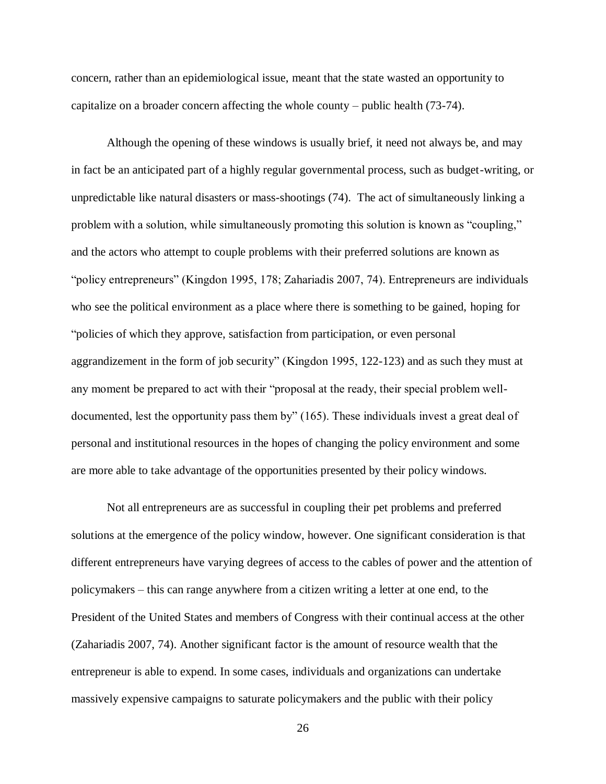concern, rather than an epidemiological issue, meant that the state wasted an opportunity to capitalize on a broader concern affecting the whole county – public health (73-74).

Although the opening of these windows is usually brief, it need not always be, and may in fact be an anticipated part of a highly regular governmental process, such as budget-writing, or unpredictable like natural disasters or mass-shootings (74). The act of simultaneously linking a problem with a solution, while simultaneously promoting this solution is known as "coupling," and the actors who attempt to couple problems with their preferred solutions are known as "policy entrepreneurs" (Kingdon 1995, 178; Zahariadis 2007, 74). Entrepreneurs are individuals who see the political environment as a place where there is something to be gained, hoping for "policies of which they approve, satisfaction from participation, or even personal aggrandizement in the form of job security" (Kingdon 1995, 122-123) and as such they must at any moment be prepared to act with their "proposal at the ready, their special problem welldocumented, lest the opportunity pass them by" (165). These individuals invest a great deal of personal and institutional resources in the hopes of changing the policy environment and some are more able to take advantage of the opportunities presented by their policy windows.

Not all entrepreneurs are as successful in coupling their pet problems and preferred solutions at the emergence of the policy window, however. One significant consideration is that different entrepreneurs have varying degrees of access to the cables of power and the attention of policymakers – this can range anywhere from a citizen writing a letter at one end, to the President of the United States and members of Congress with their continual access at the other (Zahariadis 2007, 74). Another significant factor is the amount of resource wealth that the entrepreneur is able to expend. In some cases, individuals and organizations can undertake massively expensive campaigns to saturate policymakers and the public with their policy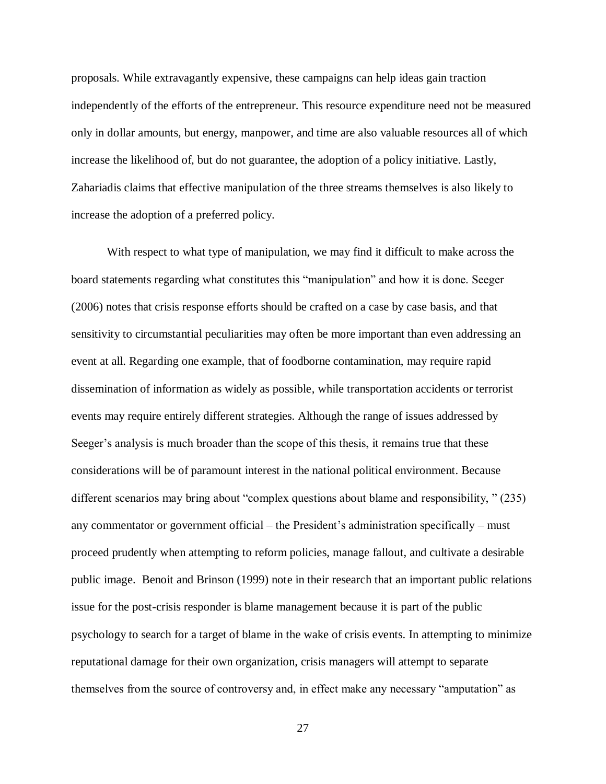proposals. While extravagantly expensive, these campaigns can help ideas gain traction independently of the efforts of the entrepreneur. This resource expenditure need not be measured only in dollar amounts, but energy, manpower, and time are also valuable resources all of which increase the likelihood of, but do not guarantee, the adoption of a policy initiative. Lastly, Zahariadis claims that effective manipulation of the three streams themselves is also likely to increase the adoption of a preferred policy.

With respect to what type of manipulation, we may find it difficult to make across the board statements regarding what constitutes this "manipulation" and how it is done. Seeger (2006) notes that crisis response efforts should be crafted on a case by case basis, and that sensitivity to circumstantial peculiarities may often be more important than even addressing an event at all. Regarding one example, that of foodborne contamination, may require rapid dissemination of information as widely as possible, while transportation accidents or terrorist events may require entirely different strategies. Although the range of issues addressed by Seeger's analysis is much broader than the scope of this thesis, it remains true that these considerations will be of paramount interest in the national political environment. Because different scenarios may bring about "complex questions about blame and responsibility, " (235) any commentator or government official – the President's administration specifically – must proceed prudently when attempting to reform policies, manage fallout, and cultivate a desirable public image. Benoit and Brinson (1999) note in their research that an important public relations issue for the post-crisis responder is blame management because it is part of the public psychology to search for a target of blame in the wake of crisis events. In attempting to minimize reputational damage for their own organization, crisis managers will attempt to separate themselves from the source of controversy and, in effect make any necessary "amputation" as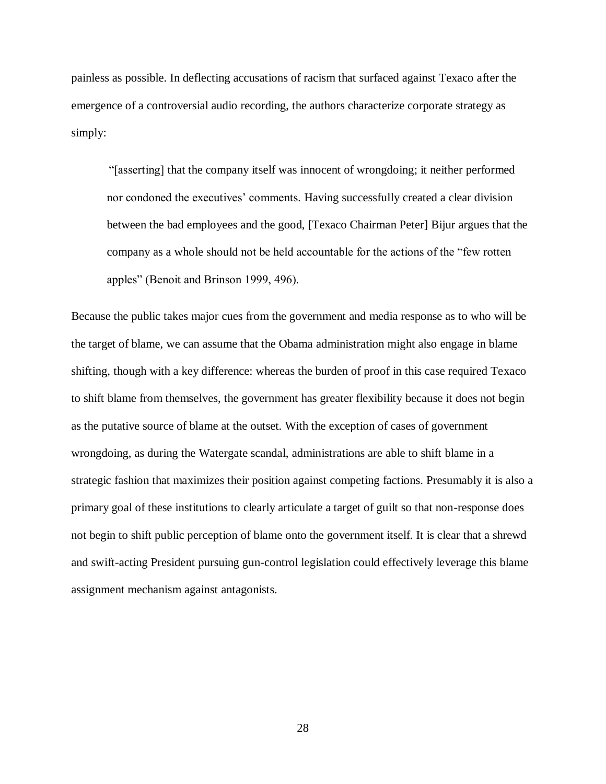painless as possible. In deflecting accusations of racism that surfaced against Texaco after the emergence of a controversial audio recording, the authors characterize corporate strategy as simply:

"[asserting] that the company itself was innocent of wrongdoing; it neither performed nor condoned the executives' comments. Having successfully created a clear division between the bad employees and the good, [Texaco Chairman Peter] Bijur argues that the company as a whole should not be held accountable for the actions of the "few rotten apples" (Benoit and Brinson 1999, 496).

Because the public takes major cues from the government and media response as to who will be the target of blame, we can assume that the Obama administration might also engage in blame shifting, though with a key difference: whereas the burden of proof in this case required Texaco to shift blame from themselves, the government has greater flexibility because it does not begin as the putative source of blame at the outset. With the exception of cases of government wrongdoing, as during the Watergate scandal, administrations are able to shift blame in a strategic fashion that maximizes their position against competing factions. Presumably it is also a primary goal of these institutions to clearly articulate a target of guilt so that non-response does not begin to shift public perception of blame onto the government itself. It is clear that a shrewd and swift-acting President pursuing gun-control legislation could effectively leverage this blame assignment mechanism against antagonists.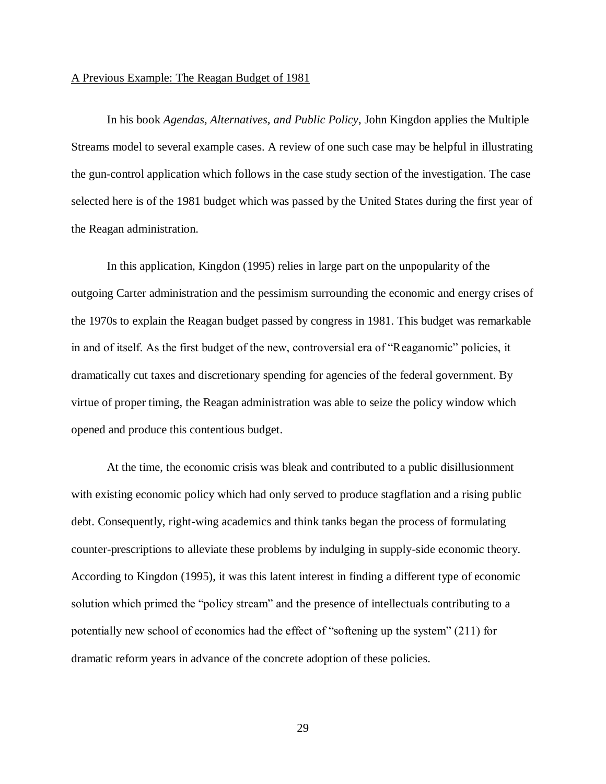#### A Previous Example: The Reagan Budget of 1981

In his book *Agendas, Alternatives, and Public Policy*, John Kingdon applies the Multiple Streams model to several example cases. A review of one such case may be helpful in illustrating the gun-control application which follows in the case study section of the investigation. The case selected here is of the 1981 budget which was passed by the United States during the first year of the Reagan administration.

In this application, Kingdon (1995) relies in large part on the unpopularity of the outgoing Carter administration and the pessimism surrounding the economic and energy crises of the 1970s to explain the Reagan budget passed by congress in 1981. This budget was remarkable in and of itself. As the first budget of the new, controversial era of "Reaganomic" policies, it dramatically cut taxes and discretionary spending for agencies of the federal government. By virtue of proper timing, the Reagan administration was able to seize the policy window which opened and produce this contentious budget.

At the time, the economic crisis was bleak and contributed to a public disillusionment with existing economic policy which had only served to produce stagflation and a rising public debt. Consequently, right-wing academics and think tanks began the process of formulating counter-prescriptions to alleviate these problems by indulging in supply-side economic theory. According to Kingdon (1995), it was this latent interest in finding a different type of economic solution which primed the "policy stream" and the presence of intellectuals contributing to a potentially new school of economics had the effect of "softening up the system" (211) for dramatic reform years in advance of the concrete adoption of these policies.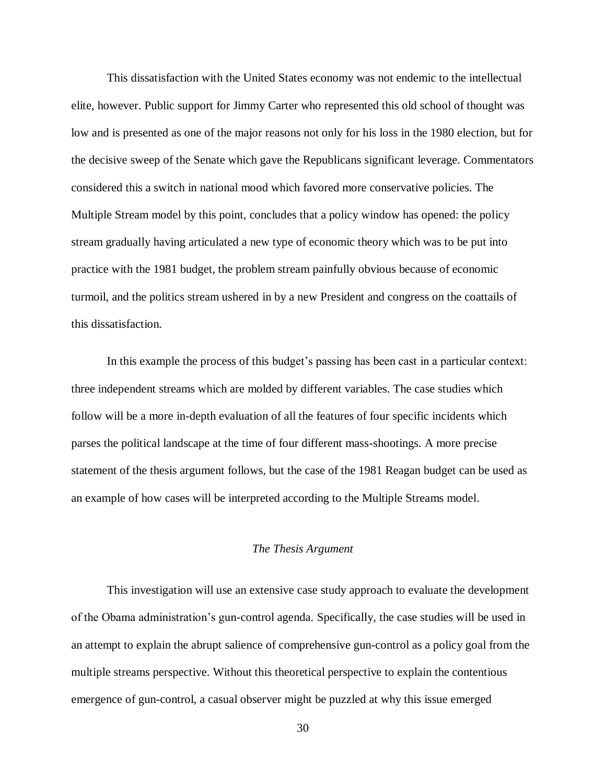This dissatisfaction with the United States economy was not endemic to the intellectual elite, however. Public support for Jimmy Carter who represented this old school of thought was low and is presented as one of the major reasons not only for his loss in the 1980 election, but for the decisive sweep of the Senate which gave the Republicans significant leverage. Commentators considered this a switch in national mood which favored more conservative policies. The Multiple Stream model by this point, concludes that a policy window has opened: the policy stream gradually having articulated a new type of economic theory which was to be put into practice with the 1981 budget, the problem stream painfully obvious because of economic turmoil, and the politics stream ushered in by a new President and congress on the coattails of this dissatisfaction.

In this example the process of this budget's passing has been cast in a particular context: three independent streams which are molded by different variables. The case studies which follow will be a more in-depth evaluation of all the features of four specific incidents which parses the political landscape at the time of four different mass-shootings. A more precise statement of the thesis argument follows, but the case of the 1981 Reagan budget can be used as an example of how cases will be interpreted according to the Multiple Streams model.

# *The Thesis Argument*

This investigation will use an extensive case study approach to evaluate the development of the Obama administration's gun-control agenda. Specifically, the case studies will be used in an attempt to explain the abrupt salience of comprehensive gun-control as a policy goal from the multiple streams perspective. Without this theoretical perspective to explain the contentious emergence of gun-control, a casual observer might be puzzled at why this issue emerged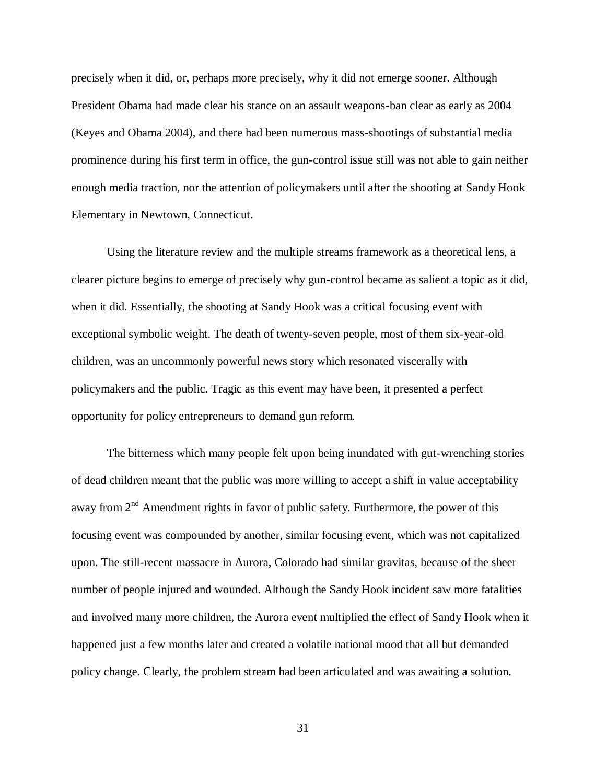precisely when it did, or, perhaps more precisely, why it did not emerge sooner. Although President Obama had made clear his stance on an assault weapons-ban clear as early as 2004 (Keyes and Obama 2004), and there had been numerous mass-shootings of substantial media prominence during his first term in office, the gun-control issue still was not able to gain neither enough media traction, nor the attention of policymakers until after the shooting at Sandy Hook Elementary in Newtown, Connecticut.

Using the literature review and the multiple streams framework as a theoretical lens, a clearer picture begins to emerge of precisely why gun-control became as salient a topic as it did, when it did. Essentially, the shooting at Sandy Hook was a critical focusing event with exceptional symbolic weight. The death of twenty-seven people, most of them six-year-old children, was an uncommonly powerful news story which resonated viscerally with policymakers and the public. Tragic as this event may have been, it presented a perfect opportunity for policy entrepreneurs to demand gun reform.

The bitterness which many people felt upon being inundated with gut-wrenching stories of dead children meant that the public was more willing to accept a shift in value acceptability away from 2<sup>nd</sup> Amendment rights in favor of public safety. Furthermore, the power of this focusing event was compounded by another, similar focusing event, which was not capitalized upon. The still-recent massacre in Aurora, Colorado had similar gravitas, because of the sheer number of people injured and wounded. Although the Sandy Hook incident saw more fatalities and involved many more children, the Aurora event multiplied the effect of Sandy Hook when it happened just a few months later and created a volatile national mood that all but demanded policy change. Clearly, the problem stream had been articulated and was awaiting a solution.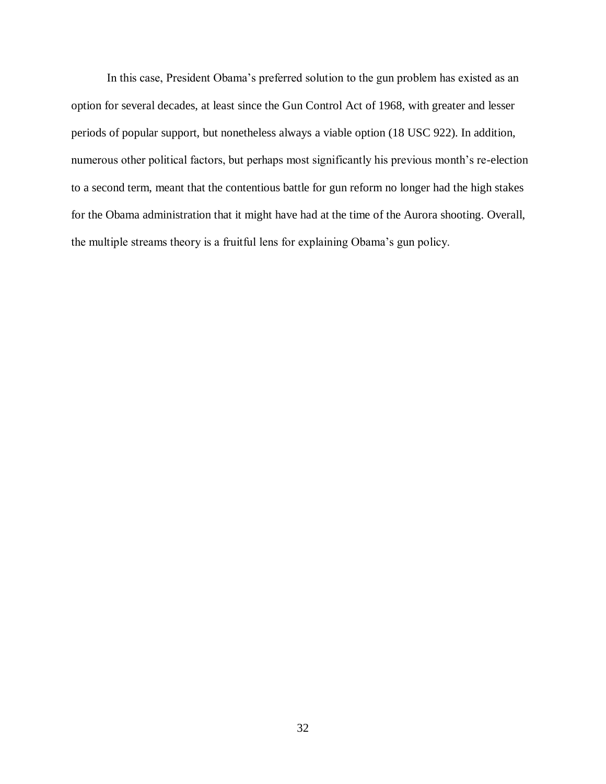In this case, President Obama's preferred solution to the gun problem has existed as an option for several decades, at least since the Gun Control Act of 1968, with greater and lesser periods of popular support, but nonetheless always a viable option (18 USC 922). In addition, numerous other political factors, but perhaps most significantly his previous month's re-election to a second term, meant that the contentious battle for gun reform no longer had the high stakes for the Obama administration that it might have had at the time of the Aurora shooting. Overall, the multiple streams theory is a fruitful lens for explaining Obama's gun policy.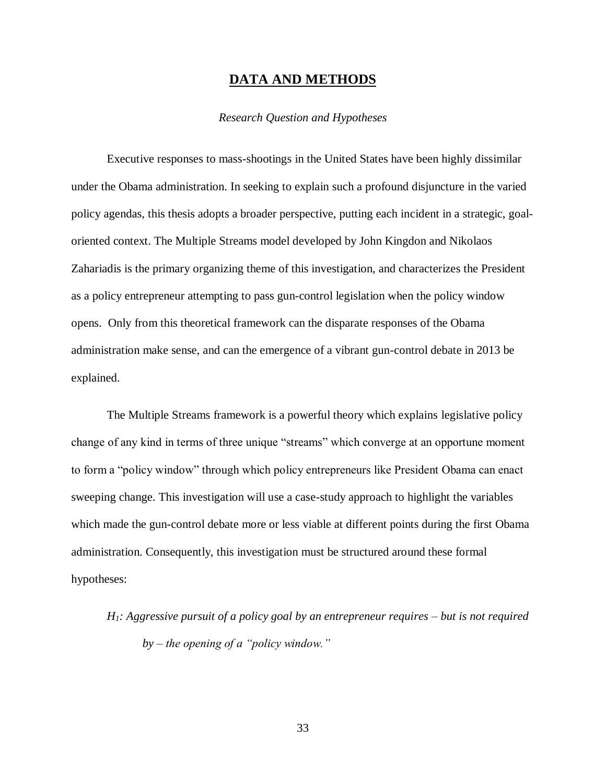# **DATA AND METHODS**

### *Research Question and Hypotheses*

Executive responses to mass-shootings in the United States have been highly dissimilar under the Obama administration. In seeking to explain such a profound disjuncture in the varied policy agendas, this thesis adopts a broader perspective, putting each incident in a strategic, goaloriented context. The Multiple Streams model developed by John Kingdon and Nikolaos Zahariadis is the primary organizing theme of this investigation, and characterizes the President as a policy entrepreneur attempting to pass gun-control legislation when the policy window opens. Only from this theoretical framework can the disparate responses of the Obama administration make sense, and can the emergence of a vibrant gun-control debate in 2013 be explained.

The Multiple Streams framework is a powerful theory which explains legislative policy change of any kind in terms of three unique "streams" which converge at an opportune moment to form a "policy window" through which policy entrepreneurs like President Obama can enact sweeping change. This investigation will use a case-study approach to highlight the variables which made the gun-control debate more or less viable at different points during the first Obama administration. Consequently, this investigation must be structured around these formal hypotheses:

*H1: Aggressive pursuit of a policy goal by an entrepreneur requires – but is not required by – the opening of a "policy window."*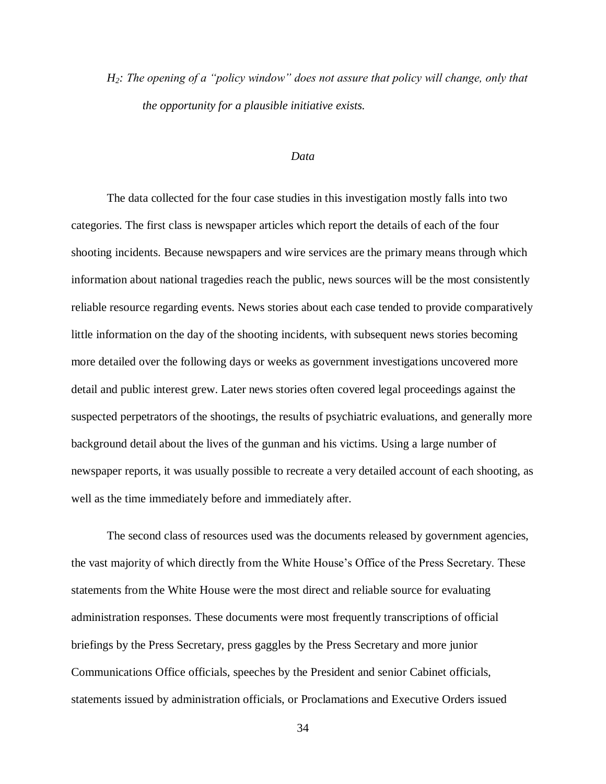*H2: The opening of a "policy window" does not assure that policy will change, only that the opportunity for a plausible initiative exists.* 

#### *Data*

The data collected for the four case studies in this investigation mostly falls into two categories. The first class is newspaper articles which report the details of each of the four shooting incidents. Because newspapers and wire services are the primary means through which information about national tragedies reach the public, news sources will be the most consistently reliable resource regarding events. News stories about each case tended to provide comparatively little information on the day of the shooting incidents, with subsequent news stories becoming more detailed over the following days or weeks as government investigations uncovered more detail and public interest grew. Later news stories often covered legal proceedings against the suspected perpetrators of the shootings, the results of psychiatric evaluations, and generally more background detail about the lives of the gunman and his victims. Using a large number of newspaper reports, it was usually possible to recreate a very detailed account of each shooting, as well as the time immediately before and immediately after.

The second class of resources used was the documents released by government agencies, the vast majority of which directly from the White House's Office of the Press Secretary. These statements from the White House were the most direct and reliable source for evaluating administration responses. These documents were most frequently transcriptions of official briefings by the Press Secretary, press gaggles by the Press Secretary and more junior Communications Office officials, speeches by the President and senior Cabinet officials, statements issued by administration officials, or Proclamations and Executive Orders issued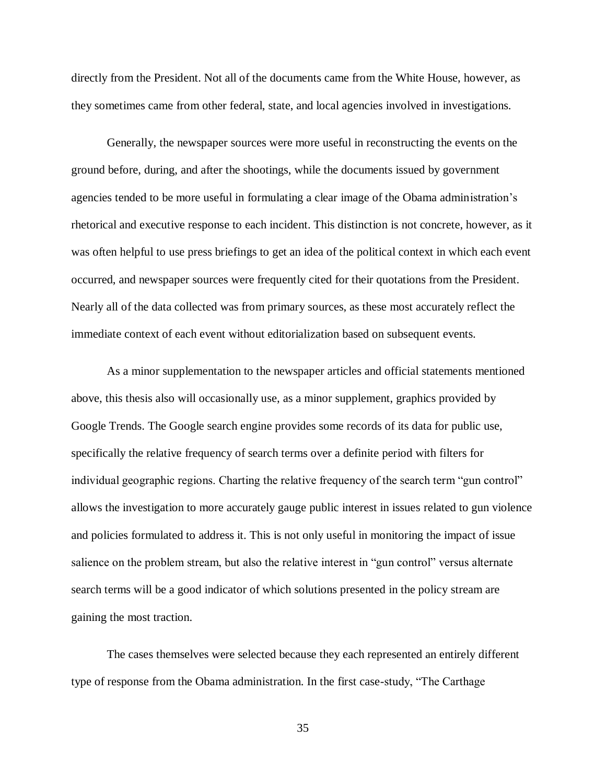directly from the President. Not all of the documents came from the White House, however, as they sometimes came from other federal, state, and local agencies involved in investigations.

Generally, the newspaper sources were more useful in reconstructing the events on the ground before, during, and after the shootings, while the documents issued by government agencies tended to be more useful in formulating a clear image of the Obama administration's rhetorical and executive response to each incident. This distinction is not concrete, however, as it was often helpful to use press briefings to get an idea of the political context in which each event occurred, and newspaper sources were frequently cited for their quotations from the President. Nearly all of the data collected was from primary sources, as these most accurately reflect the immediate context of each event without editorialization based on subsequent events.

As a minor supplementation to the newspaper articles and official statements mentioned above, this thesis also will occasionally use, as a minor supplement, graphics provided by Google Trends. The Google search engine provides some records of its data for public use, specifically the relative frequency of search terms over a definite period with filters for individual geographic regions. Charting the relative frequency of the search term "gun control" allows the investigation to more accurately gauge public interest in issues related to gun violence and policies formulated to address it. This is not only useful in monitoring the impact of issue salience on the problem stream, but also the relative interest in "gun control" versus alternate search terms will be a good indicator of which solutions presented in the policy stream are gaining the most traction.

The cases themselves were selected because they each represented an entirely different type of response from the Obama administration. In the first case-study, "The Carthage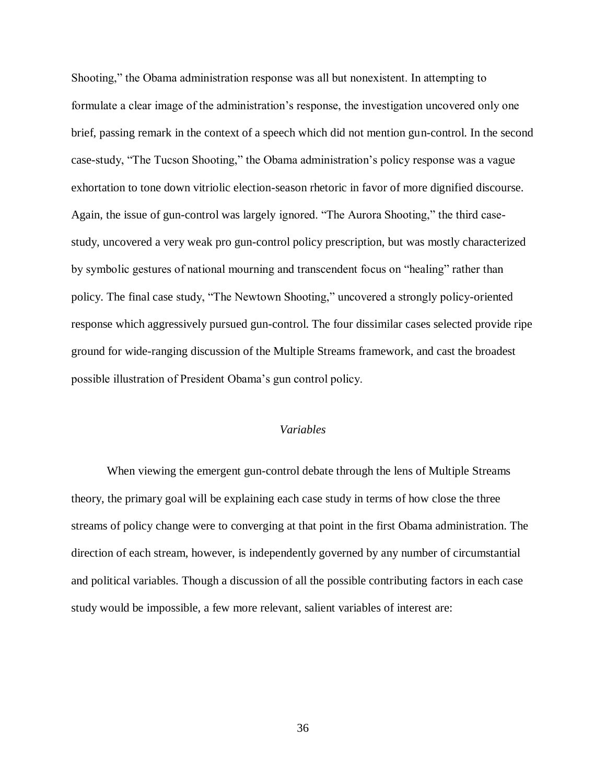Shooting," the Obama administration response was all but nonexistent. In attempting to formulate a clear image of the administration's response, the investigation uncovered only one brief, passing remark in the context of a speech which did not mention gun-control. In the second case-study, "The Tucson Shooting," the Obama administration's policy response was a vague exhortation to tone down vitriolic election-season rhetoric in favor of more dignified discourse. Again, the issue of gun-control was largely ignored. "The Aurora Shooting," the third casestudy, uncovered a very weak pro gun-control policy prescription, but was mostly characterized by symbolic gestures of national mourning and transcendent focus on "healing" rather than policy. The final case study, "The Newtown Shooting," uncovered a strongly policy-oriented response which aggressively pursued gun-control. The four dissimilar cases selected provide ripe ground for wide-ranging discussion of the Multiple Streams framework, and cast the broadest possible illustration of President Obama's gun control policy.

## *Variables*

When viewing the emergent gun-control debate through the lens of Multiple Streams theory, the primary goal will be explaining each case study in terms of how close the three streams of policy change were to converging at that point in the first Obama administration. The direction of each stream, however, is independently governed by any number of circumstantial and political variables. Though a discussion of all the possible contributing factors in each case study would be impossible, a few more relevant, salient variables of interest are: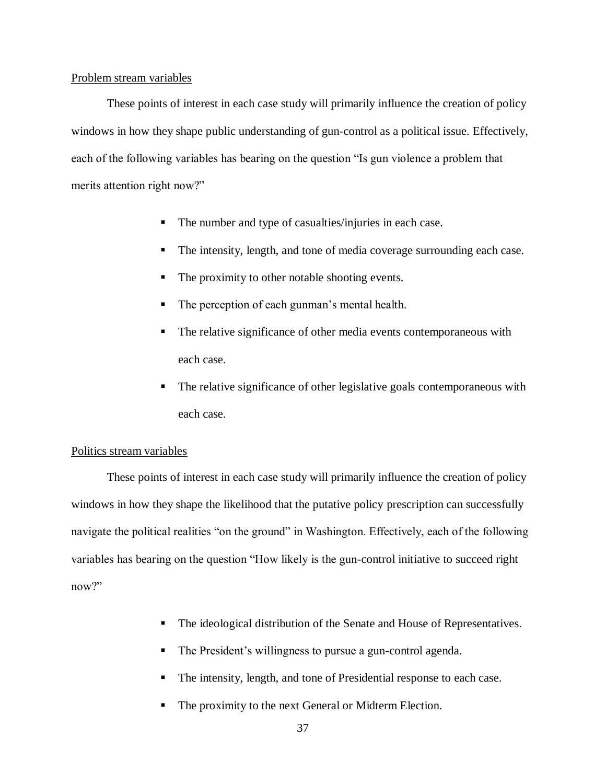## Problem stream variables

These points of interest in each case study will primarily influence the creation of policy windows in how they shape public understanding of gun-control as a political issue. Effectively, each of the following variables has bearing on the question "Is gun violence a problem that merits attention right now?"

- The number and type of casualties/injuries in each case.
- The intensity, length, and tone of media coverage surrounding each case.
- The proximity to other notable shooting events.
- The perception of each gunman's mental health.
- The relative significance of other media events contemporaneous with each case.
- The relative significance of other legislative goals contemporaneous with each case.

## Politics stream variables

These points of interest in each case study will primarily influence the creation of policy windows in how they shape the likelihood that the putative policy prescription can successfully navigate the political realities "on the ground" in Washington. Effectively, each of the following variables has bearing on the question "How likely is the gun-control initiative to succeed right now?"

- The ideological distribution of the Senate and House of Representatives.
- The President's willingness to pursue a gun-control agenda.
- The intensity, length, and tone of Presidential response to each case.
- The proximity to the next General or Midterm Election.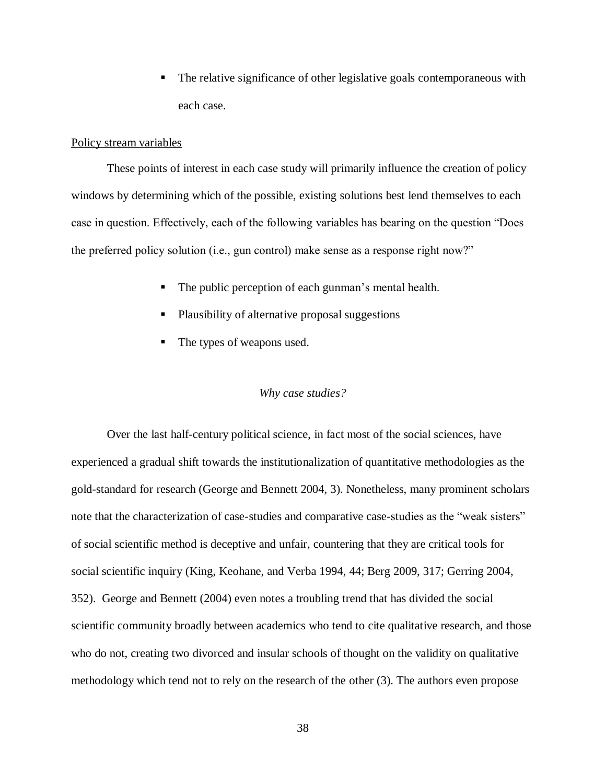The relative significance of other legislative goals contemporaneous with each case.

# Policy stream variables

These points of interest in each case study will primarily influence the creation of policy windows by determining which of the possible, existing solutions best lend themselves to each case in question. Effectively, each of the following variables has bearing on the question "Does the preferred policy solution (i.e., gun control) make sense as a response right now?"

- The public perception of each gunman's mental health.
- Plausibility of alternative proposal suggestions
- The types of weapons used.

## *Why case studies?*

Over the last half-century political science, in fact most of the social sciences, have experienced a gradual shift towards the institutionalization of quantitative methodologies as the gold-standard for research (George and Bennett 2004, 3). Nonetheless, many prominent scholars note that the characterization of case-studies and comparative case-studies as the "weak sisters" of social scientific method is deceptive and unfair, countering that they are critical tools for social scientific inquiry (King, Keohane, and Verba 1994, 44; Berg 2009, 317; Gerring 2004, 352). George and Bennett (2004) even notes a troubling trend that has divided the social scientific community broadly between academics who tend to cite qualitative research, and those who do not, creating two divorced and insular schools of thought on the validity on qualitative methodology which tend not to rely on the research of the other (3). The authors even propose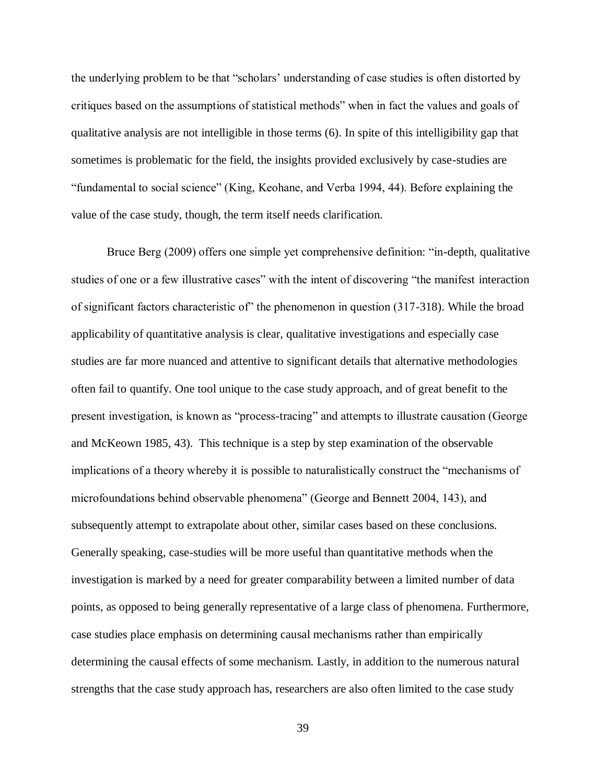the underlying problem to be that "scholars' understanding of case studies is often distorted by critiques based on the assumptions of statistical methods" when in fact the values and goals of qualitative analysis are not intelligible in those terms (6). In spite of this intelligibility gap that sometimes is problematic for the field, the insights provided exclusively by case-studies are "fundamental to social science" (King, Keohane, and Verba 1994, 44). Before explaining the value of the case study, though, the term itself needs clarification.

Bruce Berg (2009) offers one simple yet comprehensive definition: "in-depth, qualitative studies of one or a few illustrative cases" with the intent of discovering "the manifest interaction of significant factors characteristic of" the phenomenon in question (317-318). While the broad applicability of quantitative analysis is clear, qualitative investigations and especially case studies are far more nuanced and attentive to significant details that alternative methodologies often fail to quantify. One tool unique to the case study approach, and of great benefit to the present investigation, is known as "process-tracing" and attempts to illustrate causation (George and McKeown 1985, 43). This technique is a step by step examination of the observable implications of a theory whereby it is possible to naturalistically construct the "mechanisms of microfoundations behind observable phenomena" (George and Bennett 2004, 143), and subsequently attempt to extrapolate about other, similar cases based on these conclusions. Generally speaking, case-studies will be more useful than quantitative methods when the investigation is marked by a need for greater comparability between a limited number of data points, as opposed to being generally representative of a large class of phenomena. Furthermore, case studies place emphasis on determining causal mechanisms rather than empirically determining the causal effects of some mechanism. Lastly, in addition to the numerous natural strengths that the case study approach has, researchers are also often limited to the case study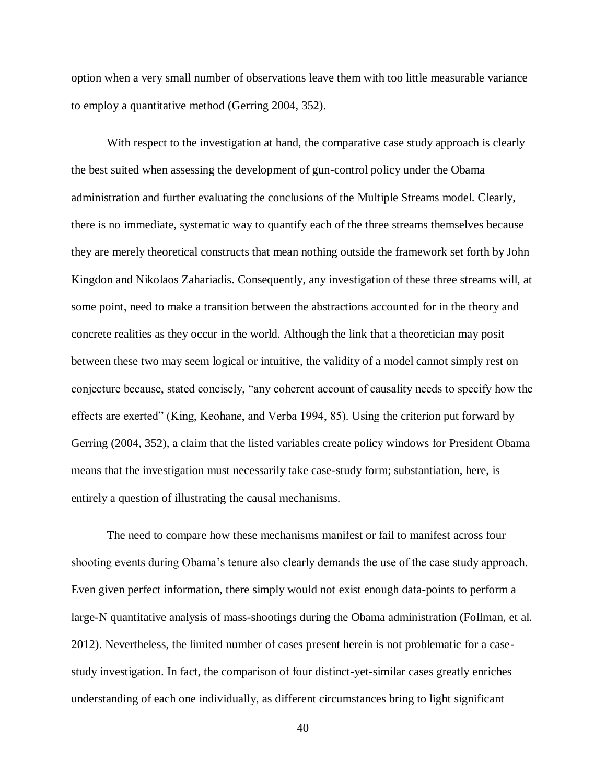option when a very small number of observations leave them with too little measurable variance to employ a quantitative method (Gerring 2004, 352).

With respect to the investigation at hand, the comparative case study approach is clearly the best suited when assessing the development of gun-control policy under the Obama administration and further evaluating the conclusions of the Multiple Streams model. Clearly, there is no immediate, systematic way to quantify each of the three streams themselves because they are merely theoretical constructs that mean nothing outside the framework set forth by John Kingdon and Nikolaos Zahariadis. Consequently, any investigation of these three streams will, at some point, need to make a transition between the abstractions accounted for in the theory and concrete realities as they occur in the world. Although the link that a theoretician may posit between these two may seem logical or intuitive, the validity of a model cannot simply rest on conjecture because, stated concisely, "any coherent account of causality needs to specify how the effects are exerted" (King, Keohane, and Verba 1994, 85). Using the criterion put forward by Gerring (2004, 352), a claim that the listed variables create policy windows for President Obama means that the investigation must necessarily take case-study form; substantiation, here, is entirely a question of illustrating the causal mechanisms.

The need to compare how these mechanisms manifest or fail to manifest across four shooting events during Obama's tenure also clearly demands the use of the case study approach. Even given perfect information, there simply would not exist enough data-points to perform a large-N quantitative analysis of mass-shootings during the Obama administration (Follman, et al. 2012). Nevertheless, the limited number of cases present herein is not problematic for a casestudy investigation. In fact, the comparison of four distinct-yet-similar cases greatly enriches understanding of each one individually, as different circumstances bring to light significant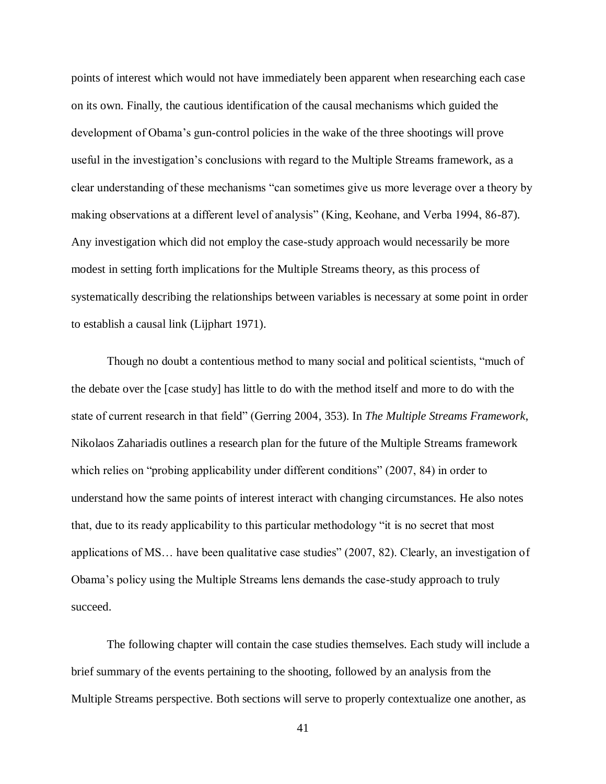points of interest which would not have immediately been apparent when researching each case on its own. Finally, the cautious identification of the causal mechanisms which guided the development of Obama's gun-control policies in the wake of the three shootings will prove useful in the investigation's conclusions with regard to the Multiple Streams framework, as a clear understanding of these mechanisms "can sometimes give us more leverage over a theory by making observations at a different level of analysis" (King, Keohane, and Verba 1994, 86-87). Any investigation which did not employ the case-study approach would necessarily be more modest in setting forth implications for the Multiple Streams theory, as this process of systematically describing the relationships between variables is necessary at some point in order to establish a causal link (Lijphart 1971).

Though no doubt a contentious method to many social and political scientists, "much of the debate over the [case study] has little to do with the method itself and more to do with the state of current research in that field" (Gerring 2004, 353). In *The Multiple Streams Framework*, Nikolaos Zahariadis outlines a research plan for the future of the Multiple Streams framework which relies on "probing applicability under different conditions" (2007, 84) in order to understand how the same points of interest interact with changing circumstances. He also notes that, due to its ready applicability to this particular methodology "it is no secret that most applications of MS… have been qualitative case studies" (2007, 82). Clearly, an investigation of Obama's policy using the Multiple Streams lens demands the case-study approach to truly succeed.

The following chapter will contain the case studies themselves. Each study will include a brief summary of the events pertaining to the shooting, followed by an analysis from the Multiple Streams perspective. Both sections will serve to properly contextualize one another, as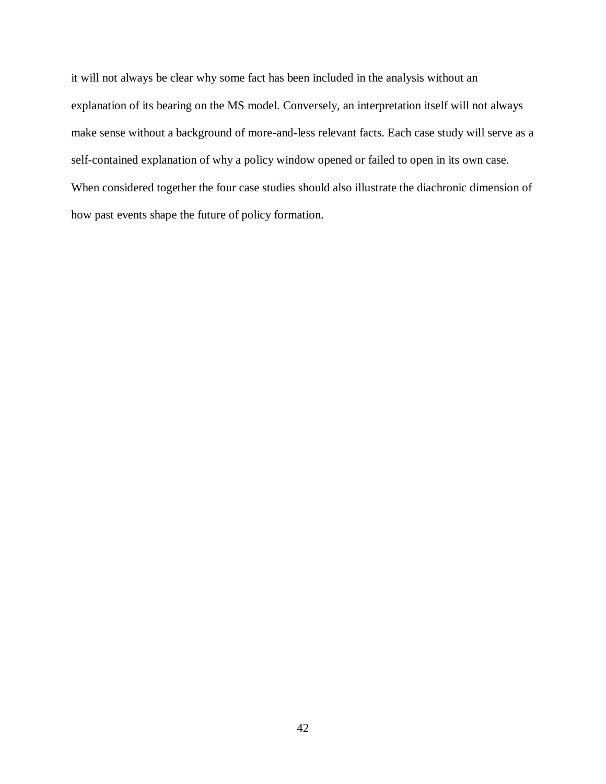it will not always be clear why some fact has been included in the analysis without an explanation of its bearing on the MS model. Conversely, an interpretation itself will not always make sense without a background of more-and-less relevant facts. Each case study will serve as a self-contained explanation of why a policy window opened or failed to open in its own case. When considered together the four case studies should also illustrate the diachronic dimension of how past events shape the future of policy formation.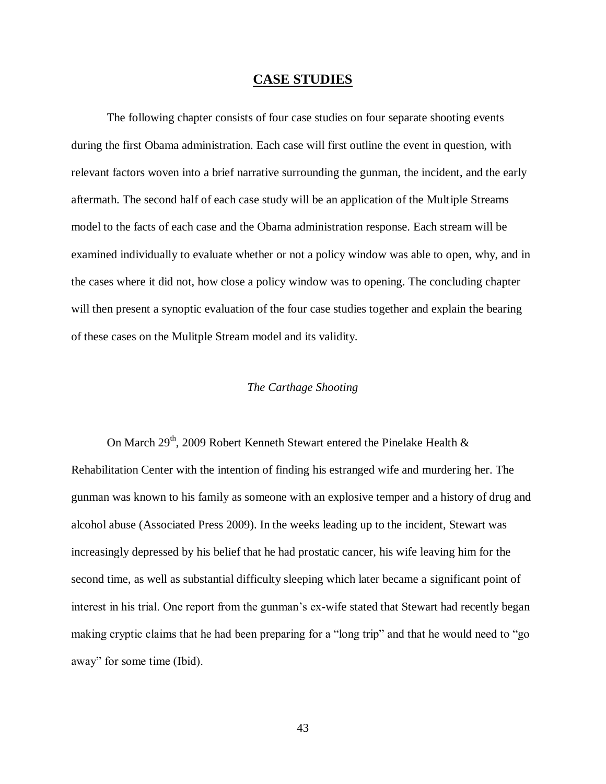## **CASE STUDIES**

The following chapter consists of four case studies on four separate shooting events during the first Obama administration. Each case will first outline the event in question, with relevant factors woven into a brief narrative surrounding the gunman, the incident, and the early aftermath. The second half of each case study will be an application of the Multiple Streams model to the facts of each case and the Obama administration response. Each stream will be examined individually to evaluate whether or not a policy window was able to open, why, and in the cases where it did not, how close a policy window was to opening. The concluding chapter will then present a synoptic evaluation of the four case studies together and explain the bearing of these cases on the Mulitple Stream model and its validity.

## *The Carthage Shooting*

On March  $29<sup>th</sup>$ , 2009 Robert Kenneth Stewart entered the Pinelake Health  $\&$ Rehabilitation Center with the intention of finding his estranged wife and murdering her. The gunman was known to his family as someone with an explosive temper and a history of drug and alcohol abuse (Associated Press 2009). In the weeks leading up to the incident, Stewart was increasingly depressed by his belief that he had prostatic cancer, his wife leaving him for the second time, as well as substantial difficulty sleeping which later became a significant point of interest in his trial. One report from the gunman's ex-wife stated that Stewart had recently began making cryptic claims that he had been preparing for a "long trip" and that he would need to "go away" for some time (Ibid).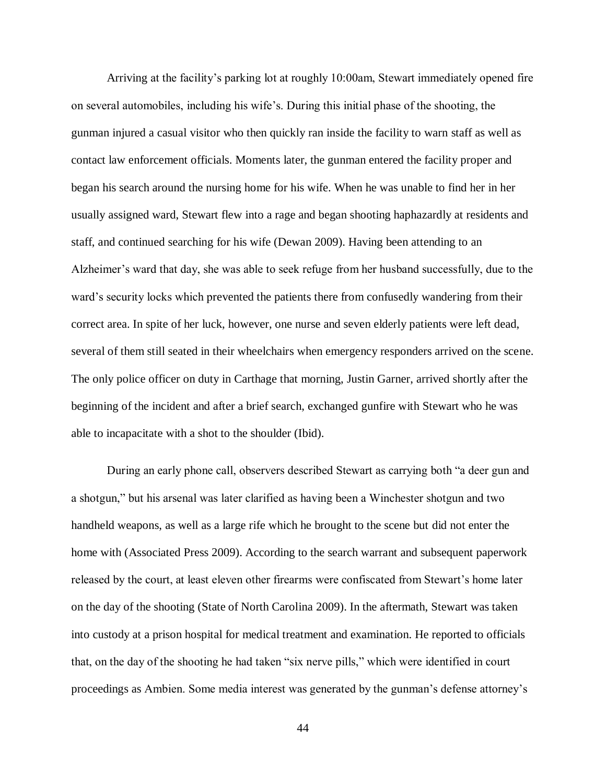Arriving at the facility's parking lot at roughly 10:00am, Stewart immediately opened fire on several automobiles, including his wife's. During this initial phase of the shooting, the gunman injured a casual visitor who then quickly ran inside the facility to warn staff as well as contact law enforcement officials. Moments later, the gunman entered the facility proper and began his search around the nursing home for his wife. When he was unable to find her in her usually assigned ward, Stewart flew into a rage and began shooting haphazardly at residents and staff, and continued searching for his wife (Dewan 2009). Having been attending to an Alzheimer's ward that day, she was able to seek refuge from her husband successfully, due to the ward's security locks which prevented the patients there from confusedly wandering from their correct area. In spite of her luck, however, one nurse and seven elderly patients were left dead, several of them still seated in their wheelchairs when emergency responders arrived on the scene. The only police officer on duty in Carthage that morning, Justin Garner, arrived shortly after the beginning of the incident and after a brief search, exchanged gunfire with Stewart who he was able to incapacitate with a shot to the shoulder (Ibid).

During an early phone call, observers described Stewart as carrying both "a deer gun and a shotgun," but his arsenal was later clarified as having been a Winchester shotgun and two handheld weapons, as well as a large rife which he brought to the scene but did not enter the home with (Associated Press 2009). According to the search warrant and subsequent paperwork released by the court, at least eleven other firearms were confiscated from Stewart's home later on the day of the shooting (State of North Carolina 2009). In the aftermath, Stewart was taken into custody at a prison hospital for medical treatment and examination. He reported to officials that, on the day of the shooting he had taken "six nerve pills," which were identified in court proceedings as Ambien. Some media interest was generated by the gunman's defense attorney's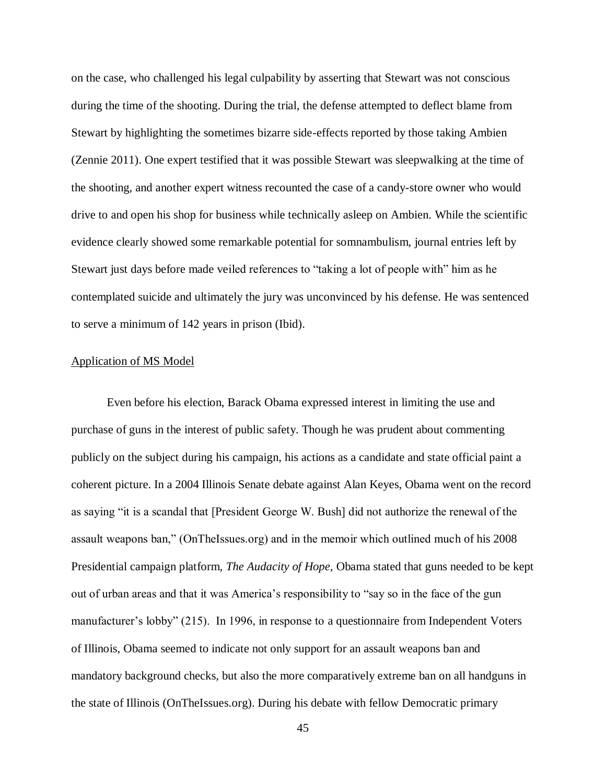on the case, who challenged his legal culpability by asserting that Stewart was not conscious during the time of the shooting. During the trial, the defense attempted to deflect blame from Stewart by highlighting the sometimes bizarre side-effects reported by those taking Ambien (Zennie 2011). One expert testified that it was possible Stewart was sleepwalking at the time of the shooting, and another expert witness recounted the case of a candy-store owner who would drive to and open his shop for business while technically asleep on Ambien. While the scientific evidence clearly showed some remarkable potential for somnambulism, journal entries left by Stewart just days before made veiled references to "taking a lot of people with" him as he contemplated suicide and ultimately the jury was unconvinced by his defense. He was sentenced to serve a minimum of 142 years in prison (Ibid).

## Application of MS Model

Even before his election, Barack Obama expressed interest in limiting the use and purchase of guns in the interest of public safety. Though he was prudent about commenting publicly on the subject during his campaign, his actions as a candidate and state official paint a coherent picture. In a 2004 Illinois Senate debate against Alan Keyes, Obama went on the record as saying "it is a scandal that [President George W. Bush] did not authorize the renewal of the assault weapons ban," (OnTheIssues.org) and in the memoir which outlined much of his 2008 Presidential campaign platform, *The Audacity of Hope,* Obama stated that guns needed to be kept out of urban areas and that it was America's responsibility to "say so in the face of the gun manufacturer's lobby" (215). In 1996, in response to a questionnaire from Independent Voters of Illinois, Obama seemed to indicate not only support for an assault weapons ban and mandatory background checks, but also the more comparatively extreme ban on all handguns in the state of Illinois (OnTheIssues.org). During his debate with fellow Democratic primary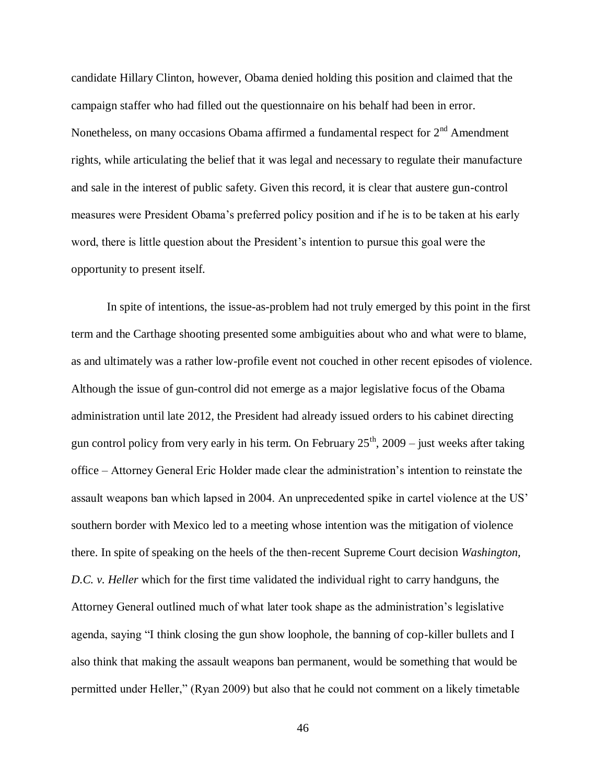candidate Hillary Clinton, however, Obama denied holding this position and claimed that the campaign staffer who had filled out the questionnaire on his behalf had been in error. Nonetheless, on many occasions Obama affirmed a fundamental respect for  $2<sup>nd</sup>$  Amendment rights, while articulating the belief that it was legal and necessary to regulate their manufacture and sale in the interest of public safety. Given this record, it is clear that austere gun-control measures were President Obama's preferred policy position and if he is to be taken at his early word, there is little question about the President's intention to pursue this goal were the opportunity to present itself.

In spite of intentions, the issue-as-problem had not truly emerged by this point in the first term and the Carthage shooting presented some ambiguities about who and what were to blame, as and ultimately was a rather low-profile event not couched in other recent episodes of violence. Although the issue of gun-control did not emerge as a major legislative focus of the Obama administration until late 2012, the President had already issued orders to his cabinet directing gun control policy from very early in his term. On February  $25<sup>th</sup>$ , 2009 – just weeks after taking office – Attorney General Eric Holder made clear the administration's intention to reinstate the assault weapons ban which lapsed in 2004. An unprecedented spike in cartel violence at the US' southern border with Mexico led to a meeting whose intention was the mitigation of violence there. In spite of speaking on the heels of the then-recent Supreme Court decision *Washington, D.C. v. Heller* which for the first time validated the individual right to carry handguns, the Attorney General outlined much of what later took shape as the administration's legislative agenda, saying "I think closing the gun show loophole, the banning of cop-killer bullets and I also think that making the assault weapons ban permanent, would be something that would be permitted under Heller," (Ryan 2009) but also that he could not comment on a likely timetable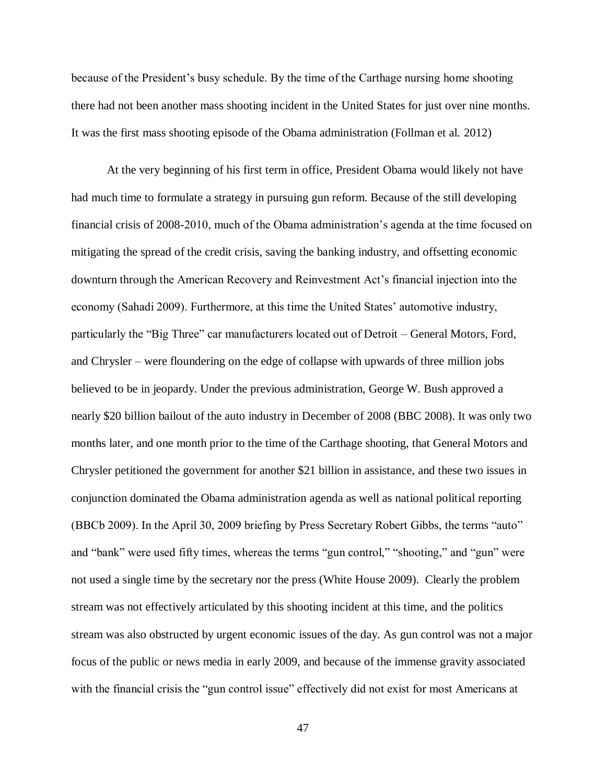because of the President's busy schedule. By the time of the Carthage nursing home shooting there had not been another mass shooting incident in the United States for just over nine months. It was the first mass shooting episode of the Obama administration (Follman et al. 2012)

At the very beginning of his first term in office, President Obama would likely not have had much time to formulate a strategy in pursuing gun reform. Because of the still developing financial crisis of 2008-2010, much of the Obama administration's agenda at the time focused on mitigating the spread of the credit crisis, saving the banking industry, and offsetting economic downturn through the American Recovery and Reinvestment Act's financial injection into the economy (Sahadi 2009). Furthermore, at this time the United States' automotive industry, particularly the "Big Three" car manufacturers located out of Detroit – General Motors, Ford, and Chrysler – were floundering on the edge of collapse with upwards of three million jobs believed to be in jeopardy. Under the previous administration, George W. Bush approved a nearly \$20 billion bailout of the auto industry in December of 2008 (BBC 2008). It was only two months later, and one month prior to the time of the Carthage shooting, that General Motors and Chrysler petitioned the government for another \$21 billion in assistance, and these two issues in conjunction dominated the Obama administration agenda as well as national political reporting (BBCb 2009). In the April 30, 2009 briefing by Press Secretary Robert Gibbs, the terms "auto" and "bank" were used fifty times, whereas the terms "gun control," "shooting," and "gun" were not used a single time by the secretary nor the press (White House 2009). Clearly the problem stream was not effectively articulated by this shooting incident at this time, and the politics stream was also obstructed by urgent economic issues of the day. As gun control was not a major focus of the public or news media in early 2009, and because of the immense gravity associated with the financial crisis the "gun control issue" effectively did not exist for most Americans at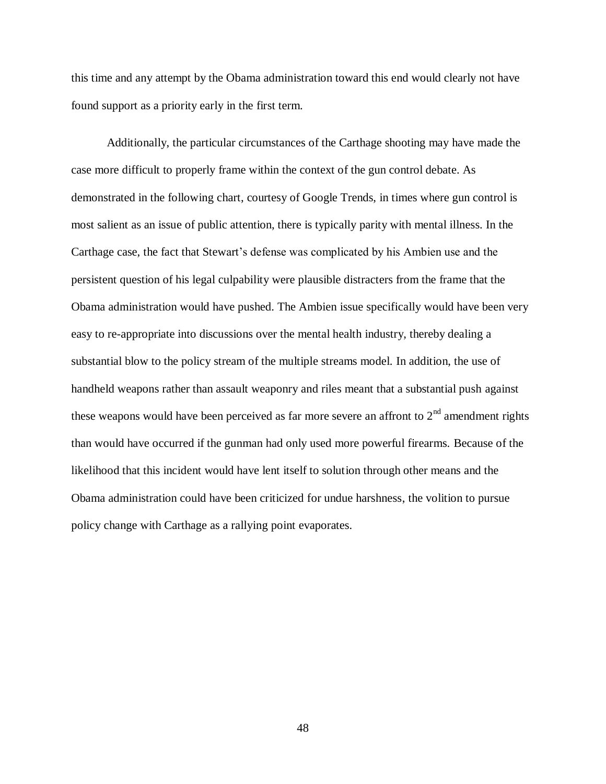this time and any attempt by the Obama administration toward this end would clearly not have found support as a priority early in the first term.

Additionally, the particular circumstances of the Carthage shooting may have made the case more difficult to properly frame within the context of the gun control debate. As demonstrated in the following chart, courtesy of Google Trends, in times where gun control is most salient as an issue of public attention, there is typically parity with mental illness. In the Carthage case, the fact that Stewart's defense was complicated by his Ambien use and the persistent question of his legal culpability were plausible distracters from the frame that the Obama administration would have pushed. The Ambien issue specifically would have been very easy to re-appropriate into discussions over the mental health industry, thereby dealing a substantial blow to the policy stream of the multiple streams model. In addition, the use of handheld weapons rather than assault weaponry and riles meant that a substantial push against these weapons would have been perceived as far more severe an affront to  $2<sup>nd</sup>$  amendment rights than would have occurred if the gunman had only used more powerful firearms. Because of the likelihood that this incident would have lent itself to solution through other means and the Obama administration could have been criticized for undue harshness, the volition to pursue policy change with Carthage as a rallying point evaporates.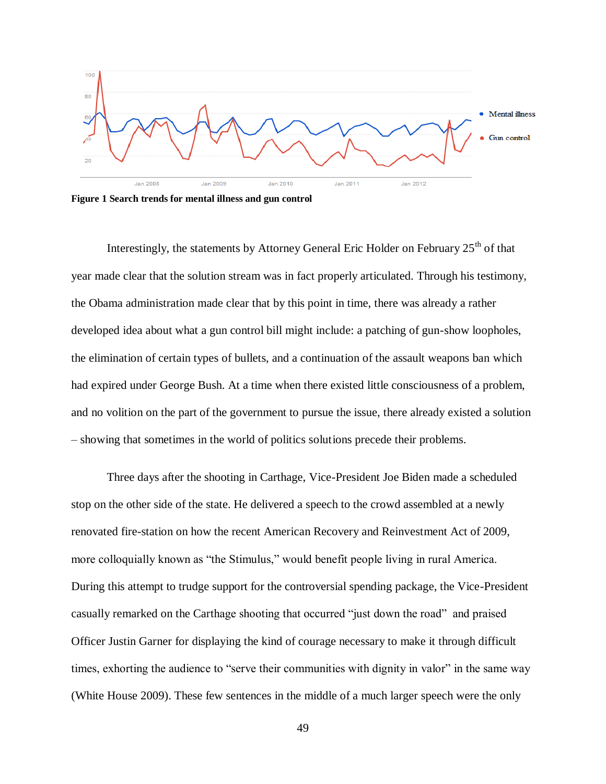

**Figure 1 Search trends for mental illness and gun control**

Interestingly, the statements by Attorney General Eric Holder on February  $25<sup>th</sup>$  of that year made clear that the solution stream was in fact properly articulated. Through his testimony, the Obama administration made clear that by this point in time, there was already a rather developed idea about what a gun control bill might include: a patching of gun-show loopholes, the elimination of certain types of bullets, and a continuation of the assault weapons ban which had expired under George Bush. At a time when there existed little consciousness of a problem, and no volition on the part of the government to pursue the issue, there already existed a solution – showing that sometimes in the world of politics solutions precede their problems.

Three days after the shooting in Carthage, Vice-President Joe Biden made a scheduled stop on the other side of the state. He delivered a speech to the crowd assembled at a newly renovated fire-station on how the recent American Recovery and Reinvestment Act of 2009, more colloquially known as "the Stimulus," would benefit people living in rural America. During this attempt to trudge support for the controversial spending package, the Vice-President casually remarked on the Carthage shooting that occurred "just down the road" and praised Officer Justin Garner for displaying the kind of courage necessary to make it through difficult times, exhorting the audience to "serve their communities with dignity in valor" in the same way (White House 2009). These few sentences in the middle of a much larger speech were the only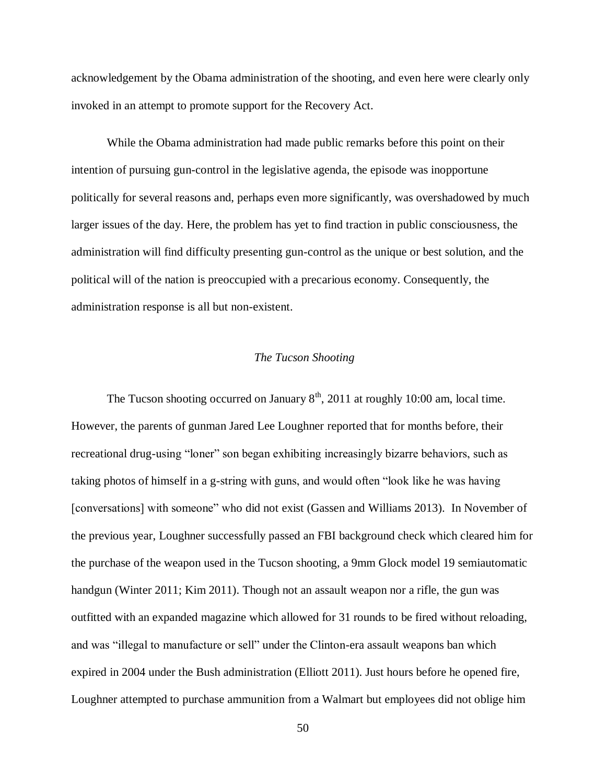acknowledgement by the Obama administration of the shooting, and even here were clearly only invoked in an attempt to promote support for the Recovery Act.

While the Obama administration had made public remarks before this point on their intention of pursuing gun-control in the legislative agenda, the episode was inopportune politically for several reasons and, perhaps even more significantly, was overshadowed by much larger issues of the day. Here, the problem has yet to find traction in public consciousness, the administration will find difficulty presenting gun-control as the unique or best solution, and the political will of the nation is preoccupied with a precarious economy. Consequently, the administration response is all but non-existent.

#### *The Tucson Shooting*

The Tucson shooting occurred on January  $8<sup>th</sup>$ , 2011 at roughly 10:00 am, local time. However, the parents of gunman Jared Lee Loughner reported that for months before, their recreational drug-using "loner" son began exhibiting increasingly bizarre behaviors, such as taking photos of himself in a g-string with guns, and would often "look like he was having [conversations] with someone" who did not exist (Gassen and Williams 2013). In November of the previous year, Loughner successfully passed an FBI background check which cleared him for the purchase of the weapon used in the Tucson shooting, a 9mm Glock model 19 semiautomatic handgun (Winter 2011; Kim 2011). Though not an assault weapon nor a rifle, the gun was outfitted with an expanded magazine which allowed for 31 rounds to be fired without reloading, and was "illegal to manufacture or sell" under the Clinton-era assault weapons ban which expired in 2004 under the Bush administration (Elliott 2011). Just hours before he opened fire, Loughner attempted to purchase ammunition from a Walmart but employees did not oblige him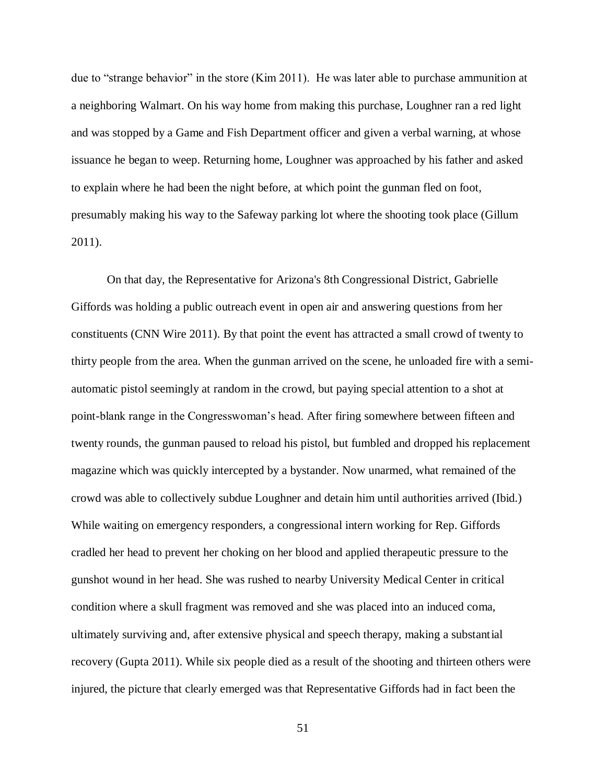due to "strange behavior" in the store (Kim 2011). He was later able to purchase ammunition at a neighboring Walmart. On his way home from making this purchase, Loughner ran a red light and was stopped by a Game and Fish Department officer and given a verbal warning, at whose issuance he began to weep. Returning home, Loughner was approached by his father and asked to explain where he had been the night before, at which point the gunman fled on foot, presumably making his way to the Safeway parking lot where the shooting took place (Gillum 2011).

On that day, the Representative for Arizona's 8th Congressional District, Gabrielle Giffords was holding a public outreach event in open air and answering questions from her constituents (CNN Wire 2011). By that point the event has attracted a small crowd of twenty to thirty people from the area. When the gunman arrived on the scene, he unloaded fire with a semiautomatic pistol seemingly at random in the crowd, but paying special attention to a shot at point-blank range in the Congresswoman's head. After firing somewhere between fifteen and twenty rounds, the gunman paused to reload his pistol, but fumbled and dropped his replacement magazine which was quickly intercepted by a bystander. Now unarmed, what remained of the crowd was able to collectively subdue Loughner and detain him until authorities arrived (Ibid.) While waiting on emergency responders, a congressional intern working for Rep. Giffords cradled her head to prevent her choking on her blood and applied therapeutic pressure to the gunshot wound in her head. She was rushed to nearby University Medical Center in critical condition where a skull fragment was removed and she was placed into an induced coma, ultimately surviving and, after extensive physical and speech therapy, making a substantial recovery (Gupta 2011). While six people died as a result of the shooting and thirteen others were injured, the picture that clearly emerged was that Representative Giffords had in fact been the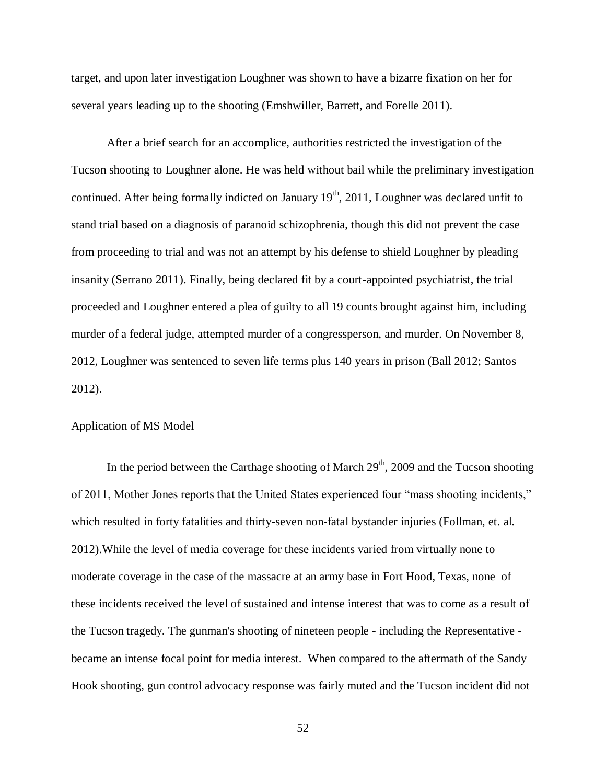target, and upon later investigation Loughner was shown to have a bizarre fixation on her for several years leading up to the shooting (Emshwiller, Barrett, and Forelle 2011).

After a brief search for an accomplice, authorities restricted the investigation of the Tucson shooting to Loughner alone. He was held without bail while the preliminary investigation continued. After being formally indicted on January  $19<sup>th</sup>$ , 2011, Loughner was declared unfit to stand trial based on a diagnosis of paranoid schizophrenia, though this did not prevent the case from proceeding to trial and was not an attempt by his defense to shield Loughner by pleading insanity (Serrano 2011). Finally, being declared fit by a court-appointed psychiatrist, the trial proceeded and Loughner entered a plea of guilty to all 19 counts brought against him, including murder of a federal judge, attempted murder of a congressperson, and murder. On November 8, 2012, Loughner was sentenced to seven life terms plus 140 years in prison (Ball 2012; Santos 2012).

## Application of MS Model

In the period between the Carthage shooting of March  $29<sup>th</sup>$ , 2009 and the Tucson shooting of 2011, Mother Jones reports that the United States experienced four "mass shooting incidents," which resulted in forty fatalities and thirty-seven non-fatal bystander injuries (Follman, et. al. 2012).While the level of media coverage for these incidents varied from virtually none to moderate coverage in the case of the massacre at an army base in Fort Hood, Texas, none of these incidents received the level of sustained and intense interest that was to come as a result of the Tucson tragedy. The gunman's shooting of nineteen people - including the Representative became an intense focal point for media interest. When compared to the aftermath of the Sandy Hook shooting, gun control advocacy response was fairly muted and the Tucson incident did not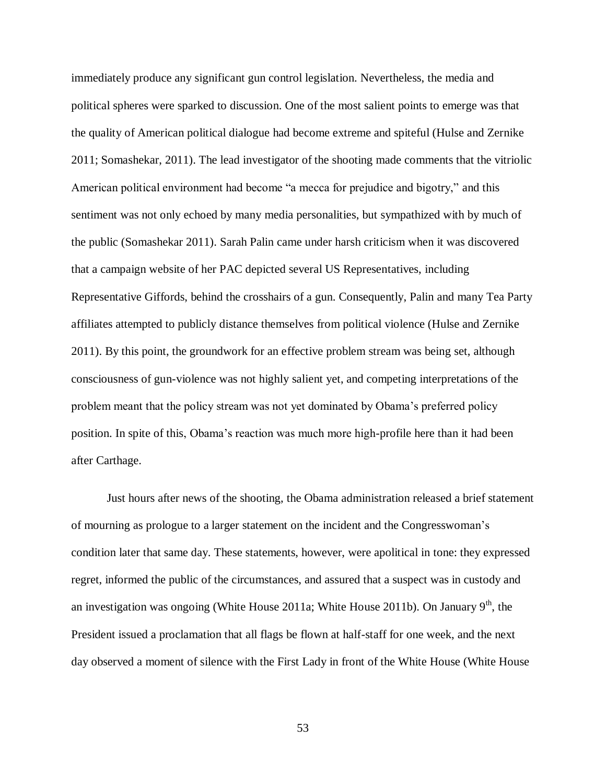immediately produce any significant gun control legislation. Nevertheless, the media and political spheres were sparked to discussion. One of the most salient points to emerge was that the quality of American political dialogue had become extreme and spiteful (Hulse and Zernike 2011; Somashekar, 2011). The lead investigator of the shooting made comments that the vitriolic American political environment had become "a mecca for prejudice and bigotry," and this sentiment was not only echoed by many media personalities, but sympathized with by much of the public (Somashekar 2011). Sarah Palin came under harsh criticism when it was discovered that a campaign website of her PAC depicted several US Representatives, including Representative Giffords, behind the crosshairs of a gun. Consequently, Palin and many Tea Party affiliates attempted to publicly distance themselves from political violence (Hulse and Zernike 2011). By this point, the groundwork for an effective problem stream was being set, although consciousness of gun-violence was not highly salient yet, and competing interpretations of the problem meant that the policy stream was not yet dominated by Obama's preferred policy position. In spite of this, Obama's reaction was much more high-profile here than it had been after Carthage.

Just hours after news of the shooting, the Obama administration released a brief statement of mourning as prologue to a larger statement on the incident and the Congresswoman's condition later that same day. These statements, however, were apolitical in tone: they expressed regret, informed the public of the circumstances, and assured that a suspect was in custody and an investigation was ongoing (White House 2011a; White House 2011b). On January  $9<sup>th</sup>$ , the President issued a proclamation that all flags be flown at half-staff for one week, and the next day observed a moment of silence with the First Lady in front of the White House (White House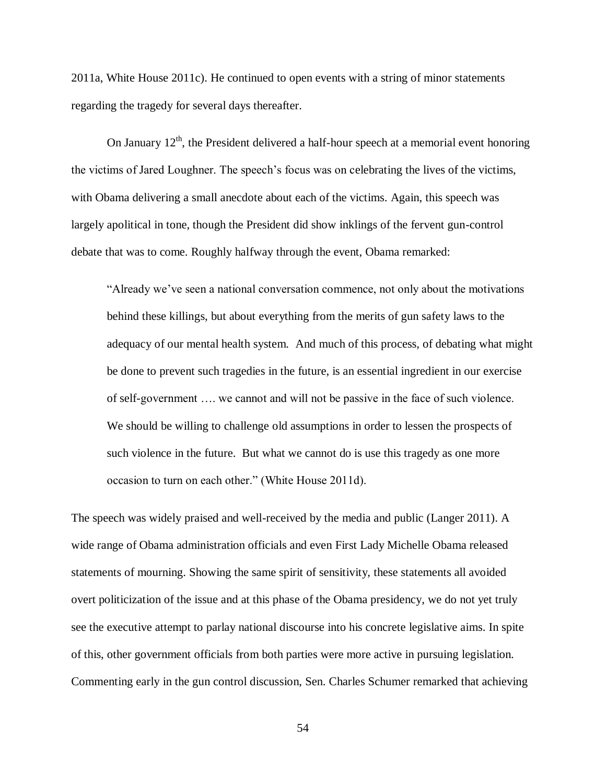2011a, White House 2011c). He continued to open events with a string of minor statements regarding the tragedy for several days thereafter.

On January  $12<sup>th</sup>$ , the President delivered a half-hour speech at a memorial event honoring the victims of Jared Loughner. The speech's focus was on celebrating the lives of the victims, with Obama delivering a small anecdote about each of the victims. Again, this speech was largely apolitical in tone, though the President did show inklings of the fervent gun-control debate that was to come. Roughly halfway through the event, Obama remarked:

"Already we've seen a national conversation commence, not only about the motivations behind these killings, but about everything from the merits of gun safety laws to the adequacy of our mental health system. And much of this process, of debating what might be done to prevent such tragedies in the future, is an essential ingredient in our exercise of self-government …. we cannot and will not be passive in the face of such violence. We should be willing to challenge old assumptions in order to lessen the prospects of such violence in the future. But what we cannot do is use this tragedy as one more occasion to turn on each other." (White House 2011d).

The speech was widely praised and well-received by the media and public (Langer 2011). A wide range of Obama administration officials and even First Lady Michelle Obama released statements of mourning. Showing the same spirit of sensitivity, these statements all avoided overt politicization of the issue and at this phase of the Obama presidency, we do not yet truly see the executive attempt to parlay national discourse into his concrete legislative aims. In spite of this, other government officials from both parties were more active in pursuing legislation. Commenting early in the gun control discussion, Sen. Charles Schumer remarked that achieving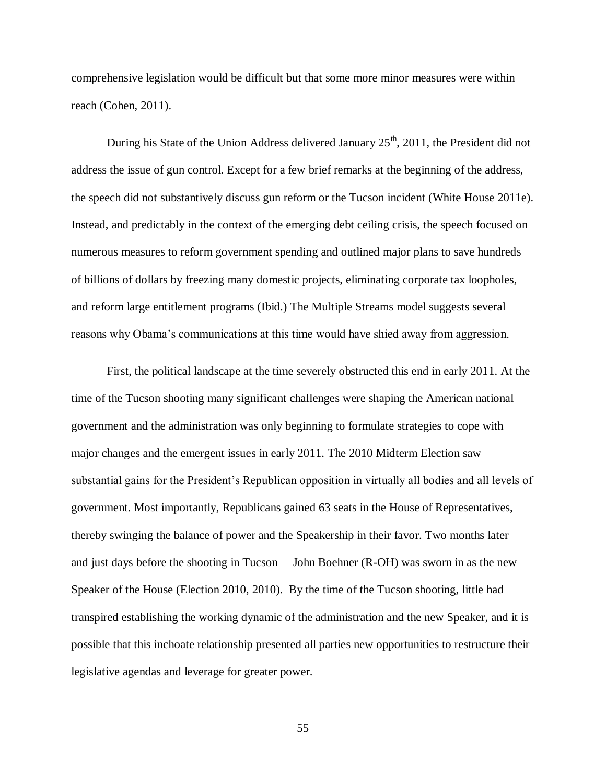comprehensive legislation would be difficult but that some more minor measures were within reach (Cohen, 2011).

During his State of the Union Address delivered January  $25<sup>th</sup>$ , 2011, the President did not address the issue of gun control. Except for a few brief remarks at the beginning of the address, the speech did not substantively discuss gun reform or the Tucson incident (White House 2011e). Instead, and predictably in the context of the emerging debt ceiling crisis, the speech focused on numerous measures to reform government spending and outlined major plans to save hundreds of billions of dollars by freezing many domestic projects, eliminating corporate tax loopholes, and reform large entitlement programs (Ibid.) The Multiple Streams model suggests several reasons why Obama's communications at this time would have shied away from aggression.

First, the political landscape at the time severely obstructed this end in early 2011. At the time of the Tucson shooting many significant challenges were shaping the American national government and the administration was only beginning to formulate strategies to cope with major changes and the emergent issues in early 2011. The 2010 Midterm Election saw substantial gains for the President's Republican opposition in virtually all bodies and all levels of government. Most importantly, Republicans gained 63 seats in the House of Representatives, thereby swinging the balance of power and the Speakership in their favor. Two months later – and just days before the shooting in Tucson – John Boehner (R-OH) was sworn in as the new Speaker of the House (Election 2010, 2010). By the time of the Tucson shooting, little had transpired establishing the working dynamic of the administration and the new Speaker, and it is possible that this inchoate relationship presented all parties new opportunities to restructure their legislative agendas and leverage for greater power.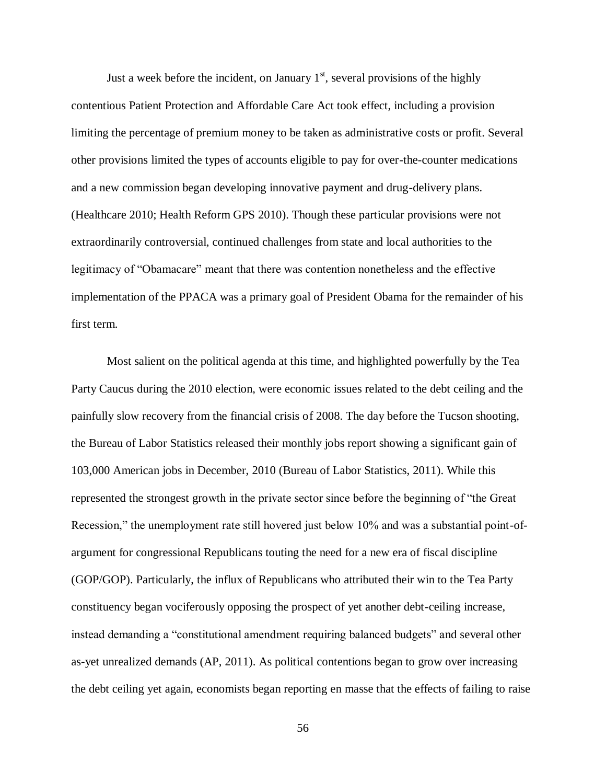Just a week before the incident, on January  $1<sup>st</sup>$ , several provisions of the highly contentious Patient Protection and Affordable Care Act took effect, including a provision limiting the percentage of premium money to be taken as administrative costs or profit. Several other provisions limited the types of accounts eligible to pay for over-the-counter medications and a new commission began developing innovative payment and drug-delivery plans. (Healthcare 2010; Health Reform GPS 2010). Though these particular provisions were not extraordinarily controversial, continued challenges from state and local authorities to the legitimacy of "Obamacare" meant that there was contention nonetheless and the effective implementation of the PPACA was a primary goal of President Obama for the remainder of his first term.

Most salient on the political agenda at this time, and highlighted powerfully by the Tea Party Caucus during the 2010 election, were economic issues related to the debt ceiling and the painfully slow recovery from the financial crisis of 2008. The day before the Tucson shooting, the Bureau of Labor Statistics released their monthly jobs report showing a significant gain of 103,000 American jobs in December, 2010 (Bureau of Labor Statistics, 2011). While this represented the strongest growth in the private sector since before the beginning of "the Great Recession," the unemployment rate still hovered just below 10% and was a substantial point-ofargument for congressional Republicans touting the need for a new era of fiscal discipline (GOP/GOP). Particularly, the influx of Republicans who attributed their win to the Tea Party constituency began vociferously opposing the prospect of yet another debt-ceiling increase, instead demanding a "constitutional amendment requiring balanced budgets" and several other as-yet unrealized demands (AP, 2011). As political contentions began to grow over increasing the debt ceiling yet again, economists began reporting en masse that the effects of failing to raise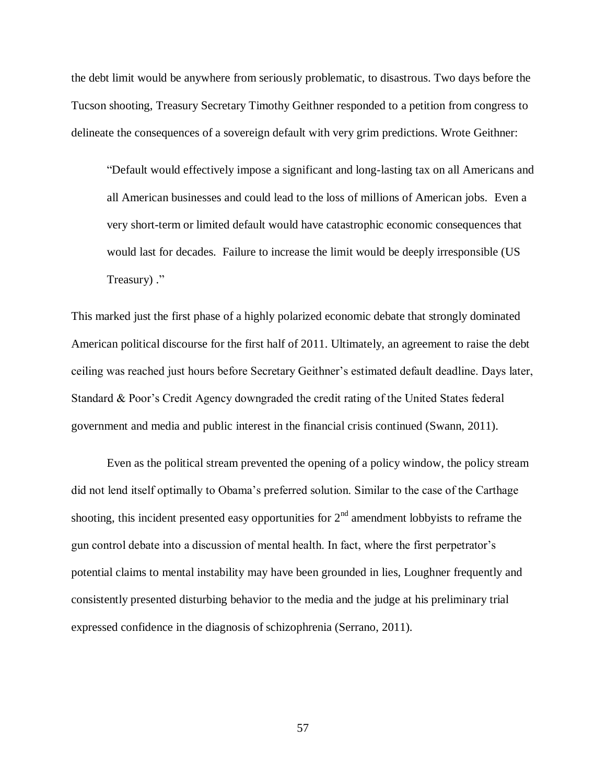the debt limit would be anywhere from seriously problematic, to disastrous. Two days before the Tucson shooting, Treasury Secretary Timothy Geithner responded to a petition from congress to delineate the consequences of a sovereign default with very grim predictions. Wrote Geithner:

"Default would effectively impose a significant and long-lasting tax on all Americans and all American businesses and could lead to the loss of millions of American jobs. Even a very short-term or limited default would have catastrophic economic consequences that would last for decades. Failure to increase the limit would be deeply irresponsible (US Treasury) ."

This marked just the first phase of a highly polarized economic debate that strongly dominated American political discourse for the first half of 2011. Ultimately, an agreement to raise the debt ceiling was reached just hours before Secretary Geithner's estimated default deadline. Days later, Standard & Poor's Credit Agency downgraded the credit rating of the United States federal government and media and public interest in the financial crisis continued (Swann, 2011).

Even as the political stream prevented the opening of a policy window, the policy stream did not lend itself optimally to Obama's preferred solution. Similar to the case of the Carthage shooting, this incident presented easy opportunities for  $2<sup>nd</sup>$  amendment lobbyists to reframe the gun control debate into a discussion of mental health. In fact, where the first perpetrator's potential claims to mental instability may have been grounded in lies, Loughner frequently and consistently presented disturbing behavior to the media and the judge at his preliminary trial expressed confidence in the diagnosis of schizophrenia (Serrano, 2011).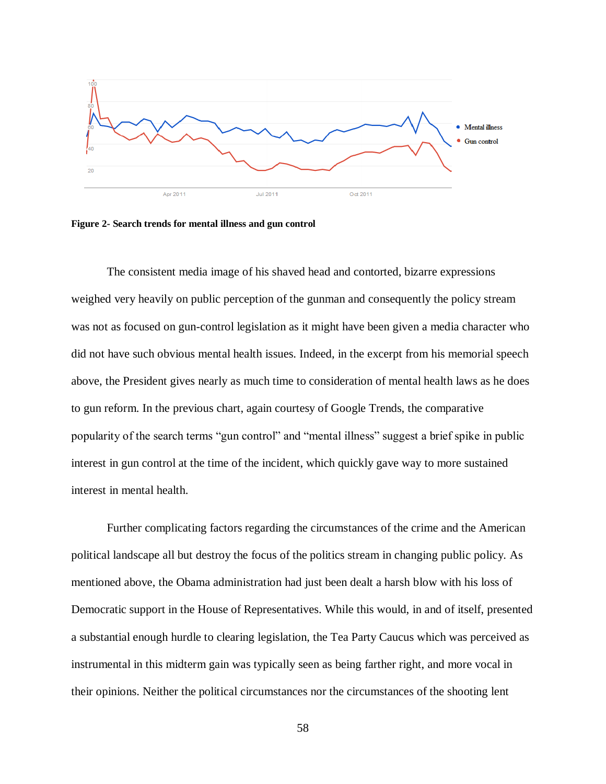

**Figure 2- Search trends for mental illness and gun control**

The consistent media image of his shaved head and contorted, bizarre expressions weighed very heavily on public perception of the gunman and consequently the policy stream was not as focused on gun-control legislation as it might have been given a media character who did not have such obvious mental health issues. Indeed, in the excerpt from his memorial speech above, the President gives nearly as much time to consideration of mental health laws as he does to gun reform. In the previous chart, again courtesy of Google Trends, the comparative popularity of the search terms "gun control" and "mental illness" suggest a brief spike in public interest in gun control at the time of the incident, which quickly gave way to more sustained interest in mental health.

Further complicating factors regarding the circumstances of the crime and the American political landscape all but destroy the focus of the politics stream in changing public policy. As mentioned above, the Obama administration had just been dealt a harsh blow with his loss of Democratic support in the House of Representatives. While this would, in and of itself, presented a substantial enough hurdle to clearing legislation, the Tea Party Caucus which was perceived as instrumental in this midterm gain was typically seen as being farther right, and more vocal in their opinions. Neither the political circumstances nor the circumstances of the shooting lent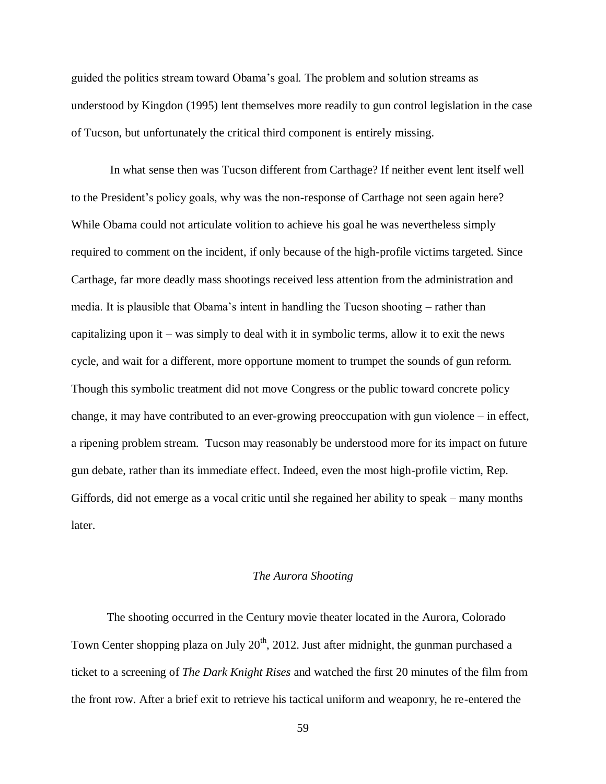guided the politics stream toward Obama's goal. The problem and solution streams as understood by Kingdon (1995) lent themselves more readily to gun control legislation in the case of Tucson, but unfortunately the critical third component is entirely missing.

In what sense then was Tucson different from Carthage? If neither event lent itself well to the President's policy goals, why was the non-response of Carthage not seen again here? While Obama could not articulate volition to achieve his goal he was nevertheless simply required to comment on the incident, if only because of the high-profile victims targeted. Since Carthage, far more deadly mass shootings received less attention from the administration and media. It is plausible that Obama's intent in handling the Tucson shooting – rather than capitalizing upon it – was simply to deal with it in symbolic terms, allow it to exit the news cycle, and wait for a different, more opportune moment to trumpet the sounds of gun reform. Though this symbolic treatment did not move Congress or the public toward concrete policy change, it may have contributed to an ever-growing preoccupation with gun violence – in effect, a ripening problem stream. Tucson may reasonably be understood more for its impact on future gun debate, rather than its immediate effect. Indeed, even the most high-profile victim, Rep. Giffords, did not emerge as a vocal critic until she regained her ability to speak – many months later.

#### *The Aurora Shooting*

The shooting occurred in the Century movie theater located in the Aurora, Colorado Town Center shopping plaza on July  $20<sup>th</sup>$ , 2012. Just after midnight, the gunman purchased a ticket to a screening of *The Dark Knight Rises* and watched the first 20 minutes of the film from the front row. After a brief exit to retrieve his tactical uniform and weaponry, he re-entered the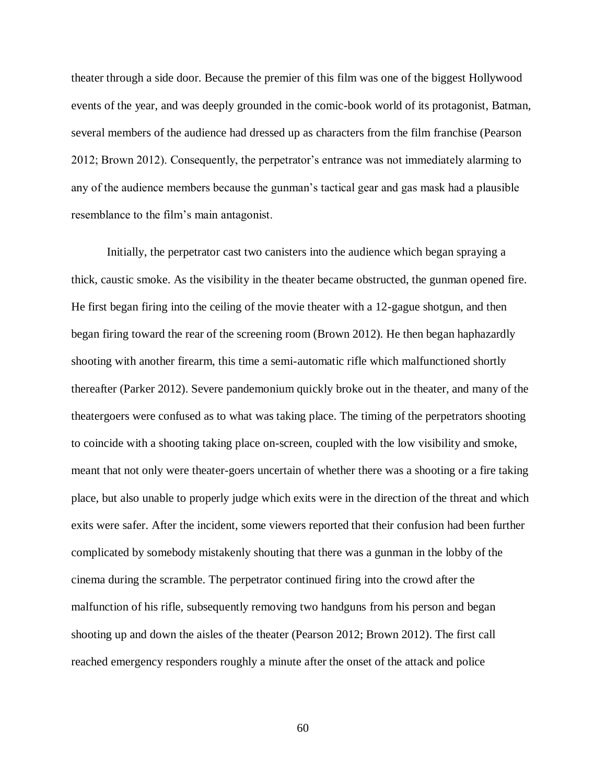theater through a side door. Because the premier of this film was one of the biggest Hollywood events of the year, and was deeply grounded in the comic-book world of its protagonist, Batman, several members of the audience had dressed up as characters from the film franchise (Pearson 2012; Brown 2012). Consequently, the perpetrator's entrance was not immediately alarming to any of the audience members because the gunman's tactical gear and gas mask had a plausible resemblance to the film's main antagonist.

Initially, the perpetrator cast two canisters into the audience which began spraying a thick, caustic smoke. As the visibility in the theater became obstructed, the gunman opened fire. He first began firing into the ceiling of the movie theater with a 12-gague shotgun, and then began firing toward the rear of the screening room (Brown 2012). He then began haphazardly shooting with another firearm, this time a semi-automatic rifle which malfunctioned shortly thereafter (Parker 2012). Severe pandemonium quickly broke out in the theater, and many of the theatergoers were confused as to what was taking place. The timing of the perpetrators shooting to coincide with a shooting taking place on-screen, coupled with the low visibility and smoke, meant that not only were theater-goers uncertain of whether there was a shooting or a fire taking place, but also unable to properly judge which exits were in the direction of the threat and which exits were safer. After the incident, some viewers reported that their confusion had been further complicated by somebody mistakenly shouting that there was a gunman in the lobby of the cinema during the scramble. The perpetrator continued firing into the crowd after the malfunction of his rifle, subsequently removing two handguns from his person and began shooting up and down the aisles of the theater (Pearson 2012; Brown 2012). The first call reached emergency responders roughly a minute after the onset of the attack and police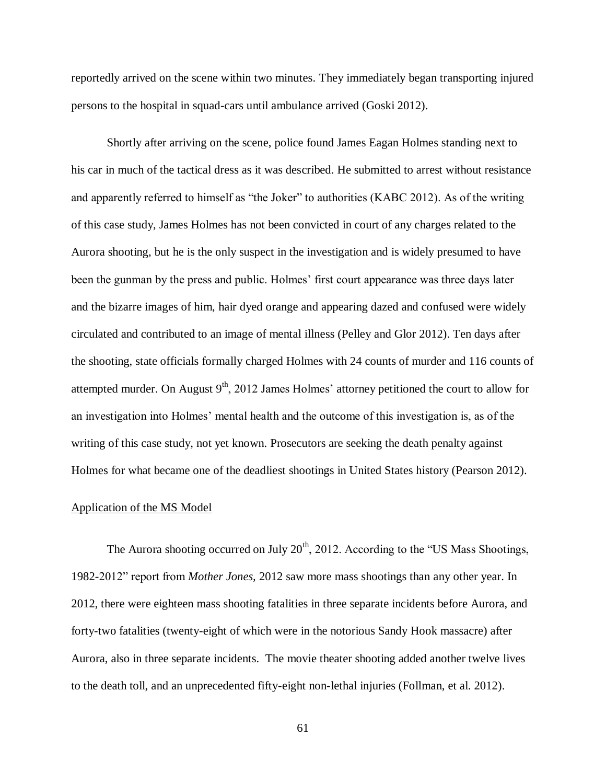reportedly arrived on the scene within two minutes. They immediately began transporting injured persons to the hospital in squad-cars until ambulance arrived (Goski 2012).

Shortly after arriving on the scene, police found James Eagan Holmes standing next to his car in much of the tactical dress as it was described. He submitted to arrest without resistance and apparently referred to himself as "the Joker" to authorities (KABC 2012). As of the writing of this case study, James Holmes has not been convicted in court of any charges related to the Aurora shooting, but he is the only suspect in the investigation and is widely presumed to have been the gunman by the press and public. Holmes' first court appearance was three days later and the bizarre images of him, hair dyed orange and appearing dazed and confused were widely circulated and contributed to an image of mental illness (Pelley and Glor 2012). Ten days after the shooting, state officials formally charged Holmes with 24 counts of murder and 116 counts of attempted murder. On August  $9<sup>th</sup>$ , 2012 James Holmes' attorney petitioned the court to allow for an investigation into Holmes' mental health and the outcome of this investigation is, as of the writing of this case study, not yet known. Prosecutors are seeking the death penalty against Holmes for what became one of the deadliest shootings in United States history (Pearson 2012).

### Application of the MS Model

The Aurora shooting occurred on July  $20<sup>th</sup>$ , 2012. According to the "US Mass Shootings, 1982-2012" report from *Mother Jones,* 2012 saw more mass shootings than any other year. In 2012, there were eighteen mass shooting fatalities in three separate incidents before Aurora, and forty-two fatalities (twenty-eight of which were in the notorious Sandy Hook massacre) after Aurora, also in three separate incidents. The movie theater shooting added another twelve lives to the death toll, and an unprecedented fifty-eight non-lethal injuries (Follman, et al. 2012).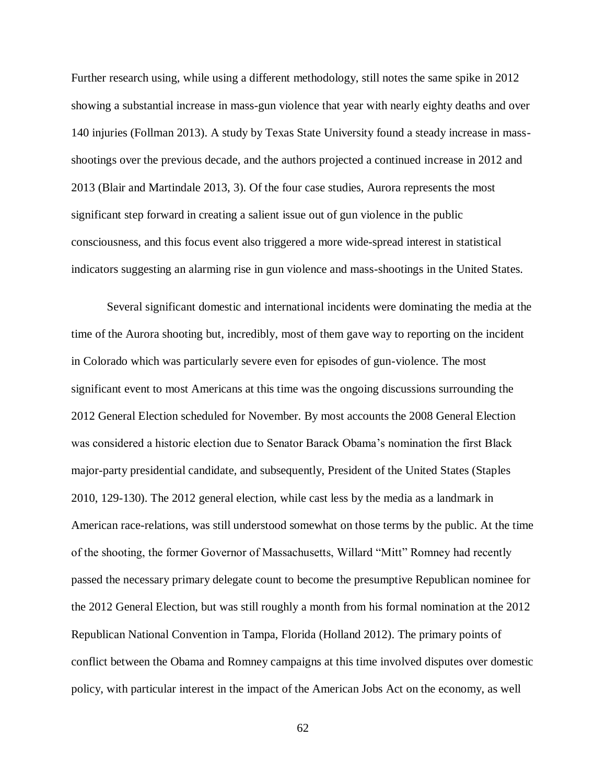Further research using, while using a different methodology, still notes the same spike in 2012 showing a substantial increase in mass-gun violence that year with nearly eighty deaths and over 140 injuries (Follman 2013). A study by Texas State University found a steady increase in massshootings over the previous decade, and the authors projected a continued increase in 2012 and 2013 (Blair and Martindale 2013, 3). Of the four case studies, Aurora represents the most significant step forward in creating a salient issue out of gun violence in the public consciousness, and this focus event also triggered a more wide-spread interest in statistical indicators suggesting an alarming rise in gun violence and mass-shootings in the United States.

Several significant domestic and international incidents were dominating the media at the time of the Aurora shooting but, incredibly, most of them gave way to reporting on the incident in Colorado which was particularly severe even for episodes of gun-violence. The most significant event to most Americans at this time was the ongoing discussions surrounding the 2012 General Election scheduled for November. By most accounts the 2008 General Election was considered a historic election due to Senator Barack Obama's nomination the first Black major-party presidential candidate, and subsequently, President of the United States (Staples 2010, 129-130). The 2012 general election, while cast less by the media as a landmark in American race-relations, was still understood somewhat on those terms by the public. At the time of the shooting, the former Governor of Massachusetts, Willard "Mitt" Romney had recently passed the necessary primary delegate count to become the presumptive Republican nominee for the 2012 General Election, but was still roughly a month from his formal nomination at the 2012 Republican National Convention in Tampa, Florida (Holland 2012). The primary points of conflict between the Obama and Romney campaigns at this time involved disputes over domestic policy, with particular interest in the impact of the American Jobs Act on the economy, as well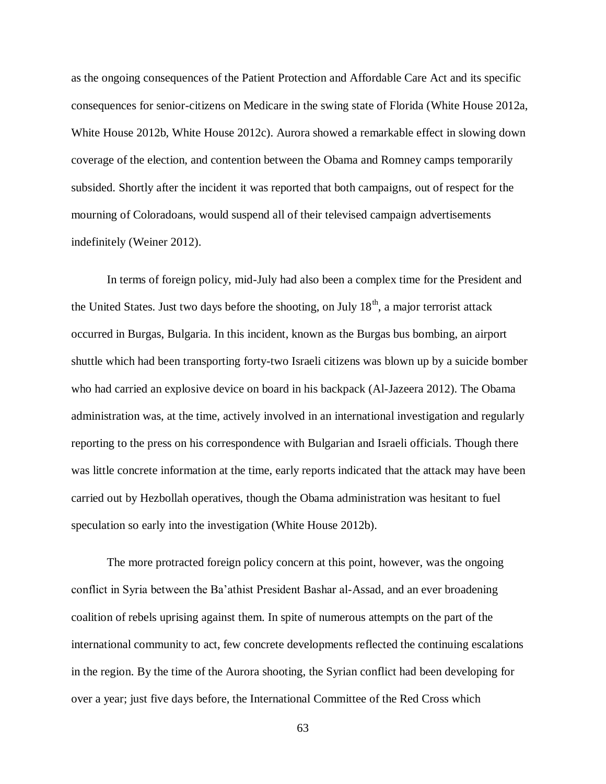as the ongoing consequences of the Patient Protection and Affordable Care Act and its specific consequences for senior-citizens on Medicare in the swing state of Florida (White House 2012a, White House 2012b, White House 2012c). Aurora showed a remarkable effect in slowing down coverage of the election, and contention between the Obama and Romney camps temporarily subsided. Shortly after the incident it was reported that both campaigns, out of respect for the mourning of Coloradoans, would suspend all of their televised campaign advertisements indefinitely (Weiner 2012).

In terms of foreign policy, mid-July had also been a complex time for the President and the United States. Just two days before the shooting, on July  $18<sup>th</sup>$ , a major terrorist attack occurred in Burgas, Bulgaria. In this incident, known as the Burgas bus bombing, an airport shuttle which had been transporting forty-two Israeli citizens was blown up by a suicide bomber who had carried an explosive device on board in his backpack (Al-Jazeera 2012). The Obama administration was, at the time, actively involved in an international investigation and regularly reporting to the press on his correspondence with Bulgarian and Israeli officials. Though there was little concrete information at the time, early reports indicated that the attack may have been carried out by Hezbollah operatives, though the Obama administration was hesitant to fuel speculation so early into the investigation (White House 2012b).

The more protracted foreign policy concern at this point, however, was the ongoing conflict in Syria between the Ba'athist President Bashar al-Assad, and an ever broadening coalition of rebels uprising against them. In spite of numerous attempts on the part of the international community to act, few concrete developments reflected the continuing escalations in the region. By the time of the Aurora shooting, the Syrian conflict had been developing for over a year; just five days before, the International Committee of the Red Cross which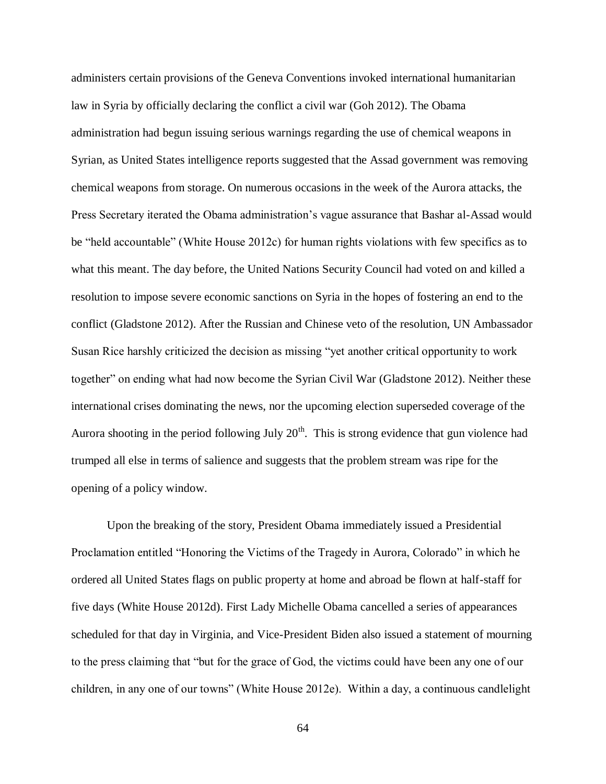administers certain provisions of the Geneva Conventions invoked international humanitarian law in Syria by officially declaring the conflict a civil war (Goh 2012). The Obama administration had begun issuing serious warnings regarding the use of chemical weapons in Syrian, as United States intelligence reports suggested that the Assad government was removing chemical weapons from storage. On numerous occasions in the week of the Aurora attacks, the Press Secretary iterated the Obama administration's vague assurance that Bashar al-Assad would be "held accountable" (White House 2012c) for human rights violations with few specifics as to what this meant. The day before, the United Nations Security Council had voted on and killed a resolution to impose severe economic sanctions on Syria in the hopes of fostering an end to the conflict (Gladstone 2012). After the Russian and Chinese veto of the resolution, UN Ambassador Susan Rice harshly criticized the decision as missing "yet another critical opportunity to work together" on ending what had now become the Syrian Civil War (Gladstone 2012). Neither these international crises dominating the news, nor the upcoming election superseded coverage of the Aurora shooting in the period following July  $20<sup>th</sup>$ . This is strong evidence that gun violence had trumped all else in terms of salience and suggests that the problem stream was ripe for the opening of a policy window.

Upon the breaking of the story, President Obama immediately issued a Presidential Proclamation entitled "Honoring the Victims of the Tragedy in Aurora, Colorado" in which he ordered all United States flags on public property at home and abroad be flown at half-staff for five days (White House 2012d). First Lady Michelle Obama cancelled a series of appearances scheduled for that day in Virginia, and Vice-President Biden also issued a statement of mourning to the press claiming that "but for the grace of God, the victims could have been any one of our children, in any one of our towns" (White House 2012e). Within a day, a continuous candlelight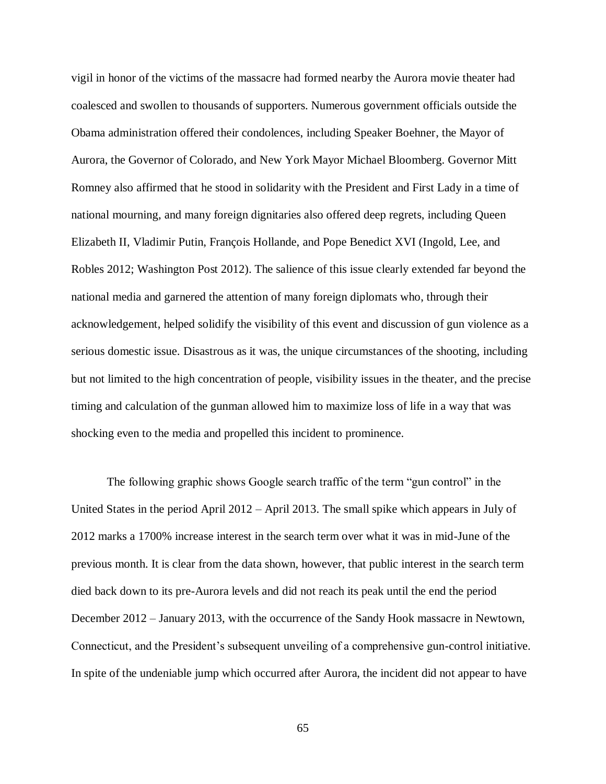vigil in honor of the victims of the massacre had formed nearby the Aurora movie theater had coalesced and swollen to thousands of supporters. Numerous government officials outside the Obama administration offered their condolences, including Speaker Boehner, the Mayor of Aurora, the Governor of Colorado, and New York Mayor Michael Bloomberg. Governor Mitt Romney also affirmed that he stood in solidarity with the President and First Lady in a time of national mourning, and many foreign dignitaries also offered deep regrets, including Queen Elizabeth II, Vladimir Putin, François Hollande, and Pope Benedict XVI (Ingold, Lee, and Robles 2012; Washington Post 2012). The salience of this issue clearly extended far beyond the national media and garnered the attention of many foreign diplomats who, through their acknowledgement, helped solidify the visibility of this event and discussion of gun violence as a serious domestic issue. Disastrous as it was, the unique circumstances of the shooting, including but not limited to the high concentration of people, visibility issues in the theater, and the precise timing and calculation of the gunman allowed him to maximize loss of life in a way that was shocking even to the media and propelled this incident to prominence.

The following graphic shows Google search traffic of the term "gun control" in the United States in the period April 2012 – April 2013. The small spike which appears in July of 2012 marks a 1700% increase interest in the search term over what it was in mid-June of the previous month. It is clear from the data shown, however, that public interest in the search term died back down to its pre-Aurora levels and did not reach its peak until the end the period December 2012 – January 2013, with the occurrence of the Sandy Hook massacre in Newtown, Connecticut, and the President's subsequent unveiling of a comprehensive gun-control initiative. In spite of the undeniable jump which occurred after Aurora, the incident did not appear to have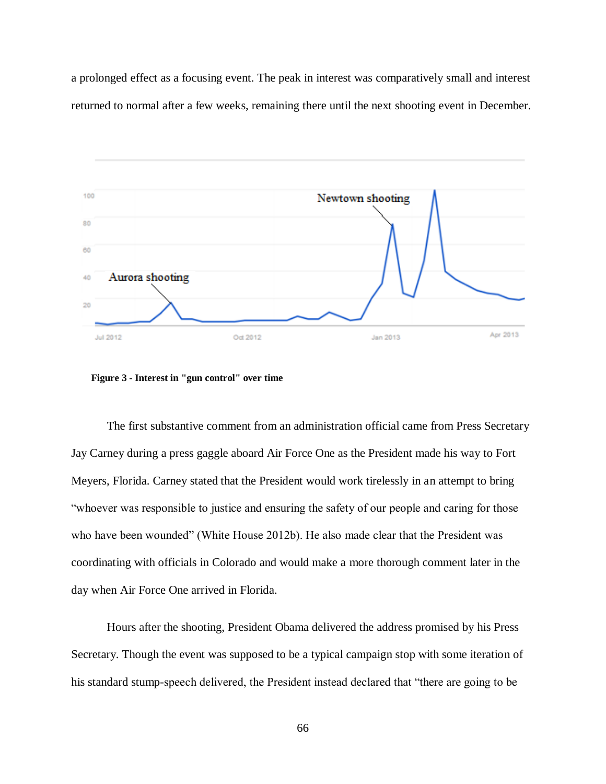a prolonged effect as a focusing event. The peak in interest was comparatively small and interest returned to normal after a few weeks, remaining there until the next shooting event in December.



 **Figure 3 - Interest in "gun control" over time**

The first substantive comment from an administration official came from Press Secretary Jay Carney during a press gaggle aboard Air Force One as the President made his way to Fort Meyers, Florida. Carney stated that the President would work tirelessly in an attempt to bring "whoever was responsible to justice and ensuring the safety of our people and caring for those who have been wounded" (White House 2012b). He also made clear that the President was coordinating with officials in Colorado and would make a more thorough comment later in the day when Air Force One arrived in Florida.

Hours after the shooting, President Obama delivered the address promised by his Press Secretary. Though the event was supposed to be a typical campaign stop with some iteration of his standard stump-speech delivered, the President instead declared that "there are going to be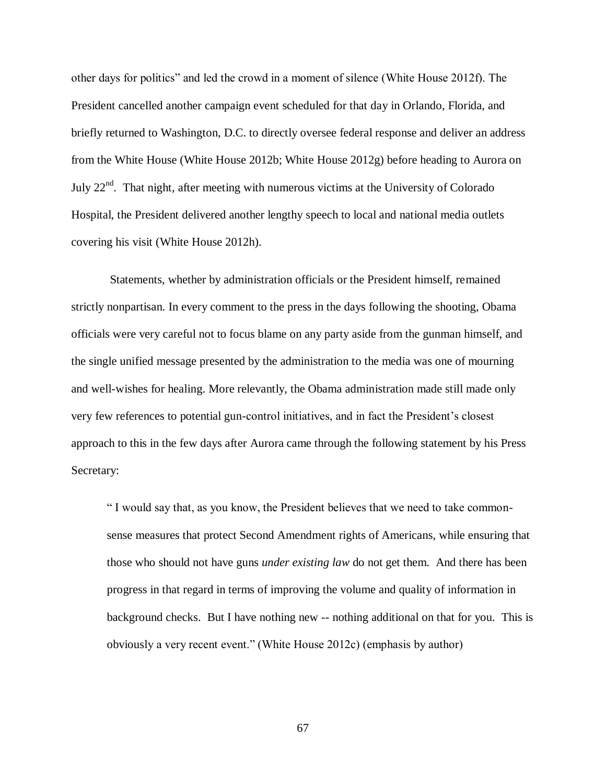other days for politics" and led the crowd in a moment of silence (White House 2012f). The President cancelled another campaign event scheduled for that day in Orlando, Florida, and briefly returned to Washington, D.C. to directly oversee federal response and deliver an address from the White House (White House 2012b; White House 2012g) before heading to Aurora on July  $22<sup>nd</sup>$ . That night, after meeting with numerous victims at the University of Colorado Hospital, the President delivered another lengthy speech to local and national media outlets covering his visit (White House 2012h).

Statements, whether by administration officials or the President himself, remained strictly nonpartisan. In every comment to the press in the days following the shooting, Obama officials were very careful not to focus blame on any party aside from the gunman himself, and the single unified message presented by the administration to the media was one of mourning and well-wishes for healing. More relevantly, the Obama administration made still made only very few references to potential gun-control initiatives, and in fact the President's closest approach to this in the few days after Aurora came through the following statement by his Press Secretary:

" I would say that, as you know, the President believes that we need to take commonsense measures that protect Second Amendment rights of Americans, while ensuring that those who should not have guns *under existing law* do not get them. And there has been progress in that regard in terms of improving the volume and quality of information in background checks. But I have nothing new -- nothing additional on that for you. This is obviously a very recent event." (White House 2012c) (emphasis by author)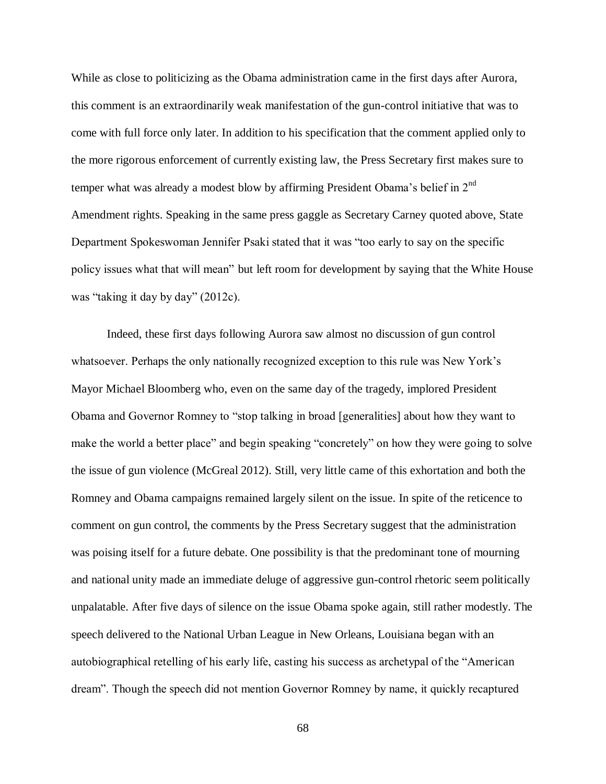While as close to politicizing as the Obama administration came in the first days after Aurora, this comment is an extraordinarily weak manifestation of the gun-control initiative that was to come with full force only later. In addition to his specification that the comment applied only to the more rigorous enforcement of currently existing law, the Press Secretary first makes sure to temper what was already a modest blow by affirming President Obama's belief in  $2<sup>nd</sup>$ Amendment rights. Speaking in the same press gaggle as Secretary Carney quoted above, State Department Spokeswoman Jennifer Psaki stated that it was "too early to say on the specific policy issues what that will mean" but left room for development by saying that the White House was "taking it day by day" (2012c).

Indeed, these first days following Aurora saw almost no discussion of gun control whatsoever. Perhaps the only nationally recognized exception to this rule was New York's Mayor Michael Bloomberg who, even on the same day of the tragedy, implored President Obama and Governor Romney to "stop talking in broad [generalities] about how they want to make the world a better place" and begin speaking "concretely" on how they were going to solve the issue of gun violence (McGreal 2012). Still, very little came of this exhortation and both the Romney and Obama campaigns remained largely silent on the issue. In spite of the reticence to comment on gun control, the comments by the Press Secretary suggest that the administration was poising itself for a future debate. One possibility is that the predominant tone of mourning and national unity made an immediate deluge of aggressive gun-control rhetoric seem politically unpalatable. After five days of silence on the issue Obama spoke again, still rather modestly. The speech delivered to the National Urban League in New Orleans, Louisiana began with an autobiographical retelling of his early life, casting his success as archetypal of the "American dream". Though the speech did not mention Governor Romney by name, it quickly recaptured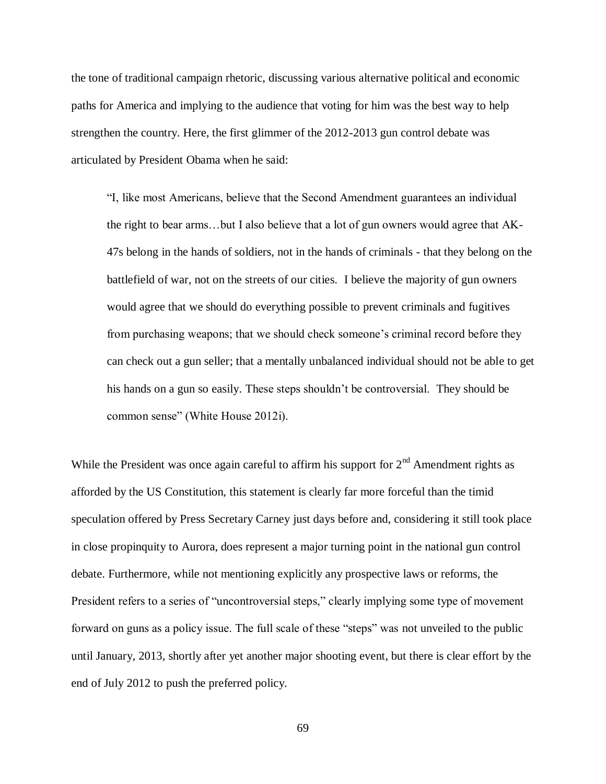the tone of traditional campaign rhetoric, discussing various alternative political and economic paths for America and implying to the audience that voting for him was the best way to help strengthen the country. Here, the first glimmer of the 2012-2013 gun control debate was articulated by President Obama when he said:

"I, like most Americans, believe that the Second Amendment guarantees an individual the right to bear arms…but I also believe that a lot of gun owners would agree that AK-47s belong in the hands of soldiers, not in the hands of criminals - that they belong on the battlefield of war, not on the streets of our cities. I believe the majority of gun owners would agree that we should do everything possible to prevent criminals and fugitives from purchasing weapons; that we should check someone's criminal record before they can check out a gun seller; that a mentally unbalanced individual should not be able to get his hands on a gun so easily. These steps shouldn't be controversial. They should be common sense" (White House 2012i).

While the President was once again careful to affirm his support for  $2<sup>nd</sup>$  Amendment rights as afforded by the US Constitution, this statement is clearly far more forceful than the timid speculation offered by Press Secretary Carney just days before and, considering it still took place in close propinquity to Aurora, does represent a major turning point in the national gun control debate. Furthermore, while not mentioning explicitly any prospective laws or reforms, the President refers to a series of "uncontroversial steps," clearly implying some type of movement forward on guns as a policy issue. The full scale of these "steps" was not unveiled to the public until January, 2013, shortly after yet another major shooting event, but there is clear effort by the end of July 2012 to push the preferred policy.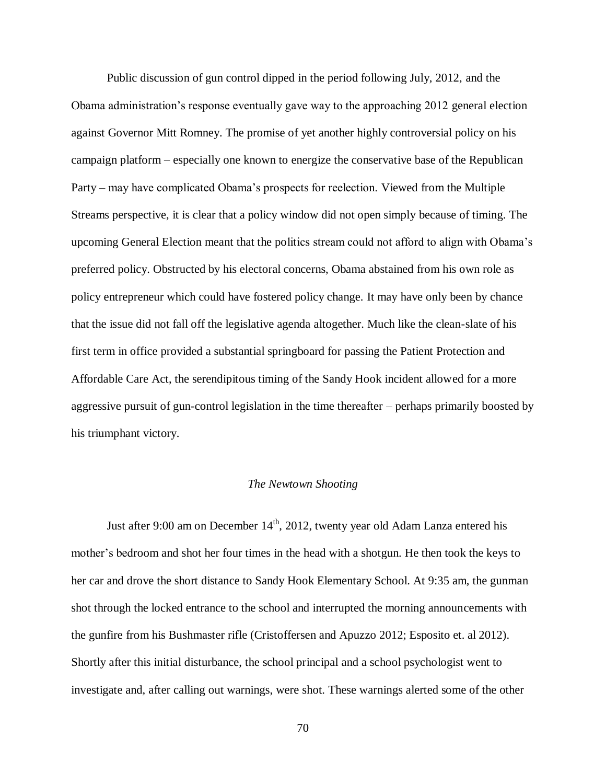Public discussion of gun control dipped in the period following July, 2012, and the Obama administration's response eventually gave way to the approaching 2012 general election against Governor Mitt Romney. The promise of yet another highly controversial policy on his campaign platform – especially one known to energize the conservative base of the Republican Party – may have complicated Obama's prospects for reelection. Viewed from the Multiple Streams perspective, it is clear that a policy window did not open simply because of timing. The upcoming General Election meant that the politics stream could not afford to align with Obama's preferred policy. Obstructed by his electoral concerns, Obama abstained from his own role as policy entrepreneur which could have fostered policy change. It may have only been by chance that the issue did not fall off the legislative agenda altogether. Much like the clean-slate of his first term in office provided a substantial springboard for passing the Patient Protection and Affordable Care Act, the serendipitous timing of the Sandy Hook incident allowed for a more aggressive pursuit of gun-control legislation in the time thereafter – perhaps primarily boosted by his triumphant victory.

### *The Newtown Shooting*

Just after 9:00 am on December  $14<sup>th</sup>$ , 2012, twenty year old Adam Lanza entered his mother's bedroom and shot her four times in the head with a shotgun. He then took the keys to her car and drove the short distance to Sandy Hook Elementary School. At 9:35 am, the gunman shot through the locked entrance to the school and interrupted the morning announcements with the gunfire from his Bushmaster rifle (Cristoffersen and Apuzzo 2012; Esposito et. al 2012). Shortly after this initial disturbance, the school principal and a school psychologist went to investigate and, after calling out warnings, were shot. These warnings alerted some of the other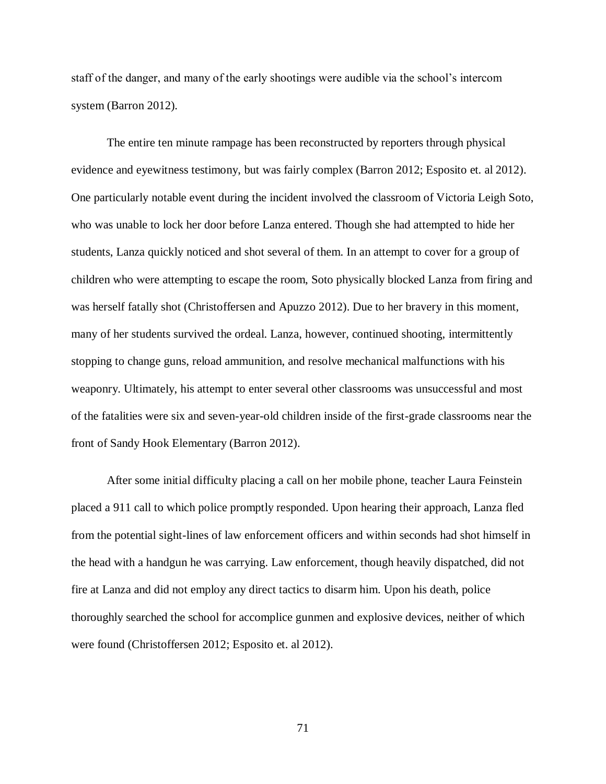staff of the danger, and many of the early shootings were audible via the school's intercom system (Barron 2012).

The entire ten minute rampage has been reconstructed by reporters through physical evidence and eyewitness testimony, but was fairly complex (Barron 2012; Esposito et. al 2012). One particularly notable event during the incident involved the classroom of Victoria Leigh Soto, who was unable to lock her door before Lanza entered. Though she had attempted to hide her students, Lanza quickly noticed and shot several of them. In an attempt to cover for a group of children who were attempting to escape the room, Soto physically blocked Lanza from firing and was herself fatally shot (Christoffersen and Apuzzo 2012). Due to her bravery in this moment, many of her students survived the ordeal. Lanza, however, continued shooting, intermittently stopping to change guns, reload ammunition, and resolve mechanical malfunctions with his weaponry. Ultimately, his attempt to enter several other classrooms was unsuccessful and most of the fatalities were six and seven-year-old children inside of the first-grade classrooms near the front of Sandy Hook Elementary (Barron 2012).

After some initial difficulty placing a call on her mobile phone, teacher Laura Feinstein placed a 911 call to which police promptly responded. Upon hearing their approach, Lanza fled from the potential sight-lines of law enforcement officers and within seconds had shot himself in the head with a handgun he was carrying. Law enforcement, though heavily dispatched, did not fire at Lanza and did not employ any direct tactics to disarm him. Upon his death, police thoroughly searched the school for accomplice gunmen and explosive devices, neither of which were found (Christoffersen 2012; Esposito et. al 2012).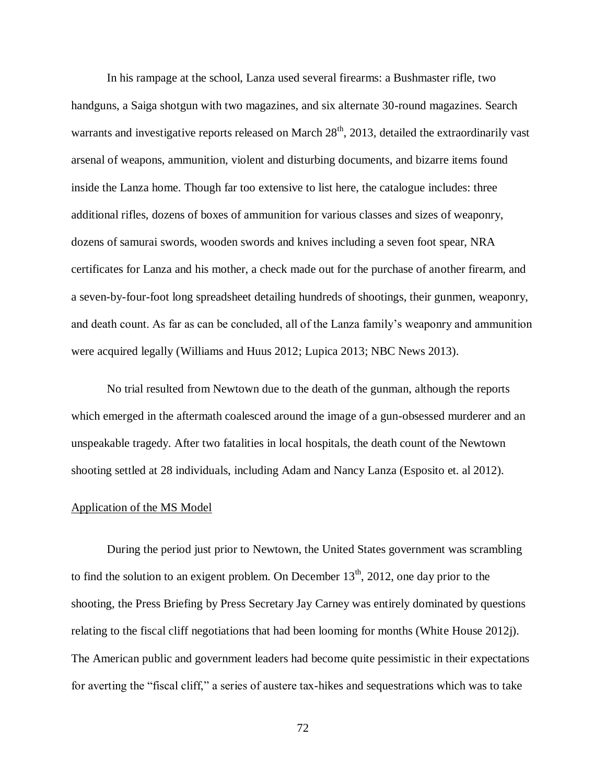In his rampage at the school, Lanza used several firearms: a Bushmaster rifle, two handguns, a Saiga shotgun with two magazines, and six alternate 30-round magazines. Search warrants and investigative reports released on March  $28<sup>th</sup>$ , 2013, detailed the extraordinarily vast arsenal of weapons, ammunition, violent and disturbing documents, and bizarre items found inside the Lanza home. Though far too extensive to list here, the catalogue includes: three additional rifles, dozens of boxes of ammunition for various classes and sizes of weaponry, dozens of samurai swords, wooden swords and knives including a seven foot spear, NRA certificates for Lanza and his mother, a check made out for the purchase of another firearm, and a seven-by-four-foot long spreadsheet detailing hundreds of shootings, their gunmen, weaponry, and death count. As far as can be concluded, all of the Lanza family's weaponry and ammunition were acquired legally (Williams and Huus 2012; Lupica 2013; NBC News 2013).

No trial resulted from Newtown due to the death of the gunman, although the reports which emerged in the aftermath coalesced around the image of a gun-obsessed murderer and an unspeakable tragedy. After two fatalities in local hospitals, the death count of the Newtown shooting settled at 28 individuals, including Adam and Nancy Lanza (Esposito et. al 2012).

#### Application of the MS Model

During the period just prior to Newtown, the United States government was scrambling to find the solution to an exigent problem. On December  $13<sup>th</sup>$ , 2012, one day prior to the shooting, the Press Briefing by Press Secretary Jay Carney was entirely dominated by questions relating to the fiscal cliff negotiations that had been looming for months (White House 2012j). The American public and government leaders had become quite pessimistic in their expectations for averting the "fiscal cliff," a series of austere tax-hikes and sequestrations which was to take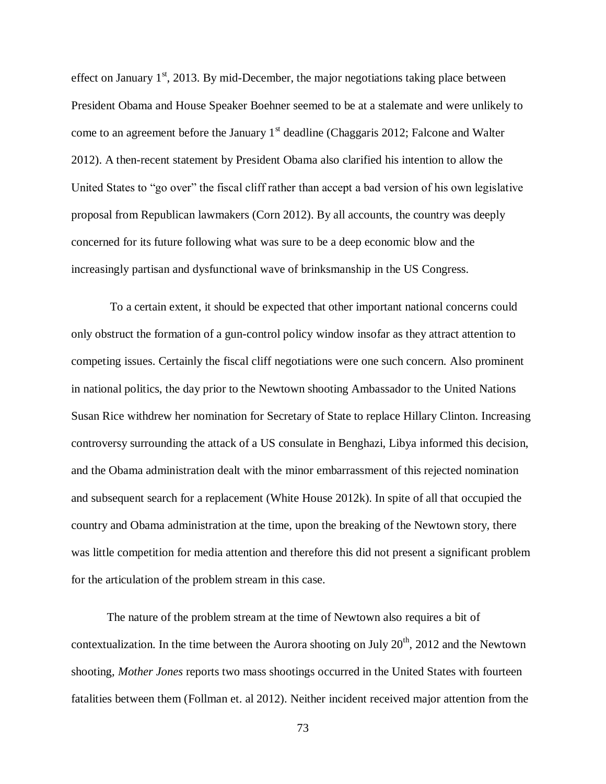effect on January  $1<sup>st</sup>$ , 2013. By mid-December, the major negotiations taking place between President Obama and House Speaker Boehner seemed to be at a stalemate and were unlikely to come to an agreement before the January  $1<sup>st</sup>$  deadline (Chaggaris 2012; Falcone and Walter 2012). A then-recent statement by President Obama also clarified his intention to allow the United States to "go over" the fiscal cliff rather than accept a bad version of his own legislative proposal from Republican lawmakers (Corn 2012). By all accounts, the country was deeply concerned for its future following what was sure to be a deep economic blow and the increasingly partisan and dysfunctional wave of brinksmanship in the US Congress.

To a certain extent, it should be expected that other important national concerns could only obstruct the formation of a gun-control policy window insofar as they attract attention to competing issues. Certainly the fiscal cliff negotiations were one such concern. Also prominent in national politics, the day prior to the Newtown shooting Ambassador to the United Nations Susan Rice withdrew her nomination for Secretary of State to replace Hillary Clinton. Increasing controversy surrounding the attack of a US consulate in Benghazi, Libya informed this decision, and the Obama administration dealt with the minor embarrassment of this rejected nomination and subsequent search for a replacement (White House 2012k). In spite of all that occupied the country and Obama administration at the time, upon the breaking of the Newtown story, there was little competition for media attention and therefore this did not present a significant problem for the articulation of the problem stream in this case.

The nature of the problem stream at the time of Newtown also requires a bit of contextualization. In the time between the Aurora shooting on July  $20<sup>th</sup>$ , 2012 and the Newtown shooting, *Mother Jones* reports two mass shootings occurred in the United States with fourteen fatalities between them (Follman et. al 2012). Neither incident received major attention from the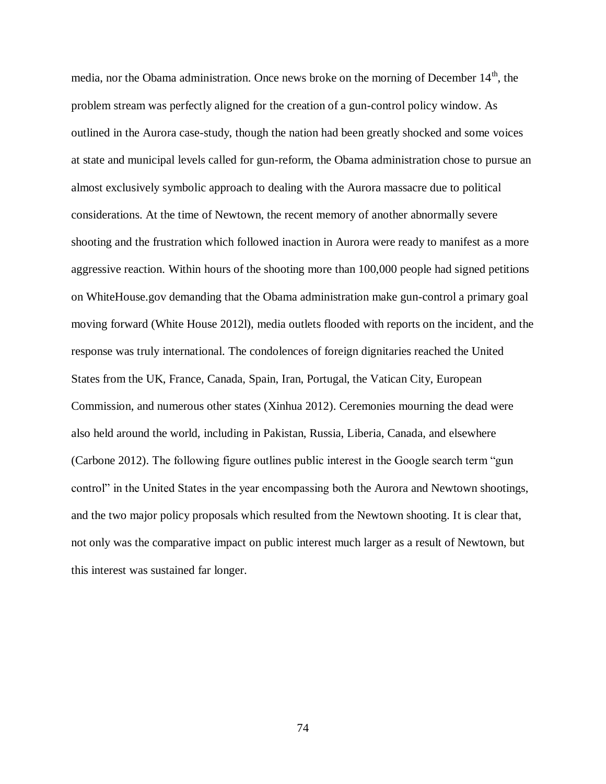media, nor the Obama administration. Once news broke on the morning of December  $14<sup>th</sup>$ , the problem stream was perfectly aligned for the creation of a gun-control policy window. As outlined in the Aurora case-study, though the nation had been greatly shocked and some voices at state and municipal levels called for gun-reform, the Obama administration chose to pursue an almost exclusively symbolic approach to dealing with the Aurora massacre due to political considerations. At the time of Newtown, the recent memory of another abnormally severe shooting and the frustration which followed inaction in Aurora were ready to manifest as a more aggressive reaction. Within hours of the shooting more than 100,000 people had signed petitions on WhiteHouse.gov demanding that the Obama administration make gun-control a primary goal moving forward (White House 2012l), media outlets flooded with reports on the incident, and the response was truly international. The condolences of foreign dignitaries reached the United States from the UK, France, Canada, Spain, Iran, Portugal, the Vatican City, European Commission, and numerous other states (Xinhua 2012). Ceremonies mourning the dead were also held around the world, including in Pakistan, Russia, Liberia, Canada, and elsewhere (Carbone 2012). The following figure outlines public interest in the Google search term "gun control" in the United States in the year encompassing both the Aurora and Newtown shootings, and the two major policy proposals which resulted from the Newtown shooting. It is clear that, not only was the comparative impact on public interest much larger as a result of Newtown, but this interest was sustained far longer.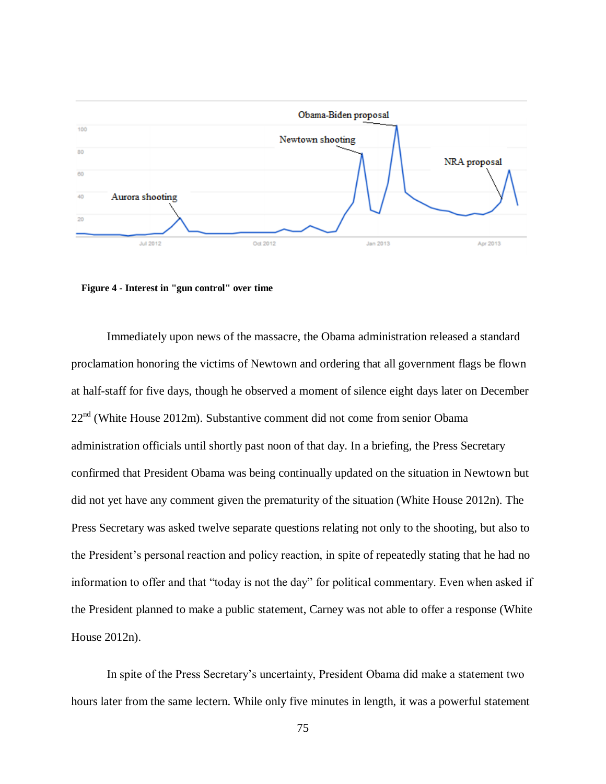

 **Figure 4 - Interest in "gun control" over time**

Immediately upon news of the massacre, the Obama administration released a standard proclamation honoring the victims of Newtown and ordering that all government flags be flown at half-staff for five days, though he observed a moment of silence eight days later on December  $22<sup>nd</sup>$  (White House 2012m). Substantive comment did not come from senior Obama administration officials until shortly past noon of that day. In a briefing, the Press Secretary confirmed that President Obama was being continually updated on the situation in Newtown but did not yet have any comment given the prematurity of the situation (White House 2012n). The Press Secretary was asked twelve separate questions relating not only to the shooting, but also to the President's personal reaction and policy reaction, in spite of repeatedly stating that he had no information to offer and that "today is not the day" for political commentary. Even when asked if the President planned to make a public statement, Carney was not able to offer a response (White House 2012n).

In spite of the Press Secretary's uncertainty, President Obama did make a statement two hours later from the same lectern. While only five minutes in length, it was a powerful statement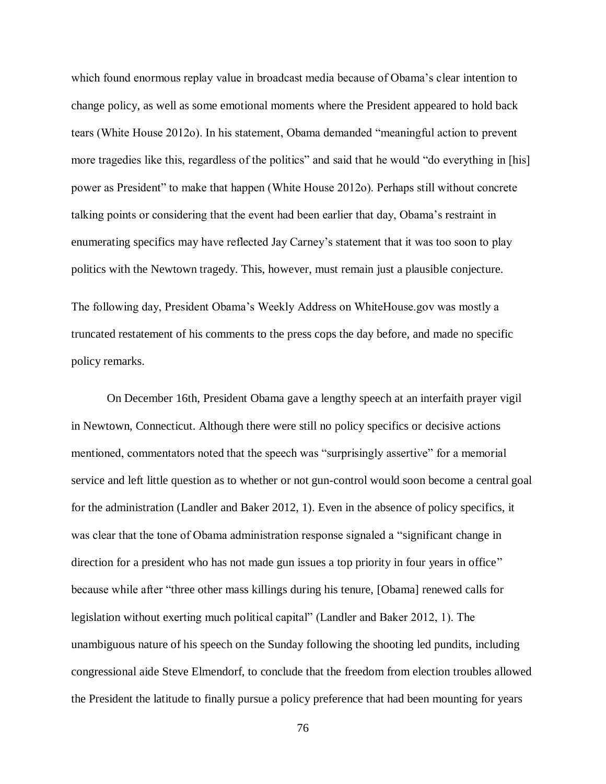which found enormous replay value in broadcast media because of Obama's clear intention to change policy, as well as some emotional moments where the President appeared to hold back tears (White House 2012o). In his statement, Obama demanded "meaningful action to prevent more tragedies like this, regardless of the politics" and said that he would "do everything in [his] power as President" to make that happen (White House 2012o). Perhaps still without concrete talking points or considering that the event had been earlier that day, Obama's restraint in enumerating specifics may have reflected Jay Carney's statement that it was too soon to play politics with the Newtown tragedy. This, however, must remain just a plausible conjecture.

The following day, President Obama's Weekly Address on WhiteHouse.gov was mostly a truncated restatement of his comments to the press cops the day before, and made no specific policy remarks.

On December 16th, President Obama gave a lengthy speech at an interfaith prayer vigil in Newtown, Connecticut. Although there were still no policy specifics or decisive actions mentioned, commentators noted that the speech was "surprisingly assertive" for a memorial service and left little question as to whether or not gun-control would soon become a central goal for the administration (Landler and Baker 2012, 1). Even in the absence of policy specifics, it was clear that the tone of Obama administration response signaled a "significant change in direction for a president who has not made gun issues a top priority in four years in office" because while after "three other mass killings during his tenure, [Obama] renewed calls for legislation without exerting much political capital" (Landler and Baker 2012, 1). The unambiguous nature of his speech on the Sunday following the shooting led pundits, including congressional aide Steve Elmendorf, to conclude that the freedom from election troubles allowed the President the latitude to finally pursue a policy preference that had been mounting for years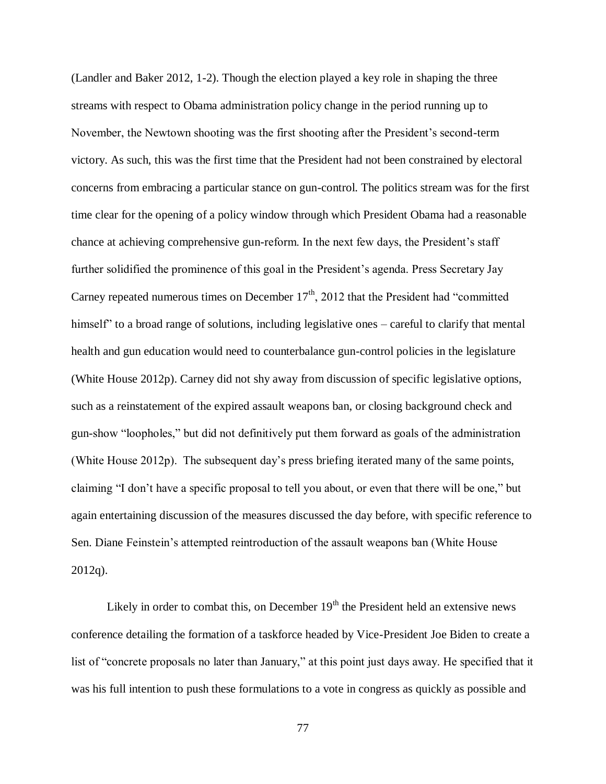(Landler and Baker 2012, 1-2). Though the election played a key role in shaping the three streams with respect to Obama administration policy change in the period running up to November, the Newtown shooting was the first shooting after the President's second-term victory. As such, this was the first time that the President had not been constrained by electoral concerns from embracing a particular stance on gun-control. The politics stream was for the first time clear for the opening of a policy window through which President Obama had a reasonable chance at achieving comprehensive gun-reform. In the next few days, the President's staff further solidified the prominence of this goal in the President's agenda. Press Secretary Jay Carney repeated numerous times on December  $17<sup>th</sup>$ , 2012 that the President had "committed" himself" to a broad range of solutions, including legislative ones – careful to clarify that mental health and gun education would need to counterbalance gun-control policies in the legislature (White House 2012p). Carney did not shy away from discussion of specific legislative options, such as a reinstatement of the expired assault weapons ban, or closing background check and gun-show "loopholes," but did not definitively put them forward as goals of the administration (White House 2012p). The subsequent day's press briefing iterated many of the same points, claiming "I don't have a specific proposal to tell you about, or even that there will be one," but again entertaining discussion of the measures discussed the day before, with specific reference to Sen. Diane Feinstein's attempted reintroduction of the assault weapons ban (White House 2012q).

Likely in order to combat this, on December  $19<sup>th</sup>$  the President held an extensive news conference detailing the formation of a taskforce headed by Vice-President Joe Biden to create a list of "concrete proposals no later than January," at this point just days away. He specified that it was his full intention to push these formulations to a vote in congress as quickly as possible and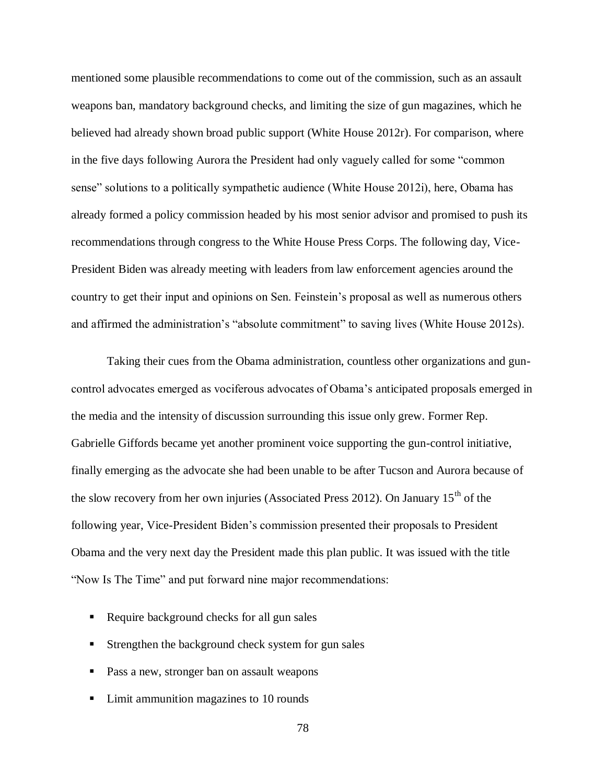mentioned some plausible recommendations to come out of the commission, such as an assault weapons ban, mandatory background checks, and limiting the size of gun magazines, which he believed had already shown broad public support (White House 2012r). For comparison, where in the five days following Aurora the President had only vaguely called for some "common sense" solutions to a politically sympathetic audience (White House 2012i), here, Obama has already formed a policy commission headed by his most senior advisor and promised to push its recommendations through congress to the White House Press Corps. The following day, Vice-President Biden was already meeting with leaders from law enforcement agencies around the country to get their input and opinions on Sen. Feinstein's proposal as well as numerous others and affirmed the administration's "absolute commitment" to saving lives (White House 2012s).

Taking their cues from the Obama administration, countless other organizations and guncontrol advocates emerged as vociferous advocates of Obama's anticipated proposals emerged in the media and the intensity of discussion surrounding this issue only grew. Former Rep. Gabrielle Giffords became yet another prominent voice supporting the gun-control initiative, finally emerging as the advocate she had been unable to be after Tucson and Aurora because of the slow recovery from her own injuries (Associated Press 2012). On January  $15<sup>th</sup>$  of the following year, Vice-President Biden's commission presented their proposals to President Obama and the very next day the President made this plan public. It was issued with the title "Now Is The Time" and put forward nine major recommendations:

- Require background checks for all gun sales
- **Strengthen the background check system for gun sales**
- **Pass a new, stronger ban on assault weapons**
- Limit ammunition magazines to 10 rounds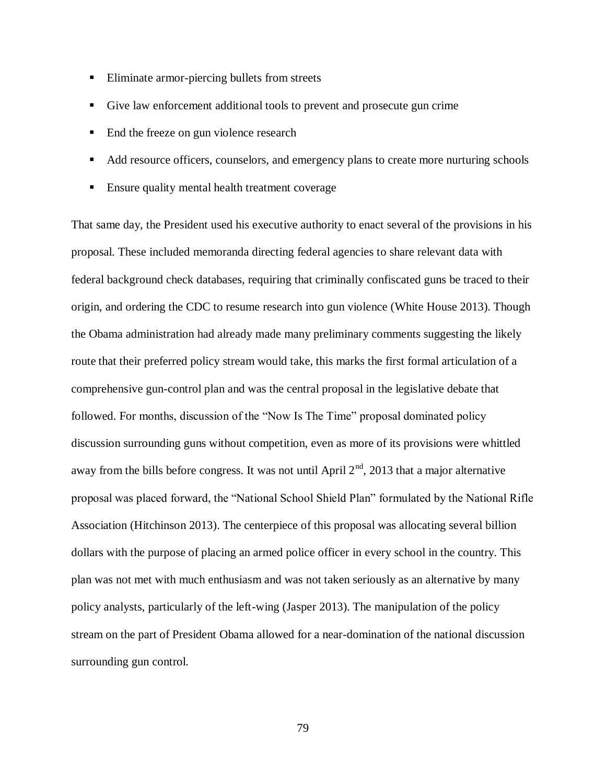- Eliminate armor-piercing bullets from streets
- Give law enforcement additional tools to prevent and prosecute gun crime
- End the freeze on gun violence research
- Add resource officers, counselors, and emergency plans to create more nurturing schools
- Ensure quality mental health treatment coverage

That same day, the President used his executive authority to enact several of the provisions in his proposal. These included memoranda directing federal agencies to share relevant data with federal background check databases, requiring that criminally confiscated guns be traced to their origin, and ordering the CDC to resume research into gun violence (White House 2013). Though the Obama administration had already made many preliminary comments suggesting the likely route that their preferred policy stream would take, this marks the first formal articulation of a comprehensive gun-control plan and was the central proposal in the legislative debate that followed. For months, discussion of the "Now Is The Time" proposal dominated policy discussion surrounding guns without competition, even as more of its provisions were whittled away from the bills before congress. It was not until April  $2<sup>nd</sup>$ , 2013 that a major alternative proposal was placed forward, the "National School Shield Plan" formulated by the National Rifle Association (Hitchinson 2013). The centerpiece of this proposal was allocating several billion dollars with the purpose of placing an armed police officer in every school in the country. This plan was not met with much enthusiasm and was not taken seriously as an alternative by many policy analysts, particularly of the left-wing (Jasper 2013). The manipulation of the policy stream on the part of President Obama allowed for a near-domination of the national discussion surrounding gun control.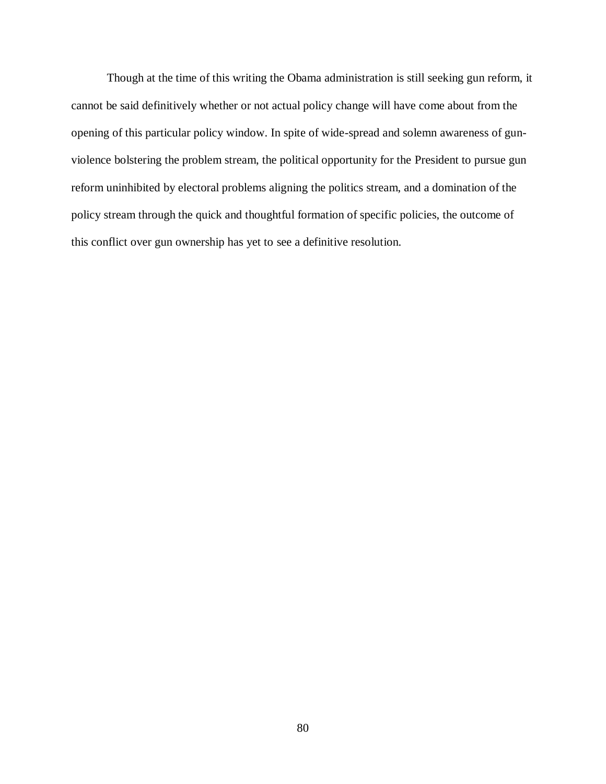Though at the time of this writing the Obama administration is still seeking gun reform, it cannot be said definitively whether or not actual policy change will have come about from the opening of this particular policy window. In spite of wide-spread and solemn awareness of gunviolence bolstering the problem stream, the political opportunity for the President to pursue gun reform uninhibited by electoral problems aligning the politics stream, and a domination of the policy stream through the quick and thoughtful formation of specific policies, the outcome of this conflict over gun ownership has yet to see a definitive resolution.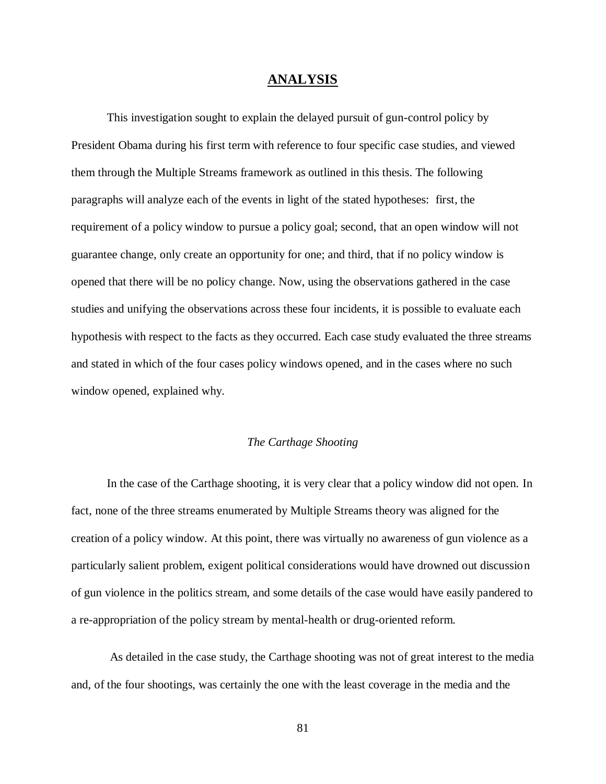## **ANALYSIS**

This investigation sought to explain the delayed pursuit of gun-control policy by President Obama during his first term with reference to four specific case studies, and viewed them through the Multiple Streams framework as outlined in this thesis. The following paragraphs will analyze each of the events in light of the stated hypotheses: first, the requirement of a policy window to pursue a policy goal; second, that an open window will not guarantee change, only create an opportunity for one; and third, that if no policy window is opened that there will be no policy change. Now, using the observations gathered in the case studies and unifying the observations across these four incidents, it is possible to evaluate each hypothesis with respect to the facts as they occurred. Each case study evaluated the three streams and stated in which of the four cases policy windows opened, and in the cases where no such window opened, explained why.

### *The Carthage Shooting*

In the case of the Carthage shooting, it is very clear that a policy window did not open. In fact, none of the three streams enumerated by Multiple Streams theory was aligned for the creation of a policy window. At this point, there was virtually no awareness of gun violence as a particularly salient problem, exigent political considerations would have drowned out discussion of gun violence in the politics stream, and some details of the case would have easily pandered to a re-appropriation of the policy stream by mental-health or drug-oriented reform.

As detailed in the case study, the Carthage shooting was not of great interest to the media and, of the four shootings, was certainly the one with the least coverage in the media and the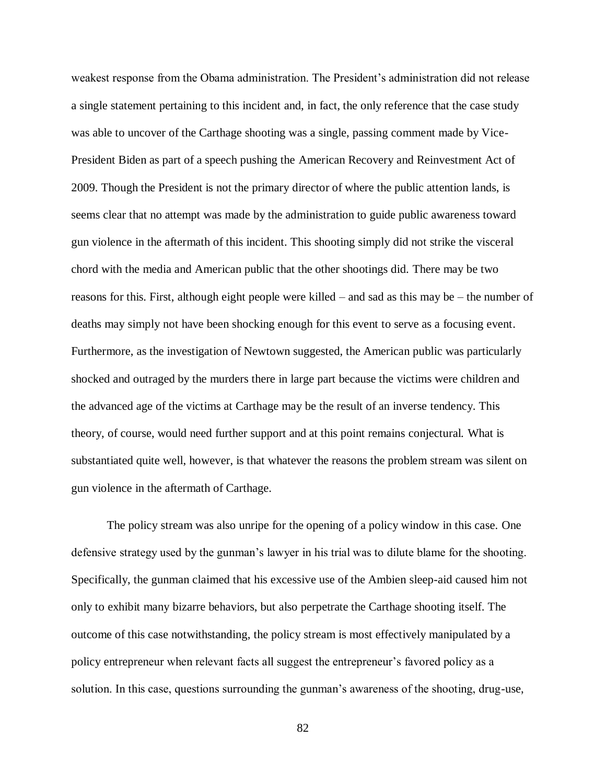weakest response from the Obama administration. The President's administration did not release a single statement pertaining to this incident and, in fact, the only reference that the case study was able to uncover of the Carthage shooting was a single, passing comment made by Vice-President Biden as part of a speech pushing the American Recovery and Reinvestment Act of 2009. Though the President is not the primary director of where the public attention lands, is seems clear that no attempt was made by the administration to guide public awareness toward gun violence in the aftermath of this incident. This shooting simply did not strike the visceral chord with the media and American public that the other shootings did. There may be two reasons for this. First, although eight people were killed – and sad as this may be – the number of deaths may simply not have been shocking enough for this event to serve as a focusing event. Furthermore, as the investigation of Newtown suggested, the American public was particularly shocked and outraged by the murders there in large part because the victims were children and the advanced age of the victims at Carthage may be the result of an inverse tendency. This theory, of course, would need further support and at this point remains conjectural. What is substantiated quite well, however, is that whatever the reasons the problem stream was silent on gun violence in the aftermath of Carthage.

The policy stream was also unripe for the opening of a policy window in this case. One defensive strategy used by the gunman's lawyer in his trial was to dilute blame for the shooting. Specifically, the gunman claimed that his excessive use of the Ambien sleep-aid caused him not only to exhibit many bizarre behaviors, but also perpetrate the Carthage shooting itself. The outcome of this case notwithstanding, the policy stream is most effectively manipulated by a policy entrepreneur when relevant facts all suggest the entrepreneur's favored policy as a solution. In this case, questions surrounding the gunman's awareness of the shooting, drug-use,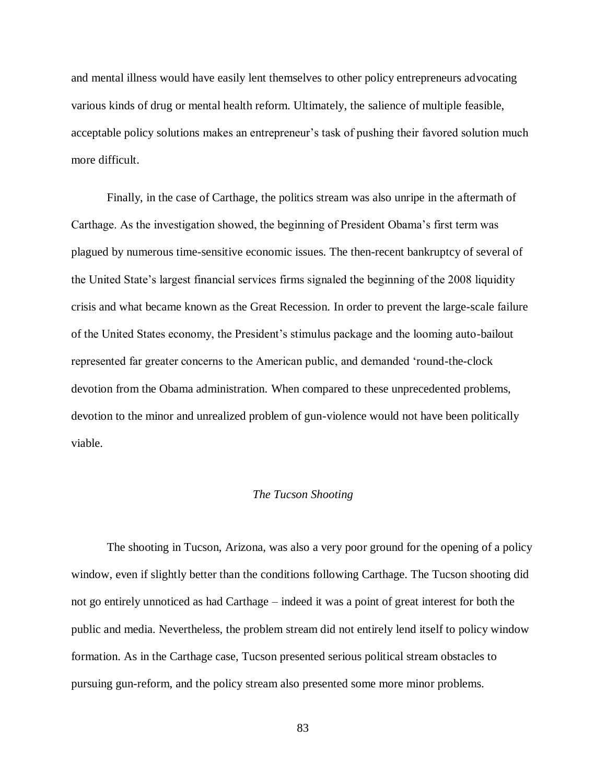and mental illness would have easily lent themselves to other policy entrepreneurs advocating various kinds of drug or mental health reform. Ultimately, the salience of multiple feasible, acceptable policy solutions makes an entrepreneur's task of pushing their favored solution much more difficult.

Finally, in the case of Carthage, the politics stream was also unripe in the aftermath of Carthage. As the investigation showed, the beginning of President Obama's first term was plagued by numerous time-sensitive economic issues. The then-recent bankruptcy of several of the United State's largest financial services firms signaled the beginning of the 2008 liquidity crisis and what became known as the Great Recession. In order to prevent the large-scale failure of the United States economy, the President's stimulus package and the looming auto-bailout represented far greater concerns to the American public, and demanded 'round-the-clock devotion from the Obama administration. When compared to these unprecedented problems, devotion to the minor and unrealized problem of gun-violence would not have been politically viable.

#### *The Tucson Shooting*

The shooting in Tucson, Arizona, was also a very poor ground for the opening of a policy window, even if slightly better than the conditions following Carthage. The Tucson shooting did not go entirely unnoticed as had Carthage – indeed it was a point of great interest for both the public and media. Nevertheless, the problem stream did not entirely lend itself to policy window formation. As in the Carthage case, Tucson presented serious political stream obstacles to pursuing gun-reform, and the policy stream also presented some more minor problems.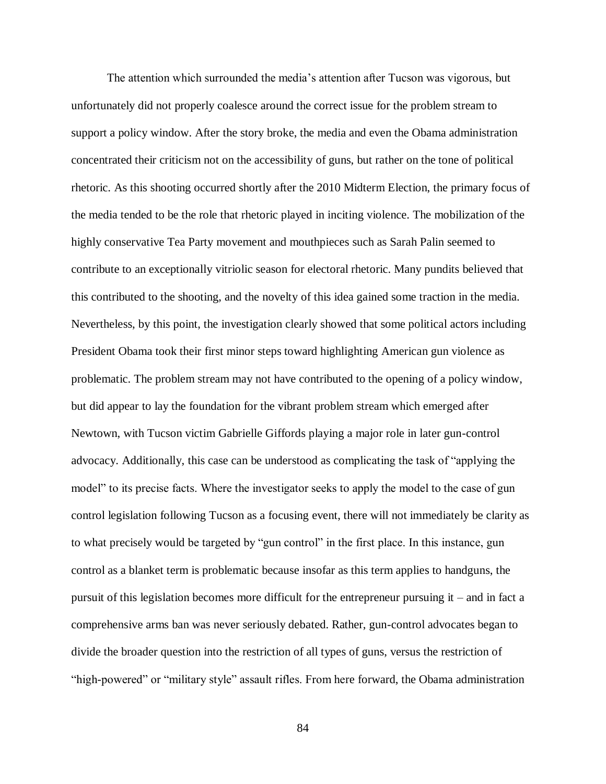The attention which surrounded the media's attention after Tucson was vigorous, but unfortunately did not properly coalesce around the correct issue for the problem stream to support a policy window. After the story broke, the media and even the Obama administration concentrated their criticism not on the accessibility of guns, but rather on the tone of political rhetoric. As this shooting occurred shortly after the 2010 Midterm Election, the primary focus of the media tended to be the role that rhetoric played in inciting violence. The mobilization of the highly conservative Tea Party movement and mouthpieces such as Sarah Palin seemed to contribute to an exceptionally vitriolic season for electoral rhetoric. Many pundits believed that this contributed to the shooting, and the novelty of this idea gained some traction in the media. Nevertheless, by this point, the investigation clearly showed that some political actors including President Obama took their first minor steps toward highlighting American gun violence as problematic. The problem stream may not have contributed to the opening of a policy window, but did appear to lay the foundation for the vibrant problem stream which emerged after Newtown, with Tucson victim Gabrielle Giffords playing a major role in later gun-control advocacy. Additionally, this case can be understood as complicating the task of "applying the model" to its precise facts. Where the investigator seeks to apply the model to the case of gun control legislation following Tucson as a focusing event, there will not immediately be clarity as to what precisely would be targeted by "gun control" in the first place. In this instance, gun control as a blanket term is problematic because insofar as this term applies to handguns, the pursuit of this legislation becomes more difficult for the entrepreneur pursuing it – and in fact a comprehensive arms ban was never seriously debated. Rather, gun-control advocates began to divide the broader question into the restriction of all types of guns, versus the restriction of "high-powered" or "military style" assault rifles. From here forward, the Obama administration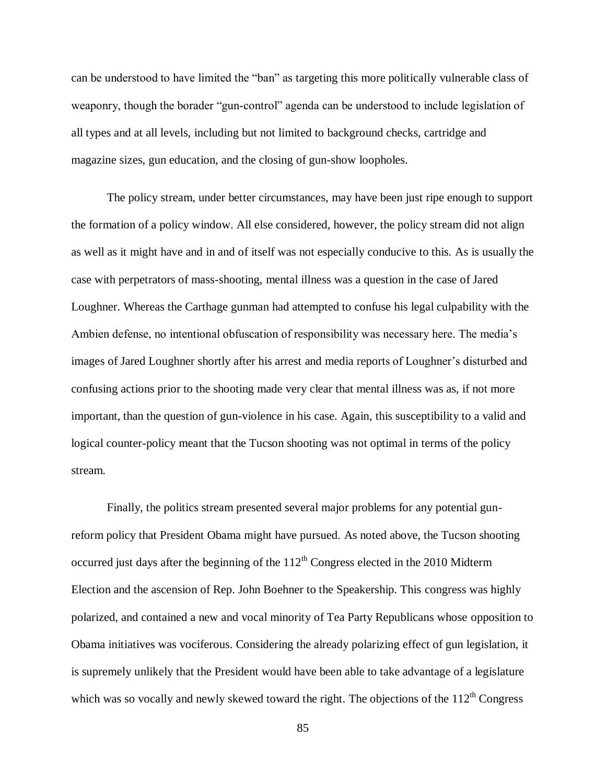can be understood to have limited the "ban" as targeting this more politically vulnerable class of weaponry, though the borader "gun-control" agenda can be understood to include legislation of all types and at all levels, including but not limited to background checks, cartridge and magazine sizes, gun education, and the closing of gun-show loopholes.

The policy stream, under better circumstances, may have been just ripe enough to support the formation of a policy window. All else considered, however, the policy stream did not align as well as it might have and in and of itself was not especially conducive to this. As is usually the case with perpetrators of mass-shooting, mental illness was a question in the case of Jared Loughner. Whereas the Carthage gunman had attempted to confuse his legal culpability with the Ambien defense, no intentional obfuscation of responsibility was necessary here. The media's images of Jared Loughner shortly after his arrest and media reports of Loughner's disturbed and confusing actions prior to the shooting made very clear that mental illness was as, if not more important, than the question of gun-violence in his case. Again, this susceptibility to a valid and logical counter-policy meant that the Tucson shooting was not optimal in terms of the policy stream.

Finally, the politics stream presented several major problems for any potential gunreform policy that President Obama might have pursued. As noted above, the Tucson shooting occurred just days after the beginning of the  $112<sup>th</sup>$  Congress elected in the 2010 Midterm Election and the ascension of Rep. John Boehner to the Speakership. This congress was highly polarized, and contained a new and vocal minority of Tea Party Republicans whose opposition to Obama initiatives was vociferous. Considering the already polarizing effect of gun legislation, it is supremely unlikely that the President would have been able to take advantage of a legislature which was so vocally and newly skewed toward the right. The objections of the  $112<sup>th</sup>$  Congress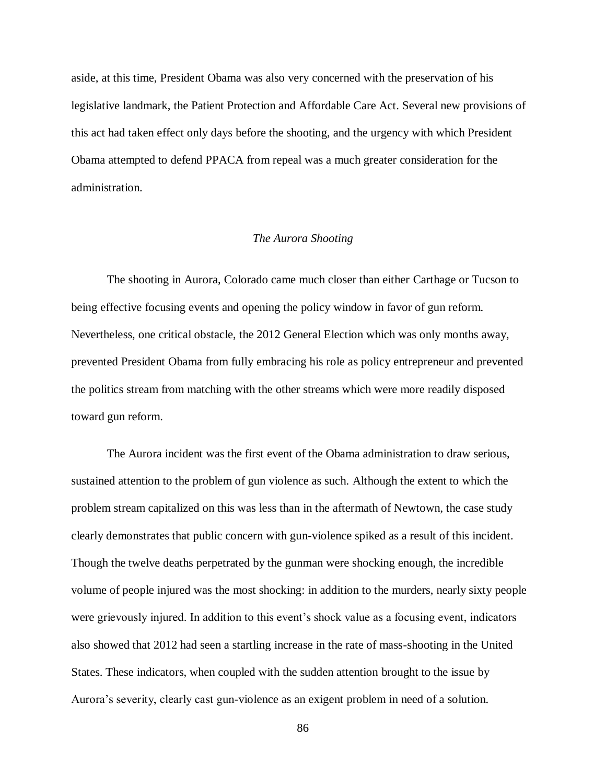aside, at this time, President Obama was also very concerned with the preservation of his legislative landmark, the Patient Protection and Affordable Care Act. Several new provisions of this act had taken effect only days before the shooting, and the urgency with which President Obama attempted to defend PPACA from repeal was a much greater consideration for the administration.

#### *The Aurora Shooting*

The shooting in Aurora, Colorado came much closer than either Carthage or Tucson to being effective focusing events and opening the policy window in favor of gun reform. Nevertheless, one critical obstacle, the 2012 General Election which was only months away, prevented President Obama from fully embracing his role as policy entrepreneur and prevented the politics stream from matching with the other streams which were more readily disposed toward gun reform.

The Aurora incident was the first event of the Obama administration to draw serious, sustained attention to the problem of gun violence as such. Although the extent to which the problem stream capitalized on this was less than in the aftermath of Newtown, the case study clearly demonstrates that public concern with gun-violence spiked as a result of this incident. Though the twelve deaths perpetrated by the gunman were shocking enough, the incredible volume of people injured was the most shocking: in addition to the murders, nearly sixty people were grievously injured. In addition to this event's shock value as a focusing event, indicators also showed that 2012 had seen a startling increase in the rate of mass-shooting in the United States. These indicators, when coupled with the sudden attention brought to the issue by Aurora's severity, clearly cast gun-violence as an exigent problem in need of a solution.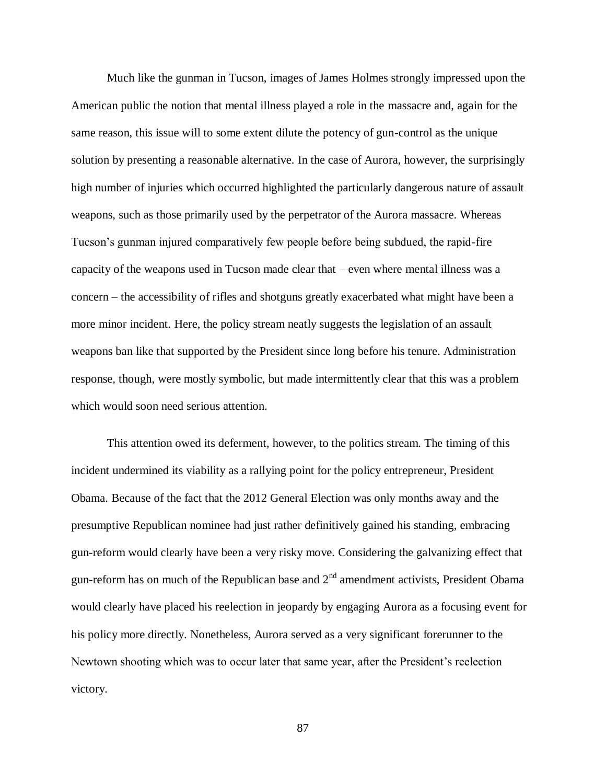Much like the gunman in Tucson, images of James Holmes strongly impressed upon the American public the notion that mental illness played a role in the massacre and, again for the same reason, this issue will to some extent dilute the potency of gun-control as the unique solution by presenting a reasonable alternative. In the case of Aurora, however, the surprisingly high number of injuries which occurred highlighted the particularly dangerous nature of assault weapons, such as those primarily used by the perpetrator of the Aurora massacre. Whereas Tucson's gunman injured comparatively few people before being subdued, the rapid-fire capacity of the weapons used in Tucson made clear that – even where mental illness was a concern – the accessibility of rifles and shotguns greatly exacerbated what might have been a more minor incident. Here, the policy stream neatly suggests the legislation of an assault weapons ban like that supported by the President since long before his tenure. Administration response, though, were mostly symbolic, but made intermittently clear that this was a problem which would soon need serious attention.

This attention owed its deferment, however, to the politics stream. The timing of this incident undermined its viability as a rallying point for the policy entrepreneur, President Obama. Because of the fact that the 2012 General Election was only months away and the presumptive Republican nominee had just rather definitively gained his standing, embracing gun-reform would clearly have been a very risky move. Considering the galvanizing effect that gun-reform has on much of the Republican base and  $2<sup>nd</sup>$  amendment activists, President Obama would clearly have placed his reelection in jeopardy by engaging Aurora as a focusing event for his policy more directly. Nonetheless, Aurora served as a very significant forerunner to the Newtown shooting which was to occur later that same year, after the President's reelection victory.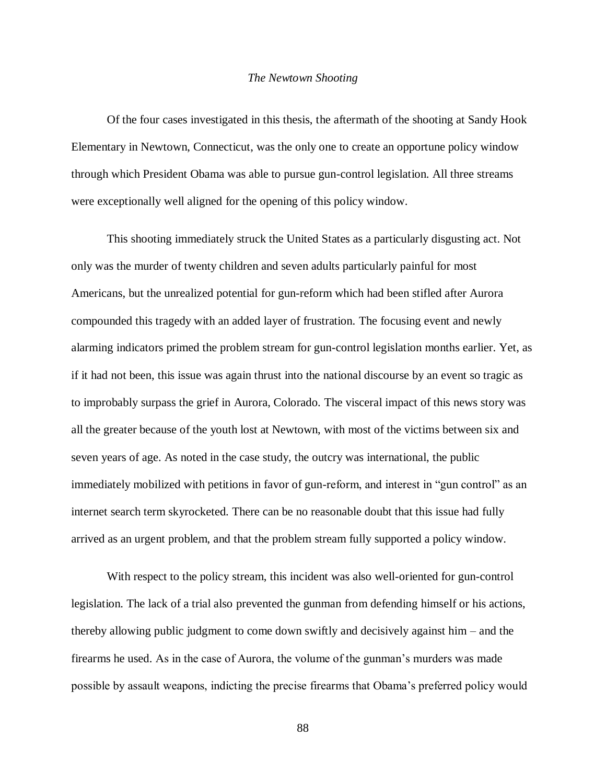#### *The Newtown Shooting*

Of the four cases investigated in this thesis, the aftermath of the shooting at Sandy Hook Elementary in Newtown, Connecticut, was the only one to create an opportune policy window through which President Obama was able to pursue gun-control legislation. All three streams were exceptionally well aligned for the opening of this policy window.

This shooting immediately struck the United States as a particularly disgusting act. Not only was the murder of twenty children and seven adults particularly painful for most Americans, but the unrealized potential for gun-reform which had been stifled after Aurora compounded this tragedy with an added layer of frustration. The focusing event and newly alarming indicators primed the problem stream for gun-control legislation months earlier. Yet, as if it had not been, this issue was again thrust into the national discourse by an event so tragic as to improbably surpass the grief in Aurora, Colorado. The visceral impact of this news story was all the greater because of the youth lost at Newtown, with most of the victims between six and seven years of age. As noted in the case study, the outcry was international, the public immediately mobilized with petitions in favor of gun-reform, and interest in "gun control" as an internet search term skyrocketed. There can be no reasonable doubt that this issue had fully arrived as an urgent problem, and that the problem stream fully supported a policy window.

With respect to the policy stream, this incident was also well-oriented for gun-control legislation. The lack of a trial also prevented the gunman from defending himself or his actions, thereby allowing public judgment to come down swiftly and decisively against him – and the firearms he used. As in the case of Aurora, the volume of the gunman's murders was made possible by assault weapons, indicting the precise firearms that Obama's preferred policy would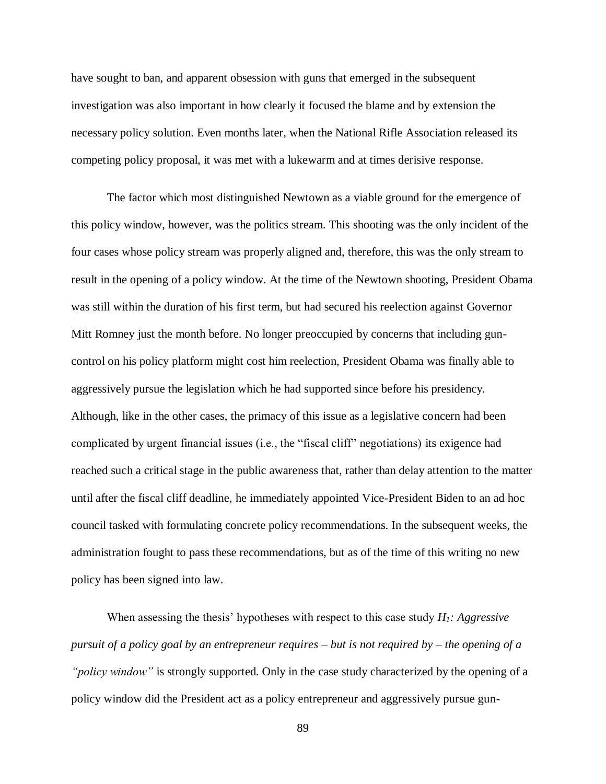have sought to ban, and apparent obsession with guns that emerged in the subsequent investigation was also important in how clearly it focused the blame and by extension the necessary policy solution. Even months later, when the National Rifle Association released its competing policy proposal, it was met with a lukewarm and at times derisive response.

The factor which most distinguished Newtown as a viable ground for the emergence of this policy window, however, was the politics stream. This shooting was the only incident of the four cases whose policy stream was properly aligned and, therefore, this was the only stream to result in the opening of a policy window. At the time of the Newtown shooting, President Obama was still within the duration of his first term, but had secured his reelection against Governor Mitt Romney just the month before. No longer preoccupied by concerns that including guncontrol on his policy platform might cost him reelection, President Obama was finally able to aggressively pursue the legislation which he had supported since before his presidency. Although, like in the other cases, the primacy of this issue as a legislative concern had been complicated by urgent financial issues (i.e., the "fiscal cliff" negotiations) its exigence had reached such a critical stage in the public awareness that, rather than delay attention to the matter until after the fiscal cliff deadline, he immediately appointed Vice-President Biden to an ad hoc council tasked with formulating concrete policy recommendations. In the subsequent weeks, the administration fought to pass these recommendations, but as of the time of this writing no new policy has been signed into law.

When assessing the thesis' hypotheses with respect to this case study *H1: Aggressive pursuit of a policy goal by an entrepreneur requires – but is not required by – the opening of a "policy window"* is strongly supported. Only in the case study characterized by the opening of a policy window did the President act as a policy entrepreneur and aggressively pursue gun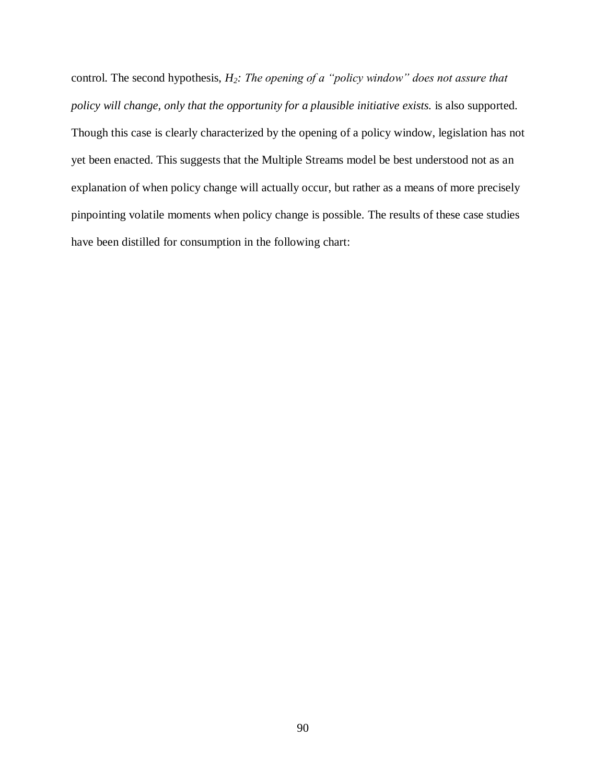control. The second hypothesis, *H2: The opening of a "policy window" does not assure that policy will change, only that the opportunity for a plausible initiative exists.* is also supported. Though this case is clearly characterized by the opening of a policy window, legislation has not yet been enacted. This suggests that the Multiple Streams model be best understood not as an explanation of when policy change will actually occur, but rather as a means of more precisely pinpointing volatile moments when policy change is possible. The results of these case studies have been distilled for consumption in the following chart: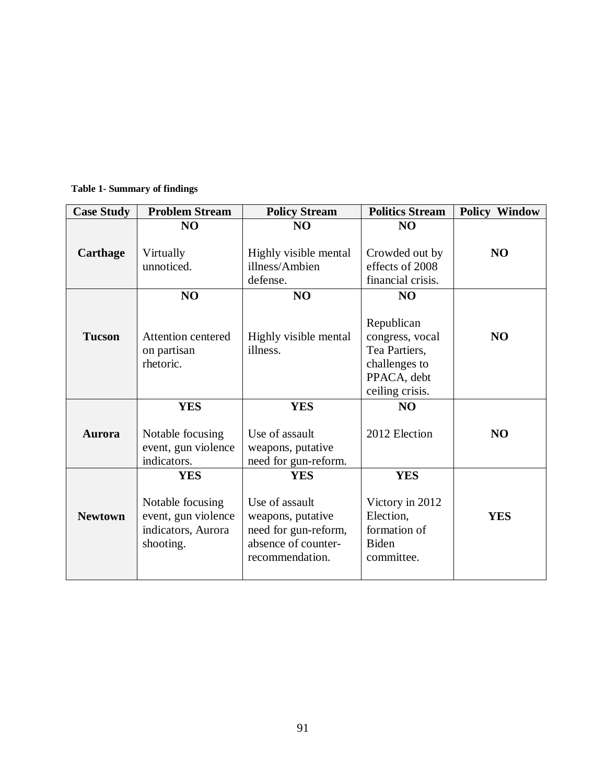| <b>Case Study</b> | <b>Problem Stream</b>     | <b>Policy Stream</b>  | <b>Politics Stream</b> | <b>Policy Window</b> |
|-------------------|---------------------------|-----------------------|------------------------|----------------------|
|                   | N <sub>O</sub>            | N <sub>O</sub>        | NO                     |                      |
|                   |                           |                       |                        |                      |
| <b>Carthage</b>   | Virtually                 | Highly visible mental | Crowded out by         | N <sub>O</sub>       |
|                   | unnoticed.                | illness/Ambien        | effects of 2008        |                      |
|                   |                           | defense.              | financial crisis.      |                      |
|                   | NO                        | NO                    | N <sub>O</sub>         |                      |
|                   |                           |                       |                        |                      |
|                   |                           |                       | Republican             |                      |
| <b>Tucson</b>     | <b>Attention centered</b> | Highly visible mental | congress, vocal        | N <sub>O</sub>       |
|                   | on partisan               | illness.              | Tea Partiers,          |                      |
|                   | rhetoric.                 |                       | challenges to          |                      |
|                   |                           |                       | PPACA, debt            |                      |
|                   |                           |                       | ceiling crisis.        |                      |
|                   | <b>YES</b>                | <b>YES</b>            | NO                     |                      |
|                   |                           |                       |                        |                      |
| <b>Aurora</b>     | Notable focusing          | Use of assault        | 2012 Election          | N <sub>O</sub>       |
|                   | event, gun violence       | weapons, putative     |                        |                      |
|                   | indicators.               | need for gun-reform.  |                        |                      |
|                   | <b>YES</b>                | <b>YES</b>            | <b>YES</b>             |                      |
|                   |                           |                       |                        |                      |
|                   | Notable focusing          | Use of assault        | Victory in 2012        |                      |
| <b>Newtown</b>    | event, gun violence       | weapons, putative     | Election,              | <b>YES</b>           |
|                   | indicators, Aurora        | need for gun-reform,  | formation of           |                      |
|                   | shooting.                 | absence of counter-   | <b>Biden</b>           |                      |
|                   |                           | recommendation.       | committee.             |                      |
|                   |                           |                       |                        |                      |

**Table 1- Summary of findings**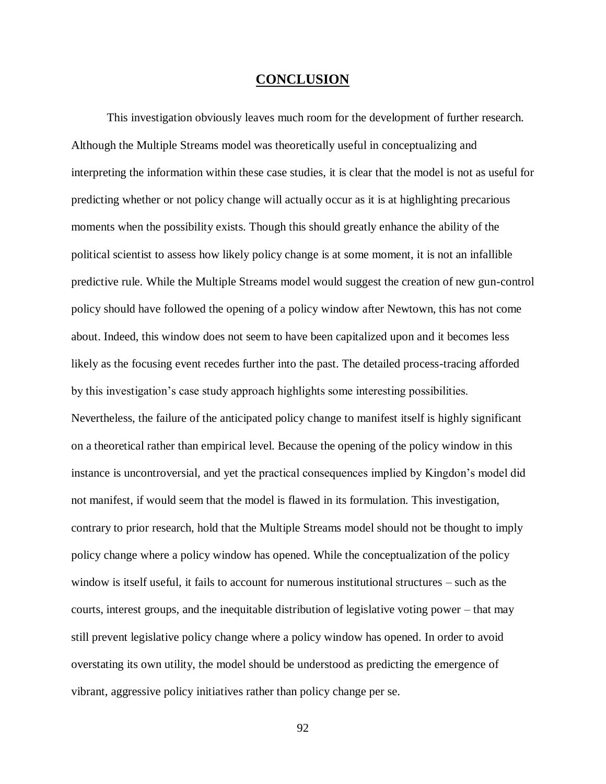## **CONCLUSION**

This investigation obviously leaves much room for the development of further research. Although the Multiple Streams model was theoretically useful in conceptualizing and interpreting the information within these case studies, it is clear that the model is not as useful for predicting whether or not policy change will actually occur as it is at highlighting precarious moments when the possibility exists. Though this should greatly enhance the ability of the political scientist to assess how likely policy change is at some moment, it is not an infallible predictive rule. While the Multiple Streams model would suggest the creation of new gun-control policy should have followed the opening of a policy window after Newtown, this has not come about. Indeed, this window does not seem to have been capitalized upon and it becomes less likely as the focusing event recedes further into the past. The detailed process-tracing afforded by this investigation's case study approach highlights some interesting possibilities. Nevertheless, the failure of the anticipated policy change to manifest itself is highly significant on a theoretical rather than empirical level. Because the opening of the policy window in this instance is uncontroversial, and yet the practical consequences implied by Kingdon's model did not manifest, if would seem that the model is flawed in its formulation. This investigation, contrary to prior research, hold that the Multiple Streams model should not be thought to imply policy change where a policy window has opened. While the conceptualization of the policy window is itself useful, it fails to account for numerous institutional structures – such as the courts, interest groups, and the inequitable distribution of legislative voting power – that may still prevent legislative policy change where a policy window has opened. In order to avoid overstating its own utility, the model should be understood as predicting the emergence of vibrant, aggressive policy initiatives rather than policy change per se.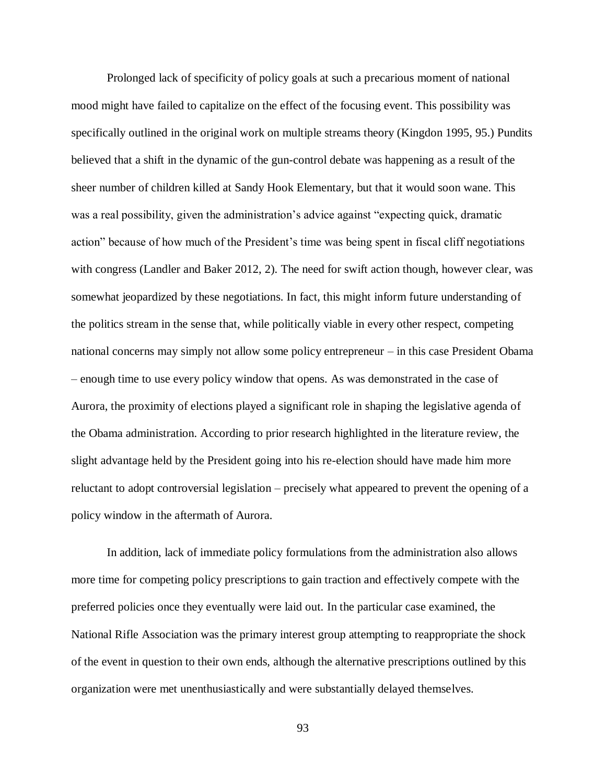Prolonged lack of specificity of policy goals at such a precarious moment of national mood might have failed to capitalize on the effect of the focusing event. This possibility was specifically outlined in the original work on multiple streams theory (Kingdon 1995, 95.) Pundits believed that a shift in the dynamic of the gun-control debate was happening as a result of the sheer number of children killed at Sandy Hook Elementary, but that it would soon wane. This was a real possibility, given the administration's advice against "expecting quick, dramatic action" because of how much of the President's time was being spent in fiscal cliff negotiations with congress (Landler and Baker 2012, 2). The need for swift action though, however clear, was somewhat jeopardized by these negotiations. In fact, this might inform future understanding of the politics stream in the sense that, while politically viable in every other respect, competing national concerns may simply not allow some policy entrepreneur – in this case President Obama – enough time to use every policy window that opens. As was demonstrated in the case of Aurora, the proximity of elections played a significant role in shaping the legislative agenda of the Obama administration. According to prior research highlighted in the literature review, the slight advantage held by the President going into his re-election should have made him more reluctant to adopt controversial legislation – precisely what appeared to prevent the opening of a policy window in the aftermath of Aurora.

In addition, lack of immediate policy formulations from the administration also allows more time for competing policy prescriptions to gain traction and effectively compete with the preferred policies once they eventually were laid out. In the particular case examined, the National Rifle Association was the primary interest group attempting to reappropriate the shock of the event in question to their own ends, although the alternative prescriptions outlined by this organization were met unenthusiastically and were substantially delayed themselves.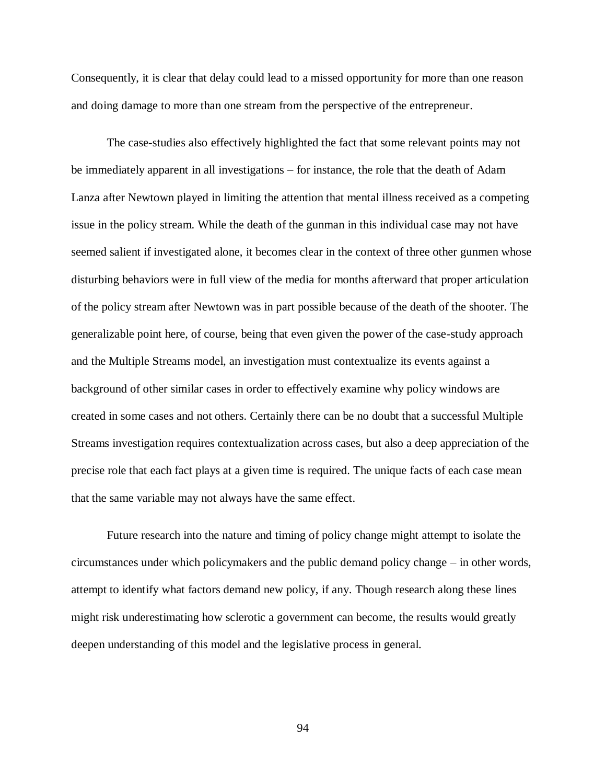Consequently, it is clear that delay could lead to a missed opportunity for more than one reason and doing damage to more than one stream from the perspective of the entrepreneur.

The case-studies also effectively highlighted the fact that some relevant points may not be immediately apparent in all investigations – for instance, the role that the death of Adam Lanza after Newtown played in limiting the attention that mental illness received as a competing issue in the policy stream. While the death of the gunman in this individual case may not have seemed salient if investigated alone, it becomes clear in the context of three other gunmen whose disturbing behaviors were in full view of the media for months afterward that proper articulation of the policy stream after Newtown was in part possible because of the death of the shooter. The generalizable point here, of course, being that even given the power of the case-study approach and the Multiple Streams model, an investigation must contextualize its events against a background of other similar cases in order to effectively examine why policy windows are created in some cases and not others. Certainly there can be no doubt that a successful Multiple Streams investigation requires contextualization across cases, but also a deep appreciation of the precise role that each fact plays at a given time is required. The unique facts of each case mean that the same variable may not always have the same effect.

Future research into the nature and timing of policy change might attempt to isolate the circumstances under which policymakers and the public demand policy change – in other words, attempt to identify what factors demand new policy, if any. Though research along these lines might risk underestimating how sclerotic a government can become, the results would greatly deepen understanding of this model and the legislative process in general.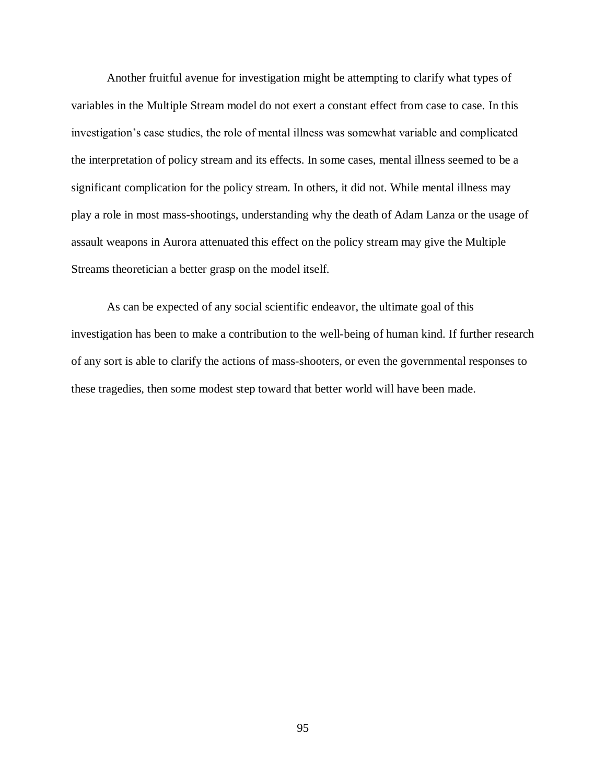Another fruitful avenue for investigation might be attempting to clarify what types of variables in the Multiple Stream model do not exert a constant effect from case to case. In this investigation's case studies, the role of mental illness was somewhat variable and complicated the interpretation of policy stream and its effects. In some cases, mental illness seemed to be a significant complication for the policy stream. In others, it did not. While mental illness may play a role in most mass-shootings, understanding why the death of Adam Lanza or the usage of assault weapons in Aurora attenuated this effect on the policy stream may give the Multiple Streams theoretician a better grasp on the model itself.

As can be expected of any social scientific endeavor, the ultimate goal of this investigation has been to make a contribution to the well-being of human kind. If further research of any sort is able to clarify the actions of mass-shooters, or even the governmental responses to these tragedies, then some modest step toward that better world will have been made.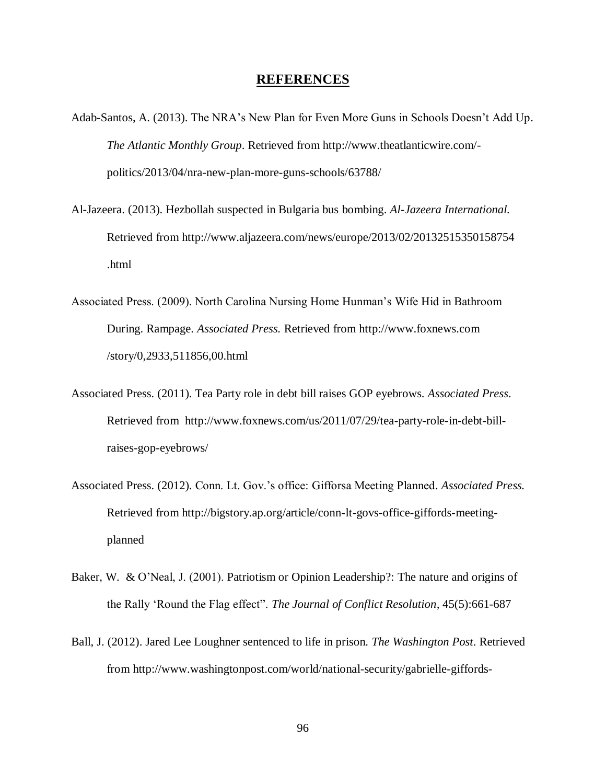# **REFERENCES**

- Adab-Santos, A. (2013). The NRA's New Plan for Even More Guns in Schools Doesn't Add Up. *The Atlantic Monthly Group*. Retrieved from http://www.theatlanticwire.com/ politics/2013/04/nra-new-plan-more-guns-schools/63788/
- Al-Jazeera. (2013). Hezbollah suspected in Bulgaria bus bombing. *Al-Jazeera International.* Retrieved from http://www.aljazeera.com/news/europe/2013/02/20132515350158754 .html
- Associated Press. (2009). North Carolina Nursing Home Hunman's Wife Hid in Bathroom During. Rampage. *Associated Press.* Retrieved from http://www.foxnews.com /story/0,2933,511856,00.html
- Associated Press. (2011). Tea Party role in debt bill raises GOP eyebrows. *Associated Press*. Retrieved from http://www.foxnews.com/us/2011/07/29/tea-party-role-in-debt-billraises-gop-eyebrows/
- Associated Press. (2012). Conn. Lt. Gov.'s office: Gifforsa Meeting Planned. *Associated Press.*  Retrieved from http://bigstory.ap.org/article/conn-lt-govs-office-giffords-meetingplanned
- Baker, W. & O'Neal, J. (2001). Patriotism or Opinion Leadership?: The nature and origins of the Rally 'Round the Flag effect". *The Journal of Conflict Resolution,* 45(5):661-687
- Ball, J. (2012). Jared Lee Loughner sentenced to life in prison. *The Washington Post*. Retrieved from http://www.washingtonpost.com/world/national-security/gabrielle-giffords-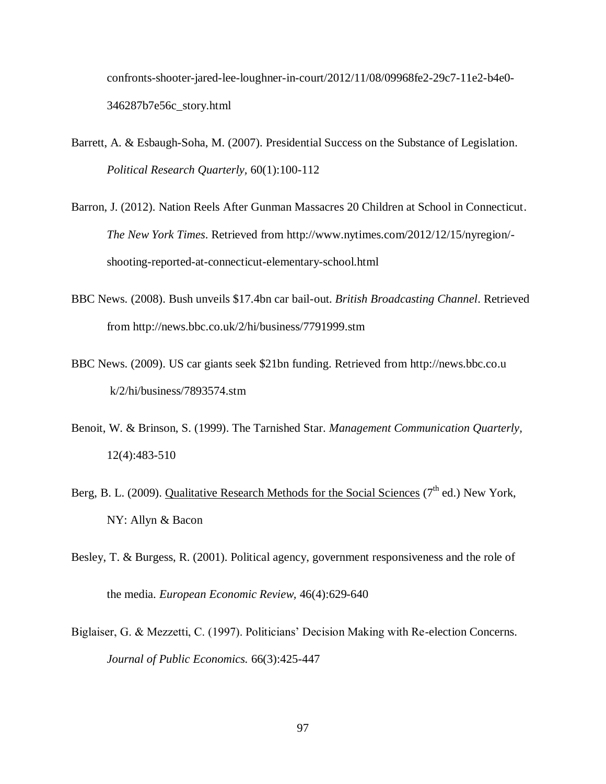confronts-shooter-jared-lee-loughner-in-court/2012/11/08/09968fe2-29c7-11e2-b4e0- 346287b7e56c\_story.html

- Barrett, A. & Esbaugh-Soha, M. (2007). Presidential Success on the Substance of Legislation. *Political Research Quarterly,* 60(1):100-112
- Barron, J. (2012). Nation Reels After Gunman Massacres 20 Children at School in Connecticut. *The New York Times*. Retrieved from http://www.nytimes.com/2012/12/15/nyregion/ shooting-reported-at-connecticut-elementary-school.html
- BBC News. (2008). Bush unveils \$17.4bn car bail-out. *British Broadcasting Channel*. Retrieved from http://news.bbc.co.uk/2/hi/business/7791999.stm
- BBC News. (2009). US car giants seek \$21bn funding. Retrieved from http://news.bbc.co.u k/2/hi/business/7893574.stm
- Benoit, W. & Brinson, S. (1999). The Tarnished Star. *Management Communication Quarterly,* 12(4):483-510
- Berg, B. L. (2009). Qualitative Research Methods for the Social Sciences (7<sup>th</sup> ed.) New York, NY: Allyn & Bacon
- Besley, T. & Burgess, R. (2001). Political agency, government responsiveness and the role of the media. *European Economic Review,* 46(4):629-640
- Biglaiser, G. & Mezzetti, C. (1997). Politicians' Decision Making with Re-election Concerns. *Journal of Public Economics.* 66(3):425-447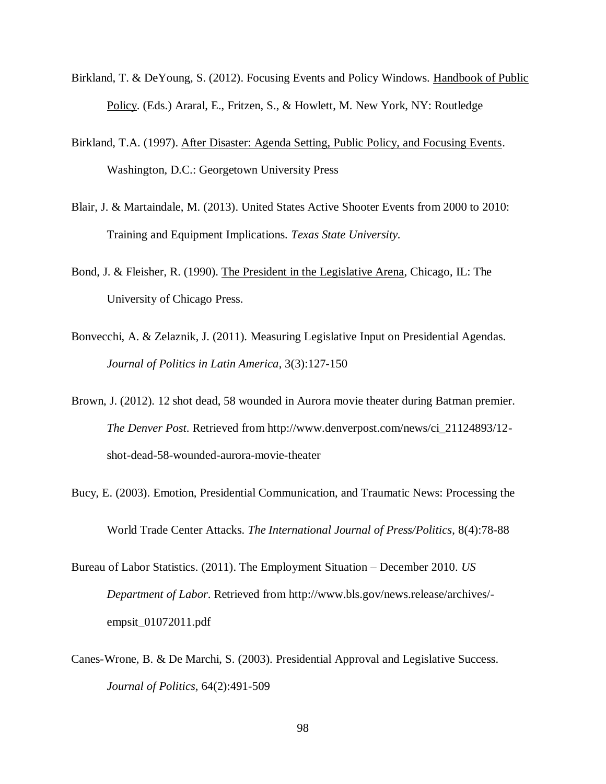- Birkland, T. & DeYoung, S. (2012). Focusing Events and Policy Windows. Handbook of Public Policy. (Eds.) Araral, E., Fritzen, S., & Howlett, M. New York, NY: Routledge
- Birkland, T.A. (1997). After Disaster: Agenda Setting, Public Policy, and Focusing Events. Washington, D.C.: Georgetown University Press
- Blair, J. & Martaindale, M. (2013). United States Active Shooter Events from 2000 to 2010: Training and Equipment Implications*. Texas State University.*
- Bond, J. & Fleisher, R. (1990). The President in the Legislative Arena, Chicago, IL: The University of Chicago Press.
- Bonvecchi, A. & Zelaznik, J. (2011). Measuring Legislative Input on Presidential Agendas. *Journal of Politics in Latin America*, 3(3):127-150
- Brown, J. (2012). 12 shot dead, 58 wounded in Aurora movie theater during Batman premier. *The Denver Post*. Retrieved from http://www.denverpost.com/news/ci\_21124893/12 shot-dead-58-wounded-aurora-movie-theater
- Bucy, E. (2003). Emotion, Presidential Communication, and Traumatic News: Processing the World Trade Center Attacks. *The International Journal of Press/Politics*, 8(4):78-88
- Bureau of Labor Statistics. (2011). The Employment Situation December 2010. *US Department of Labor*. Retrieved from http://www.bls.gov/news.release/archives/ empsit\_01072011.pdf
- Canes-Wrone, B. & De Marchi, S. (2003). Presidential Approval and Legislative Success. *Journal of Politics*, 64(2):491-509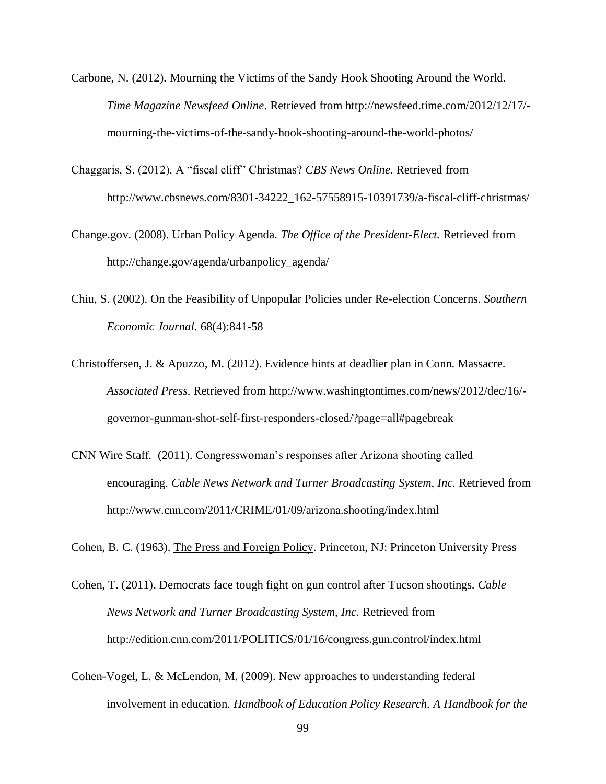- Carbone, N. (2012). Mourning the Victims of the Sandy Hook Shooting Around the World. *Time Magazine Newsfeed Online*. Retrieved from http://newsfeed.time.com/2012/12/17/ mourning-the-victims-of-the-sandy-hook-shooting-around-the-world-photos/
- Chaggaris, S. (2012). A "fiscal cliff" Christmas? *CBS News Online.* Retrieved from http://www.cbsnews.com/8301-34222\_162-57558915-10391739/a-fiscal-cliff-christmas/
- Change.gov. (2008). Urban Policy Agenda. *The Office of the President-Elect.* Retrieved from http://change.gov/agenda/urbanpolicy\_agenda/
- Chiu, S. (2002). On the Feasibility of Unpopular Policies under Re-election Concerns. *Southern Economic Journal.* 68(4):841-58
- Christoffersen, J. & Apuzzo, M. (2012). Evidence hints at deadlier plan in Conn. Massacre. *Associated Press*. Retrieved from http://www.washingtontimes.com/news/2012/dec/16/ governor-gunman-shot-self-first-responders-closed/?page=all#pagebreak
- CNN Wire Staff. (2011). Congresswoman's responses after Arizona shooting called encouraging. *Cable News Network and Turner Broadcasting System, Inc.* Retrieved from http://www.cnn.com/2011/CRIME/01/09/arizona.shooting/index.html
- Cohen, B. C. (1963). The Press and Foreign Policy. Princeton, NJ: Princeton University Press
- Cohen, T. (2011). Democrats face tough fight on gun control after Tucson shootings. *Cable News Network and Turner Broadcasting System, Inc.* Retrieved from http://edition.cnn.com/2011/POLITICS/01/16/congress.gun.control/index.html
- Cohen-Vogel, L. & McLendon, M. (2009). New approaches to understanding federal involvement in education. *Handbook of Education Policy Research. A Handbook for the*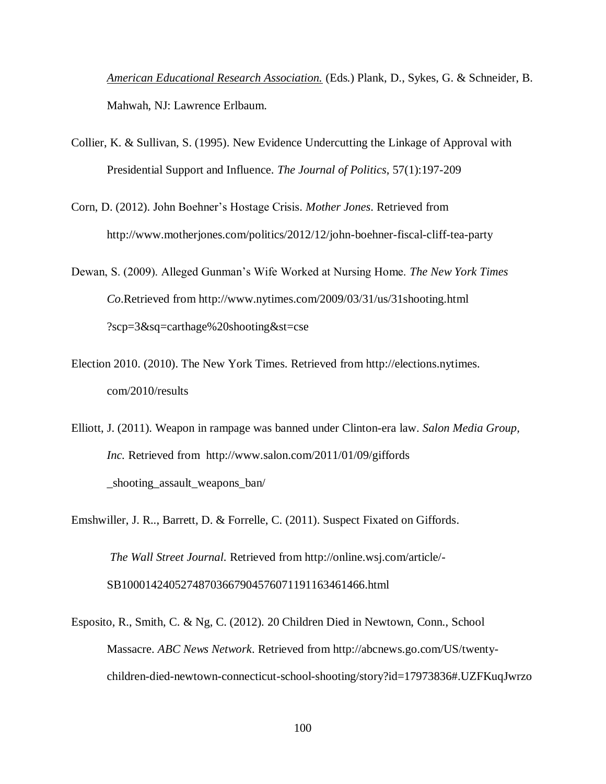*American Educational Research Association.* (Eds.) Plank, D., Sykes, G. & Schneider, B. Mahwah, NJ: Lawrence Erlbaum.

- Collier, K. & Sullivan, S. (1995). New Evidence Undercutting the Linkage of Approval with Presidential Support and Influence. *The Journal of Politics*, 57(1):197-209
- Corn, D. (2012). John Boehner's Hostage Crisis. *Mother Jones*. Retrieved from http://www.motherjones.com/politics/2012/12/john-boehner-fiscal-cliff-tea-party
- Dewan, S. (2009). Alleged Gunman's Wife Worked at Nursing Home. *The New York Times Co*.Retrieved from http://www.nytimes.com/2009/03/31/us/31shooting.html ?scp=3&sq=carthage%20shooting&st=cse
- Election 2010. (2010). The New York Times. Retrieved from http://elections.nytimes. com/2010/results
- Elliott, J. (2011). Weapon in rampage was banned under Clinton-era law. *Salon Media Group, Inc.* Retrieved from http://www.salon.com/2011/01/09/giffords \_shooting\_assault\_weapons\_ban/

Emshwiller, J. R.., Barrett, D. & Forrelle, C. (2011). Suspect Fixated on Giffords. *The Wall Street Journal.* Retrieved from http://online.wsj.com/article/- SB10001424052748703667904576071191163461466.html

Esposito, R., Smith, C. & Ng, C. (2012). 20 Children Died in Newtown, Conn., School Massacre. *ABC News Network*. Retrieved from http://abcnews.go.com/US/twentychildren-died-newtown-connecticut-school-shooting/story?id=17973836#.UZFKuqJwrzo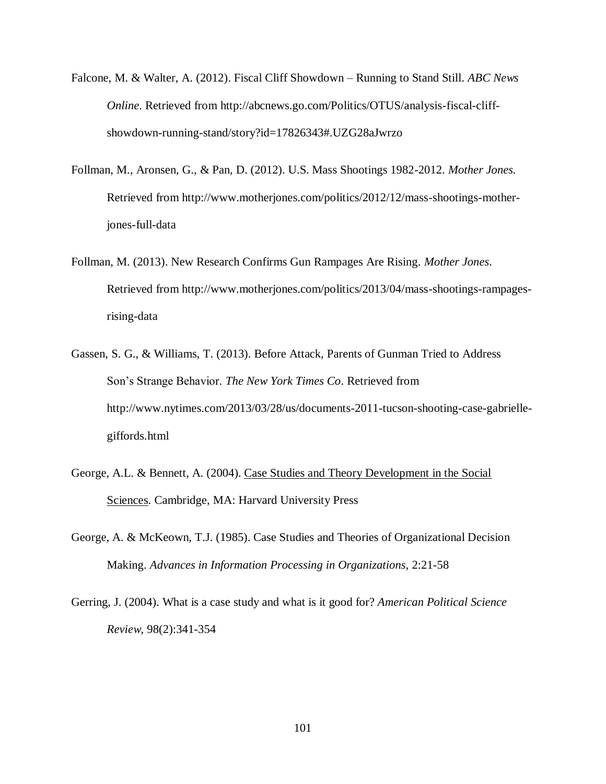- Falcone, M. & Walter, A. (2012). Fiscal Cliff Showdown Running to Stand Still. *ABC News Online*. Retrieved from http://abcnews.go.com/Politics/OTUS/analysis-fiscal-cliffshowdown-running-stand/story?id=17826343#.UZG28aJwrzo
- Follman, M., Aronsen, G., & Pan, D. (2012). U.S. Mass Shootings 1982-2012. *Mother Jones.* Retrieved from http://www.motherjones.com/politics/2012/12/mass-shootings-motherjones-full-data
- Follman, M. (2013). New Research Confirms Gun Rampages Are Rising. *Mother Jones*. Retrieved from http://www.motherjones.com/politics/2013/04/mass-shootings-rampagesrising-data
- Gassen, S. G., & Williams, T. (2013). Before Attack, Parents of Gunman Tried to Address Son's Strange Behavior*. The New York Times Co*. Retrieved from http://www.nytimes.com/2013/03/28/us/documents-2011-tucson-shooting-case-gabriellegiffords.html
- George, A.L. & Bennett, A. (2004). Case Studies and Theory Development in the Social Sciences. Cambridge, MA: Harvard University Press
- George, A. & McKeown, T.J. (1985). Case Studies and Theories of Organizational Decision Making. *Advances in Information Processing in Organizations,* 2:21-58
- Gerring, J. (2004). What is a case study and what is it good for? *American Political Science Review,* 98(2):341-354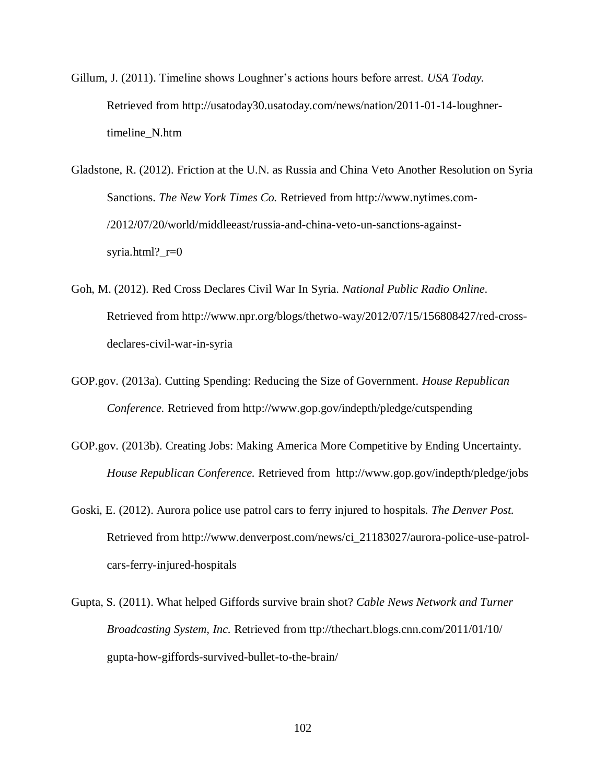- Gillum, J. (2011). Timeline shows Loughner's actions hours before arrest. *USA Today.* Retrieved from http://usatoday30.usatoday.com/news/nation/2011-01-14-loughnertimeline\_N.htm
- Gladstone, R. (2012). Friction at the U.N. as Russia and China Veto Another Resolution on Syria Sanctions. *The New York Times Co.* Retrieved from http://www.nytimes.com- /2012/07/20/world/middleeast/russia-and-china-veto-un-sanctions-againstsyria.html?\_r=0
- Goh, M. (2012). Red Cross Declares Civil War In Syria. *National Public Radio Online*. Retrieved from http://www.npr.org/blogs/thetwo-way/2012/07/15/156808427/red-crossdeclares-civil-war-in-syria
- GOP.gov. (2013a). Cutting Spending: Reducing the Size of Government. *House Republican Conference.* Retrieved from http://www.gop.gov/indepth/pledge/cutspending
- GOP.gov. (2013b). Creating Jobs: Making America More Competitive by Ending Uncertainty. *House Republican Conference.* Retrieved from http://www.gop.gov/indepth/pledge/jobs
- Goski, E. (2012). Aurora police use patrol cars to ferry injured to hospitals. *The Denver Post.* Retrieved from http://www.denverpost.com/news/ci\_21183027/aurora-police-use-patrolcars-ferry-injured-hospitals
- Gupta, S. (2011). What helped Giffords survive brain shot? *Cable News Network and Turner Broadcasting System, Inc.* Retrieved from ttp://thechart.blogs.cnn.com/2011/01/10/ gupta-how-giffords-survived-bullet-to-the-brain/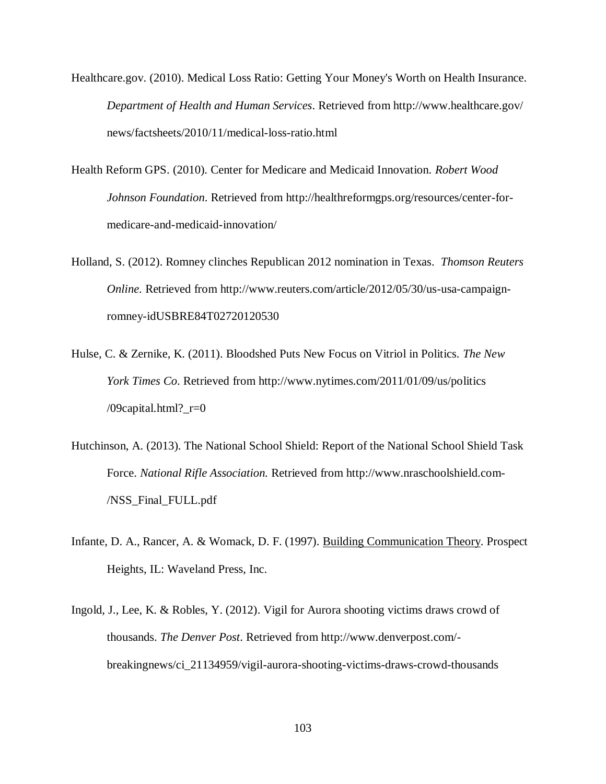- Healthcare.gov. (2010). Medical Loss Ratio: Getting Your Money's Worth on Health Insurance. *Department of Health and Human Services*. Retrieved from http://www.healthcare.gov/ news/factsheets/2010/11/medical-loss-ratio.html
- Health Reform GPS. (2010). Center for Medicare and Medicaid Innovation. *Robert Wood Johnson Foundation*. Retrieved from http://healthreformgps.org/resources/center-formedicare-and-medicaid-innovation/
- Holland, S. (2012). Romney clinches Republican 2012 nomination in Texas. *Thomson Reuters Online.* Retrieved from http://www.reuters.com/article/2012/05/30/us-usa-campaignromney-idUSBRE84T02720120530
- Hulse, C. & Zernike, K. (2011). Bloodshed Puts New Focus on Vitriol in Politics. *The New York Times Co*. Retrieved from http://www.nytimes.com/2011/01/09/us/politics /09capital.html?\_r=0
- Hutchinson, A. (2013). The National School Shield: Report of the National School Shield Task Force. *National Rifle Association.* Retrieved from http://www.nraschoolshield.com- /NSS\_Final\_FULL.pdf
- Infante, D. A., Rancer, A. & Womack, D. F. (1997). Building Communication Theory. Prospect Heights, IL: Waveland Press, Inc.
- Ingold, J., Lee, K. & Robles, Y. (2012). Vigil for Aurora shooting victims draws crowd of thousands. *The Denver Post*. Retrieved from http://www.denverpost.com/ breakingnews/ci\_21134959/vigil-aurora-shooting-victims-draws-crowd-thousands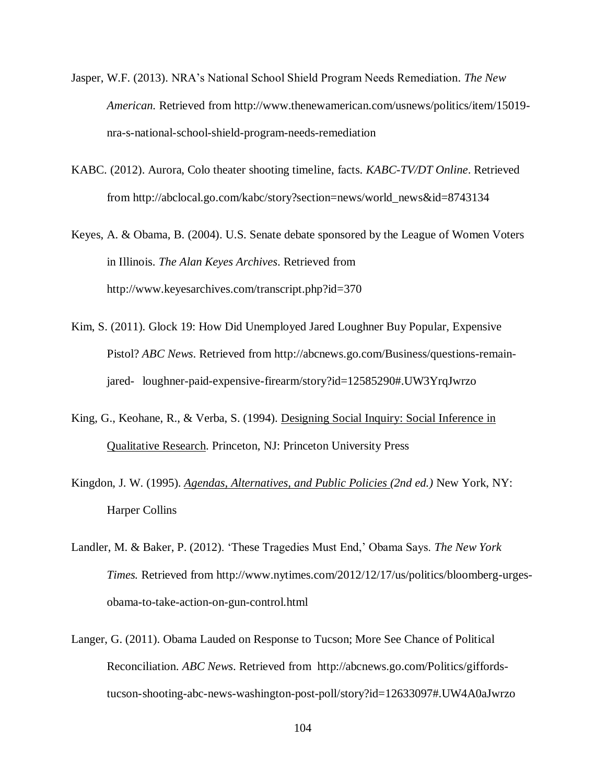- Jasper, W.F. (2013). NRA's National School Shield Program Needs Remediation. *The New American.* Retrieved from http://www.thenewamerican.com/usnews/politics/item/15019 nra-s-national-school-shield-program-needs-remediation
- KABC. (2012). Aurora, Colo theater shooting timeline, facts. *KABC-TV/DT Online*. Retrieved from http://abclocal.go.com/kabc/story?section=news/world\_news&id=8743134
- Keyes, A. & Obama, B. (2004). U.S. Senate debate sponsored by the League of Women Voters in Illinois. *The Alan Keyes Archives*. Retrieved from http://www.keyesarchives.com/transcript.php?id=370
- Kim, S. (2011). Glock 19: How Did Unemployed Jared Loughner Buy Popular, Expensive Pistol? *ABC News*. Retrieved from http://abcnews.go.com/Business/questions-remainjared- loughner-paid-expensive-firearm/story?id=12585290#.UW3YrqJwrzo
- King, G., Keohane, R., & Verba, S. (1994). Designing Social Inquiry: Social Inference in Qualitative Research. Princeton, NJ: Princeton University Press
- Kingdon, J. W. (1995). *Agendas, Alternatives, and Public Policies (2nd ed.)* New York, NY: Harper Collins
- Landler, M. & Baker, P. (2012). 'These Tragedies Must End,' Obama Says. *The New York Times.* Retrieved from http://www.nytimes.com/2012/12/17/us/politics/bloomberg-urgesobama-to-take-action-on-gun-control.html
- Langer, G. (2011). Obama Lauded on Response to Tucson; More See Chance of Political Reconciliation. *ABC News*. Retrieved from http://abcnews.go.com/Politics/giffordstucson-shooting-abc-news-washington-post-poll/story?id=12633097#.UW4A0aJwrzo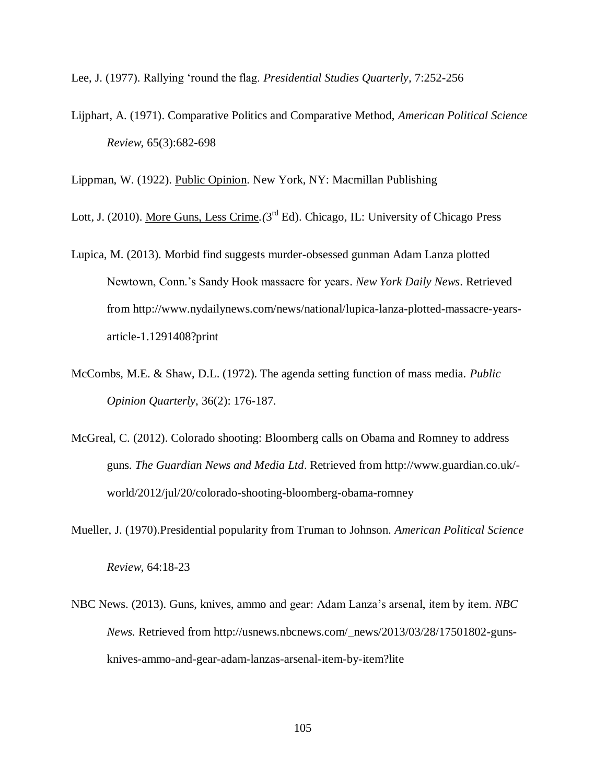Lee, J. (1977). Rallying 'round the flag. *Presidential Studies Quarterly,* 7:252-256

Lijphart, A. (1971). Comparative Politics and Comparative Method, *American Political Science Review,* 65(3):682-698

Lippman, W. (1922). Public Opinion. New York, NY: Macmillan Publishing

Lott, J. (2010). <u>More Guns, Less Crime</u>. (3<sup>rd</sup> Ed). Chicago, IL: University of Chicago Press

- Lupica, M. (2013). Morbid find suggests murder-obsessed gunman Adam Lanza plotted Newtown, Conn.'s Sandy Hook massacre for years. *New York Daily News*. Retrieved from http://www.nydailynews.com/news/national/lupica-lanza-plotted-massacre-yearsarticle-1.1291408?print
- McCombs, M.E. & Shaw, D.L. (1972). The agenda setting function of mass media. *Public Opinion Quarterly*, 36(2): 176-187.
- McGreal, C. (2012). Colorado shooting: Bloomberg calls on Obama and Romney to address guns. *The Guardian News and Media Ltd*. Retrieved from http://www.guardian.co.uk/ world/2012/jul/20/colorado-shooting-bloomberg-obama-romney
- Mueller, J. (1970).Presidential popularity from Truman to Johnson. *American Political Science Review,* 64:18-23
- NBC News. (2013). Guns, knives, ammo and gear: Adam Lanza's arsenal, item by item. *NBC News.* Retrieved from http://usnews.nbcnews.com/\_news/2013/03/28/17501802-gunsknives-ammo-and-gear-adam-lanzas-arsenal-item-by-item?lite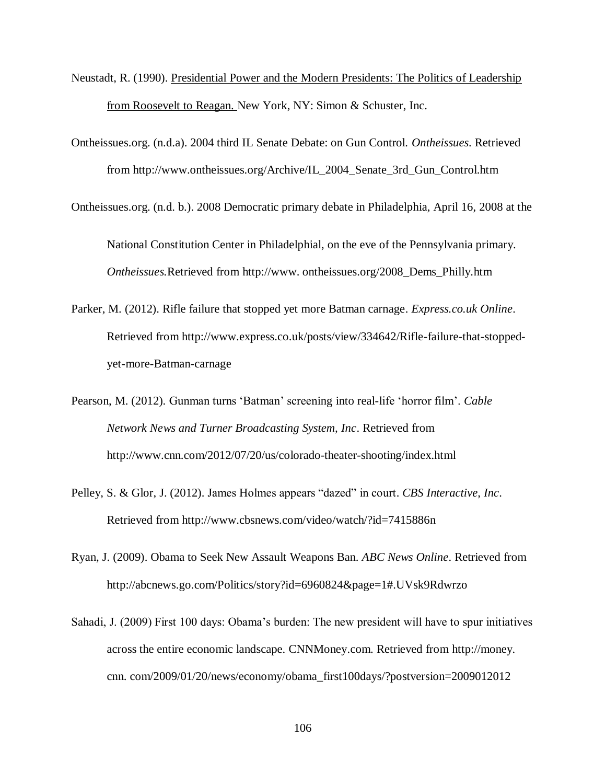- Neustadt, R. (1990). Presidential Power and the Modern Presidents: The Politics of Leadership from Roosevelt to Reagan. New York, NY: Simon & Schuster, Inc.
- Ontheissues.org. (n.d.a). 2004 third IL Senate Debate: on Gun Control. *Ontheissues*. Retrieved from http://www.ontheissues.org/Archive/IL\_2004\_Senate\_3rd\_Gun\_Control.htm
- Ontheissues.org. (n.d. b.). 2008 Democratic primary debate in Philadelphia, April 16, 2008 at the

National Constitution Center in Philadelphial, on the eve of the Pennsylvania primary. *Ontheissues.*Retrieved from http://www. ontheissues.org/2008\_Dems\_Philly.htm

- Parker, M. (2012). Rifle failure that stopped yet more Batman carnage. *Express.co.uk Online*. Retrieved from http://www.express.co.uk/posts/view/334642/Rifle-failure-that-stoppedyet-more-Batman-carnage
- Pearson, M. (2012). Gunman turns 'Batman' screening into real-life 'horror film'. *Cable Network News and Turner Broadcasting System, Inc*. Retrieved from http://www.cnn.com/2012/07/20/us/colorado-theater-shooting/index.html
- Pelley, S. & Glor, J. (2012). James Holmes appears "dazed" in court. *CBS Interactive, Inc*. Retrieved from http://www.cbsnews.com/video/watch/?id=7415886n
- Ryan, J. (2009). Obama to Seek New Assault Weapons Ban. *ABC News Online*. Retrieved from http://abcnews.go.com/Politics/story?id=6960824&page=1#.UVsk9Rdwrzo
- Sahadi, J. (2009) First 100 days: Obama's burden: The new president will have to spur initiatives across the entire economic landscape. CNNMoney.com. Retrieved from http://money. cnn. com/2009/01/20/news/economy/obama\_first100days/?postversion=2009012012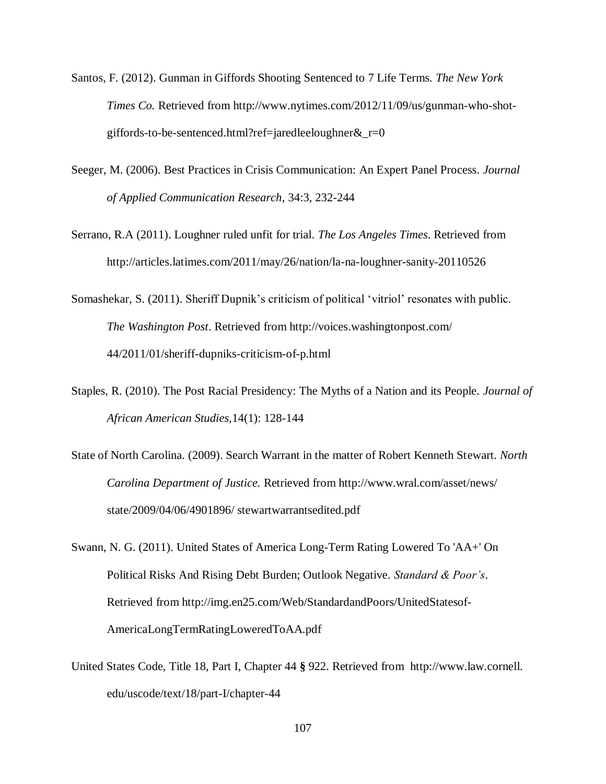- Santos, F. (2012). Gunman in Giffords Shooting Sentenced to 7 Life Terms. *The New York Times Co.* Retrieved from http://www.nytimes.com/2012/11/09/us/gunman-who-shotgiffords-to-be-sentenced.html?ref=jaredleeloughner $&r=0$
- Seeger, M. (2006). Best Practices in Crisis Communication: An Expert Panel Process*. Journal of Applied Communication Research*, 34:3, 232-244
- Serrano, R.A (2011). Loughner ruled unfit for trial. *The Los Angeles Times*. Retrieved from http://articles.latimes.com/2011/may/26/nation/la-na-loughner-sanity-20110526
- Somashekar, S. (2011). Sheriff Dupnik's criticism of political 'vitriol' resonates with public. *The Washington Post*. Retrieved from http://voices.washingtonpost.com/ 44/2011/01/sheriff-dupniks-criticism-of-p.html
- Staples, R. (2010). The Post Racial Presidency: The Myths of a Nation and its People. *Journal of African American Studies,*14(1): 128-144
- State of North Carolina. (2009). Search Warrant in the matter of Robert Kenneth Stewart. *North Carolina Department of Justice.* Retrieved from http://www.wral.com/asset/news/ state/2009/04/06/4901896/ stewartwarrantsedited.pdf
- Swann, N. G. (2011). United States of America Long-Term Rating Lowered To 'AA+' On Political Risks And Rising Debt Burden; Outlook Negative. *Standard & Poor's*. Retrieved from http://img.en25.com/Web/StandardandPoors/UnitedStatesof-AmericaLongTermRatingLoweredToAA.pdf
- United States Code, Title 18, Part I, Chapter 44 **§** 922. Retrieved from http://www.law.cornell. edu/uscode/text/18/part-I/chapter-44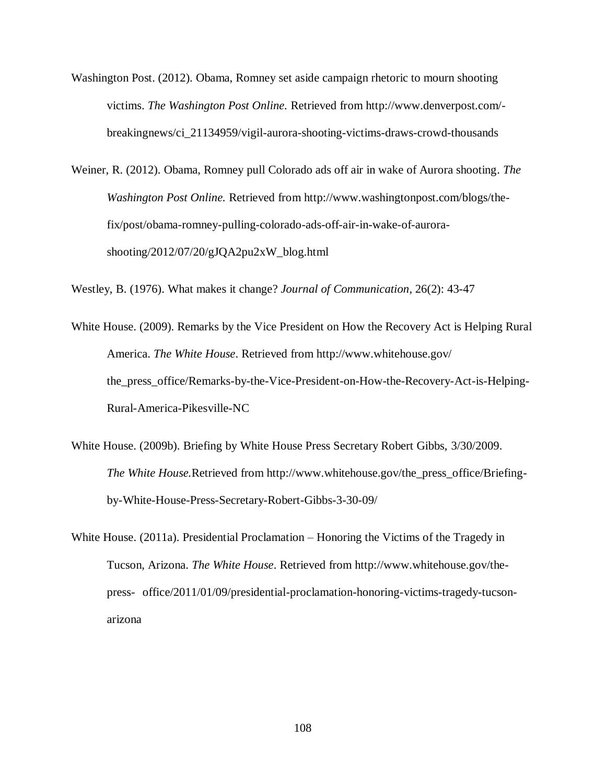- Washington Post. (2012). Obama, Romney set aside campaign rhetoric to mourn shooting victims. *The Washington Post Online.* Retrieved from http://www.denverpost.com/ breakingnews/ci\_21134959/vigil-aurora-shooting-victims-draws-crowd-thousands
- Weiner, R. (2012). Obama, Romney pull Colorado ads off air in wake of Aurora shooting. *The Washington Post Online.* Retrieved from http://www.washingtonpost.com/blogs/thefix/post/obama-romney-pulling-colorado-ads-off-air-in-wake-of-aurorashooting/2012/07/20/gJQA2pu2xW\_blog.html

Westley, B. (1976). What makes it change? *Journal of Communication*, 26(2): 43-47

- White House. (2009). Remarks by the Vice President on How the Recovery Act is Helping Rural America. *The White House*. Retrieved from http://www.whitehouse.gov/ the\_press\_office/Remarks-by-the-Vice-President-on-How-the-Recovery-Act-is-Helping-Rural-America-Pikesville-NC
- White House. (2009b). Briefing by White House Press Secretary Robert Gibbs, 3/30/2009. *The White House.*Retrieved from http://www.whitehouse.gov/the\_press\_office/Briefingby-White-House-Press-Secretary-Robert-Gibbs-3-30-09/
- White House. (2011a). Presidential Proclamation Honoring the Victims of the Tragedy in Tucson, Arizona. *The White House*. Retrieved from http://www.whitehouse.gov/thepress- office/2011/01/09/presidential-proclamation-honoring-victims-tragedy-tucsonarizona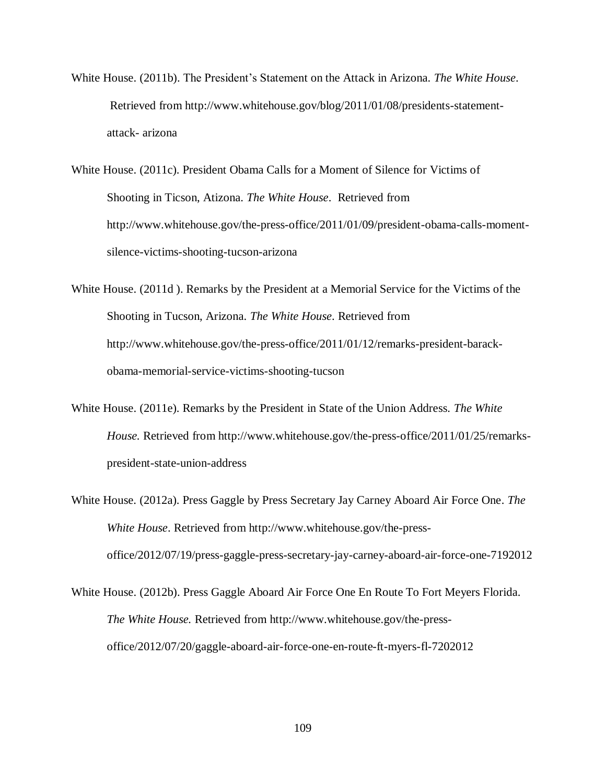- White House. (2011b). The President's Statement on the Attack in Arizona. *The White House*. Retrieved from http://www.whitehouse.gov/blog/2011/01/08/presidents-statementattack- arizona
- White House. (2011c). President Obama Calls for a Moment of Silence for Victims of Shooting in Ticson, Atizona. *The White House*. Retrieved from http://www.whitehouse.gov/the-press-office/2011/01/09/president-obama-calls-momentsilence-victims-shooting-tucson-arizona
- White House. (2011d ). Remarks by the President at a Memorial Service for the Victims of the Shooting in Tucson, Arizona. *The White House*. Retrieved from http://www.whitehouse.gov/the-press-office/2011/01/12/remarks-president-barackobama-memorial-service-victims-shooting-tucson
- White House. (2011e). Remarks by the President in State of the Union Address. *The White House.* Retrieved from http://www.whitehouse.gov/the-press-office/2011/01/25/remarkspresident-state-union-address
- White House. (2012a). Press Gaggle by Press Secretary Jay Carney Aboard Air Force One. *The White House*. Retrieved from http://www.whitehouse.gov/the-pressoffice/2012/07/19/press-gaggle-press-secretary-jay-carney-aboard-air-force-one-7192012
- White House. (2012b). Press Gaggle Aboard Air Force One En Route To Fort Meyers Florida. *The White House.* Retrieved from http://www.whitehouse.gov/the-pressoffice/2012/07/20/gaggle-aboard-air-force-one-en-route-ft-myers-fl-7202012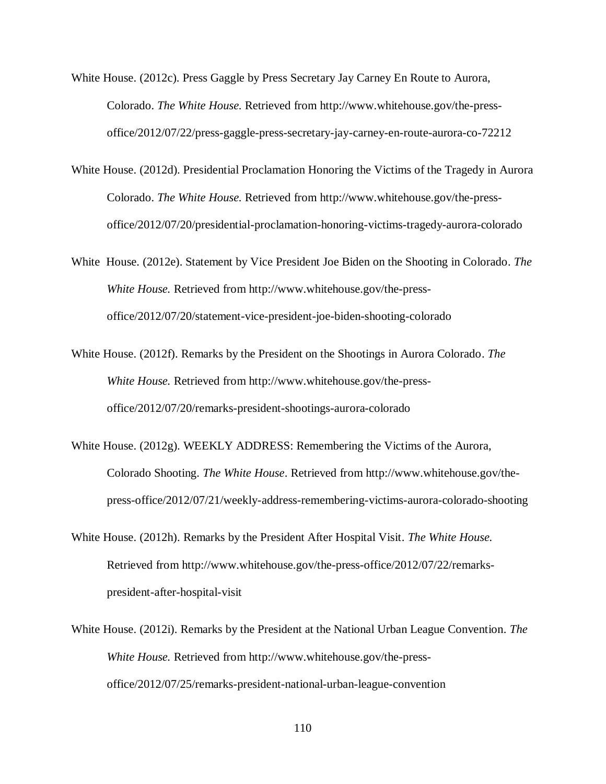- White House. (2012c). Press Gaggle by Press Secretary Jay Carney En Route to Aurora, Colorado. *The White House.* Retrieved from http://www.whitehouse.gov/the-pressoffice/2012/07/22/press-gaggle-press-secretary-jay-carney-en-route-aurora-co-72212
- White House. (2012d). Presidential Proclamation Honoring the Victims of the Tragedy in Aurora Colorado. *The White House.* Retrieved from http://www.whitehouse.gov/the-pressoffice/2012/07/20/presidential-proclamation-honoring-victims-tragedy-aurora-colorado
- White House. (2012e). Statement by Vice President Joe Biden on the Shooting in Colorado. *The White House.* Retrieved from http://www.whitehouse.gov/the-pressoffice/2012/07/20/statement-vice-president-joe-biden-shooting-colorado
- White House. (2012f). Remarks by the President on the Shootings in Aurora Colorado. *The White House.* Retrieved from http://www.whitehouse.gov/the-pressoffice/2012/07/20/remarks-president-shootings-aurora-colorado
- White House. (2012g). WEEKLY ADDRESS: Remembering the Victims of the Aurora, Colorado Shooting. *The White House*. Retrieved from http://www.whitehouse.gov/thepress-office/2012/07/21/weekly-address-remembering-victims-aurora-colorado-shooting
- White House. (2012h). Remarks by the President After Hospital Visit. *The White House.* Retrieved from http://www.whitehouse.gov/the-press-office/2012/07/22/remarkspresident-after-hospital-visit
- White House. (2012i). Remarks by the President at the National Urban League Convention. *The White House.* Retrieved from http://www.whitehouse.gov/the-pressoffice/2012/07/25/remarks-president-national-urban-league-convention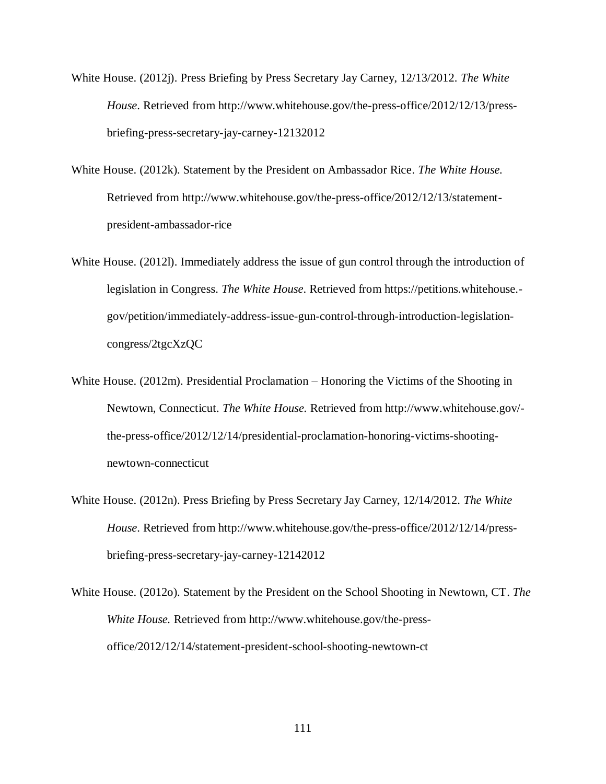- White House. (2012j). Press Briefing by Press Secretary Jay Carney, 12/13/2012. *The White House*. Retrieved from http://www.whitehouse.gov/the-press-office/2012/12/13/pressbriefing-press-secretary-jay-carney-12132012
- White House. (2012k). Statement by the President on Ambassador Rice. *The White House.*  Retrieved from http://www.whitehouse.gov/the-press-office/2012/12/13/statementpresident-ambassador-rice
- White House. (2012l). Immediately address the issue of gun control through the introduction of legislation in Congress. *The White House*. Retrieved from https://petitions.whitehouse. gov/petition/immediately-address-issue-gun-control-through-introduction-legislationcongress/2tgcXzQC
- White House. (2012m). Presidential Proclamation Honoring the Victims of the Shooting in Newtown, Connecticut. *The White House.* Retrieved from http://www.whitehouse.gov/ the-press-office/2012/12/14/presidential-proclamation-honoring-victims-shootingnewtown-connecticut
- White House. (2012n). Press Briefing by Press Secretary Jay Carney, 12/14/2012. *The White House*. Retrieved from http://www.whitehouse.gov/the-press-office/2012/12/14/pressbriefing-press-secretary-jay-carney-12142012
- White House. (2012o). Statement by the President on the School Shooting in Newtown, CT. *The White House.* Retrieved from http://www.whitehouse.gov/the-pressoffice/2012/12/14/statement-president-school-shooting-newtown-ct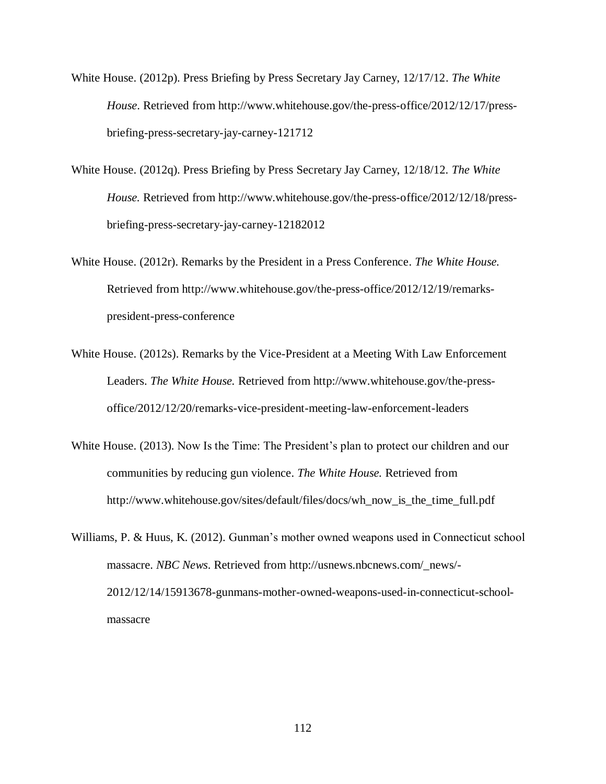White House. (2012p). Press Briefing by Press Secretary Jay Carney, 12/17/12. *The White House*. Retrieved from http://www.whitehouse.gov/the-press-office/2012/12/17/pressbriefing-press-secretary-jay-carney-121712

- White House. (2012q). Press Briefing by Press Secretary Jay Carney, 12/18/12. *The White House.* Retrieved from http://www.whitehouse.gov/the-press-office/2012/12/18/pressbriefing-press-secretary-jay-carney-12182012
- White House. (2012r). Remarks by the President in a Press Conference. *The White House.*  Retrieved from http://www.whitehouse.gov/the-press-office/2012/12/19/remarkspresident-press-conference
- White House. (2012s). Remarks by the Vice-President at a Meeting With Law Enforcement Leaders. *The White House.* Retrieved from http://www.whitehouse.gov/the-pressoffice/2012/12/20/remarks-vice-president-meeting-law-enforcement-leaders
- White House. (2013). Now Is the Time: The President's plan to protect our children and our communities by reducing gun violence. *The White House.* Retrieved from http://www.whitehouse.gov/sites/default/files/docs/wh\_now\_is\_the\_time\_full.pdf
- Williams, P. & Huus, K. (2012). Gunman's mother owned weapons used in Connecticut school massacre. *NBC News*. Retrieved from http://usnews.nbcnews.com/\_news/- 2012/12/14/15913678-gunmans-mother-owned-weapons-used-in-connecticut-schoolmassacre